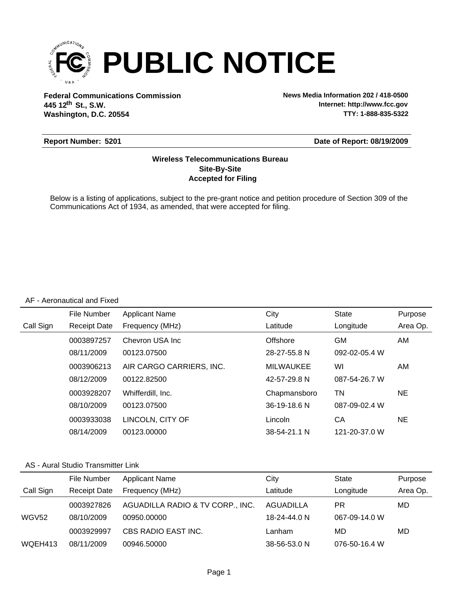

**Federal Communications Commission News Media Information 202 / 418-0500 Washington, D.C. 20554 th 445 12 St., S.W.**

**Internet: http://www.fcc.gov TTY: 1-888-835-5322**

### **Report Number: 5201**

#### **Date of Report: 08/19/2009**

### **Accepted for Filing Site-By-Site Wireless Telecommunications Bureau**

Below is a listing of applications, subject to the pre-grant notice and petition procedure of Section 309 of the Communications Act of 1934, as amended, that were accepted for filing.

#### AF - Aeronautical and Fixed

|           | File Number         | <b>Applicant Name</b>    | City             | <b>State</b>  | Purpose  |
|-----------|---------------------|--------------------------|------------------|---------------|----------|
| Call Sign | <b>Receipt Date</b> | Frequency (MHz)          | Latitude         | Longitude     | Area Op. |
|           | 0003897257          | Chevron USA Inc.         | Offshore         | GМ            | AM       |
|           | 08/11/2009          | 00123.07500              | 28-27-55.8 N     | 092-02-05.4 W |          |
|           | 0003906213          | AIR CARGO CARRIERS, INC. | <b>MILWAUKEE</b> | WI            | AM       |
|           | 08/12/2009          | 00122.82500              | 42-57-29.8 N     | 087-54-26.7 W |          |
|           | 0003928207          | Whifferdill, Inc.        | Chapmansboro     | TN            | NE.      |
|           | 08/10/2009          | 00123.07500              | 36-19-18.6 N     | 087-09-02.4 W |          |
|           | 0003933038          | LINCOLN, CITY OF         | Lincoln          | CА            | NE.      |
|           | 08/14/2009          | 00123.00000              | 38-54-21.1 N     | 121-20-37.0 W |          |

#### AS - Aural Studio Transmitter Link

|                   | File Number         | <b>Applicant Name</b>            | City         | <b>State</b>  | Purpose  |
|-------------------|---------------------|----------------------------------|--------------|---------------|----------|
| Call Sign         | <b>Receipt Date</b> | Frequency (MHz)                  | Latitude     | Longitude     | Area Op. |
|                   | 0003927826          | AGUADILLA RADIO & TV CORP., INC. | AGUADILLA    | PR            | MD       |
| WGV <sub>52</sub> | 08/10/2009          | 00950.00000                      | 18-24-44.0 N | 067-09-14.0 W |          |
|                   | 0003929997          | CBS RADIO EAST INC.              | Lanham       | MD.           | MD       |
| WQEH413           | 08/11/2009          | 00946.50000                      | 38-56-53.0 N | 076-50-16.4 W |          |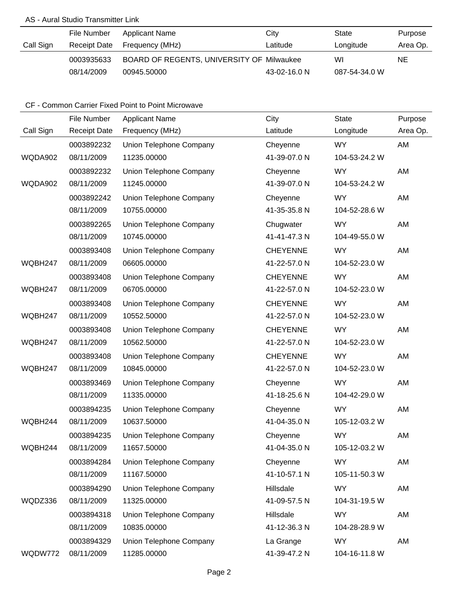## AS - Aural Studio Transmitter Link

|           | File Number  | Applicant Name                            | City         | State         | Purpose  |
|-----------|--------------|-------------------------------------------|--------------|---------------|----------|
| Call Sign | Receipt Date | Frequency (MHz)                           | Latitude     | Longitude     | Area Op. |
|           | 0003935633   | BOARD OF REGENTS, UNIVERSITY OF Milwaukee |              | WI            | NE.      |
|           | 08/14/2009   | 00945.50000                               | 43-02-16.0 N | 087-54-34.0 W |          |

|           | File Number         | <b>Applicant Name</b>   | City            | <b>State</b>  | Purpose  |
|-----------|---------------------|-------------------------|-----------------|---------------|----------|
| Call Sign | <b>Receipt Date</b> | Frequency (MHz)         | Latitude        | Longitude     | Area Op. |
|           | 0003892232          | Union Telephone Company | Cheyenne        | <b>WY</b>     | AM       |
| WQDA902   | 08/11/2009          | 11235.00000             | 41-39-07.0 N    | 104-53-24.2 W |          |
|           | 0003892232          | Union Telephone Company | Cheyenne        | <b>WY</b>     | AM       |
| WQDA902   | 08/11/2009          | 11245.00000             | 41-39-07.0 N    | 104-53-24.2 W |          |
|           | 0003892242          | Union Telephone Company | Cheyenne        | <b>WY</b>     | AM       |
|           | 08/11/2009          | 10755.00000             | 41-35-35.8 N    | 104-52-28.6 W |          |
|           | 0003892265          | Union Telephone Company | Chugwater       | <b>WY</b>     | AM       |
|           | 08/11/2009          | 10745.00000             | 41-41-47.3 N    | 104-49-55.0 W |          |
|           | 0003893408          | Union Telephone Company | <b>CHEYENNE</b> | <b>WY</b>     | AM       |
| WQBH247   | 08/11/2009          | 06605.00000             | 41-22-57.0 N    | 104-52-23.0 W |          |
|           | 0003893408          | Union Telephone Company | <b>CHEYENNE</b> | <b>WY</b>     | AM       |
| WQBH247   | 08/11/2009          | 06705.00000             | 41-22-57.0 N    | 104-52-23.0 W |          |
|           | 0003893408          | Union Telephone Company | <b>CHEYENNE</b> | <b>WY</b>     | AM       |
| WQBH247   | 08/11/2009          | 10552.50000             | 41-22-57.0 N    | 104-52-23.0 W |          |
|           | 0003893408          | Union Telephone Company | <b>CHEYENNE</b> | <b>WY</b>     | AM       |
| WQBH247   | 08/11/2009          | 10562.50000             | 41-22-57.0 N    | 104-52-23.0 W |          |
|           | 0003893408          | Union Telephone Company | <b>CHEYENNE</b> | <b>WY</b>     | AM       |
| WQBH247   | 08/11/2009          | 10845.00000             | 41-22-57.0 N    | 104-52-23.0 W |          |
|           | 0003893469          | Union Telephone Company | Cheyenne        | <b>WY</b>     | AM       |
|           | 08/11/2009          | 11335.00000             | 41-18-25.6 N    | 104-42-29.0 W |          |
|           | 0003894235          | Union Telephone Company | Cheyenne        | <b>WY</b>     | AM       |
| WQBH244   | 08/11/2009          | 10637.50000             | 41-04-35.0 N    | 105-12-03.2 W |          |
|           | 0003894235          | Union Telephone Company | Cheyenne        | <b>WY</b>     | AM       |
| WQBH244   | 08/11/2009          | 11657.50000             | 41-04-35.0 N    | 105-12-03.2 W |          |
|           | 0003894284          | Union Telephone Company | Cheyenne        | <b>WY</b>     | AM       |
|           | 08/11/2009          | 11167.50000             | 41-10-57.1 N    | 105-11-50.3 W |          |
|           | 0003894290          | Union Telephone Company | Hillsdale       | <b>WY</b>     | AM       |
| WQDZ336   | 08/11/2009          | 11325.00000             | 41-09-57.5 N    | 104-31-19.5 W |          |
|           | 0003894318          | Union Telephone Company | Hillsdale       | <b>WY</b>     | AM       |
|           | 08/11/2009          | 10835.00000             | 41-12-36.3 N    | 104-28-28.9 W |          |
|           | 0003894329          | Union Telephone Company | La Grange       | <b>WY</b>     | AM       |
| WQDW772   | 08/11/2009          | 11285.00000             | 41-39-47.2 N    | 104-16-11.8 W |          |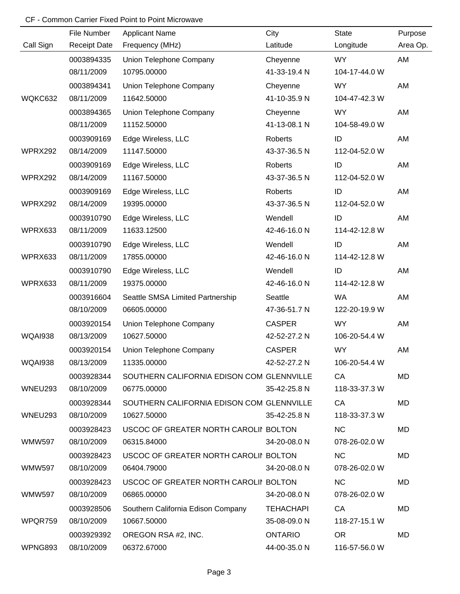|                | File Number         | <b>Applicant Name</b>                     | City           | <b>State</b>  | Purpose   |
|----------------|---------------------|-------------------------------------------|----------------|---------------|-----------|
| Call Sign      | <b>Receipt Date</b> | Frequency (MHz)                           | Latitude       | Longitude     | Area Op.  |
|                | 0003894335          | Union Telephone Company                   | Cheyenne       | <b>WY</b>     | AM        |
|                | 08/11/2009          | 10795.00000                               | 41-33-19.4 N   | 104-17-44.0 W |           |
|                | 0003894341          | Union Telephone Company                   | Cheyenne       | <b>WY</b>     | AM        |
| WQKC632        | 08/11/2009          | 11642.50000                               | 41-10-35.9 N   | 104-47-42.3 W |           |
|                | 0003894365          | Union Telephone Company                   | Cheyenne       | <b>WY</b>     | AM        |
|                | 08/11/2009          | 11152.50000                               | 41-13-08.1 N   | 104-58-49.0 W |           |
|                | 0003909169          | Edge Wireless, LLC                        | Roberts        | ID            | AM        |
| WPRX292        | 08/14/2009          | 11147.50000                               | 43-37-36.5 N   | 112-04-52.0 W |           |
|                | 0003909169          | Edge Wireless, LLC                        | Roberts        | ID            | AM        |
| WPRX292        | 08/14/2009          | 11167.50000                               | 43-37-36.5 N   | 112-04-52.0 W |           |
|                | 0003909169          | Edge Wireless, LLC                        | Roberts        | ID            | AM        |
| WPRX292        | 08/14/2009          | 19395.00000                               | 43-37-36.5 N   | 112-04-52.0 W |           |
|                | 0003910790          | Edge Wireless, LLC                        | Wendell        | ID            | AM        |
| WPRX633        | 08/11/2009          | 11633.12500                               | 42-46-16.0 N   | 114-42-12.8 W |           |
|                | 0003910790          | Edge Wireless, LLC                        | Wendell        | ID            | AM        |
| WPRX633        | 08/11/2009          | 17855.00000                               | 42-46-16.0 N   | 114-42-12.8 W |           |
|                | 0003910790          | Edge Wireless, LLC                        | Wendell        | ID            | AM        |
| WPRX633        | 08/11/2009          | 19375.00000                               | 42-46-16.0 N   | 114-42-12.8 W |           |
|                | 0003916604          | Seattle SMSA Limited Partnership          | Seattle        | <b>WA</b>     | AM        |
|                | 08/10/2009          | 06605.00000                               | 47-36-51.7 N   | 122-20-19.9 W |           |
|                | 0003920154          | Union Telephone Company                   | <b>CASPER</b>  | <b>WY</b>     | AM        |
| <b>WQAI938</b> | 08/13/2009          | 10627.50000                               | 42-52-27.2 N   | 106-20-54.4 W |           |
|                | 0003920154          | Union Telephone Company                   | <b>CASPER</b>  | <b>WY</b>     | AM        |
| WQAI938        | 08/13/2009          | 11335.00000                               | 42-52-27.2 N   | 106-20-54.4 W |           |
|                | 0003928344          | SOUTHERN CALIFORNIA EDISON COM GLENNVILLE |                | CA            | MD        |
| WNEU293        | 08/10/2009          | 06775.00000                               | 35-42-25.8 N   | 118-33-37.3 W |           |
|                | 0003928344          | SOUTHERN CALIFORNIA EDISON COM GLENNVILLE |                | CA            | MD        |
| WNEU293        | 08/10/2009          | 10627.50000                               | 35-42-25.8 N   | 118-33-37.3 W |           |
|                | 0003928423          | USCOC OF GREATER NORTH CAROLII BOLTON     |                | <b>NC</b>     | <b>MD</b> |
| <b>WMW597</b>  | 08/10/2009          | 06315.84000                               | 34-20-08.0 N   | 078-26-02.0 W |           |
|                | 0003928423          | USCOC OF GREATER NORTH CAROLII BOLTON     |                | <b>NC</b>     | MD        |
| <b>WMW597</b>  | 08/10/2009          | 06404.79000                               | 34-20-08.0 N   | 078-26-02.0 W |           |
|                | 0003928423          | USCOC OF GREATER NORTH CAROLII BOLTON     |                | <b>NC</b>     | <b>MD</b> |
| <b>WMW597</b>  | 08/10/2009          | 06865.00000                               | 34-20-08.0 N   | 078-26-02.0 W |           |
|                | 0003928506          | Southern California Edison Company        | TEHACHAPI      | CA            | MD        |
| WPQR759        | 08/10/2009          | 10667.50000                               | 35-08-09.0 N   | 118-27-15.1 W |           |
|                | 0003929392          | OREGON RSA #2, INC.                       | <b>ONTARIO</b> | <b>OR</b>     | <b>MD</b> |
| WPNG893        | 08/10/2009          | 06372.67000                               | 44-00-35.0 N   | 116-57-56.0 W |           |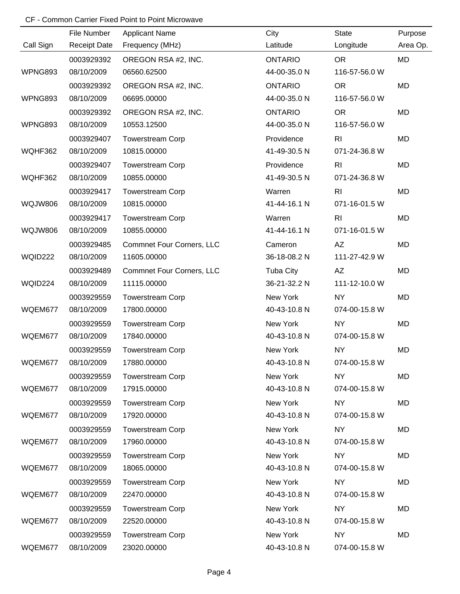|                | File Number         | <b>Applicant Name</b>            | City             | <b>State</b>   | Purpose   |
|----------------|---------------------|----------------------------------|------------------|----------------|-----------|
| Call Sign      | <b>Receipt Date</b> | Frequency (MHz)                  | Latitude         | Longitude      | Area Op.  |
|                | 0003929392          | OREGON RSA #2, INC.              | <b>ONTARIO</b>   | <b>OR</b>      | MD        |
| WPNG893        | 08/10/2009          | 06560.62500                      | 44-00-35.0 N     | 116-57-56.0 W  |           |
|                | 0003929392          | OREGON RSA #2, INC.              | <b>ONTARIO</b>   | <b>OR</b>      | MD        |
| WPNG893        | 08/10/2009          | 06695.00000                      | 44-00-35.0 N     | 116-57-56.0 W  |           |
|                | 0003929392          | OREGON RSA #2, INC.              | <b>ONTARIO</b>   | <b>OR</b>      | <b>MD</b> |
| WPNG893        | 08/10/2009          | 10553.12500                      | 44-00-35.0 N     | 116-57-56.0 W  |           |
|                | 0003929407          | <b>Towerstream Corp</b>          | Providence       | R <sub>1</sub> | MD        |
| WQHF362        | 08/10/2009          | 10815.00000                      | 41-49-30.5 N     | 071-24-36.8 W  |           |
|                | 0003929407          | <b>Towerstream Corp</b>          | Providence       | R <sub>l</sub> | MD        |
| WQHF362        | 08/10/2009          | 10855.00000                      | 41-49-30.5 N     | 071-24-36.8 W  |           |
|                | 0003929417          | <b>Towerstream Corp</b>          | Warren           | R <sub>l</sub> | MD        |
| <b>WQJW806</b> | 08/10/2009          | 10815.00000                      | 41-44-16.1 N     | 071-16-01.5 W  |           |
|                | 0003929417          | <b>Towerstream Corp</b>          | Warren           | R <sub>l</sub> | MD        |
| <b>WQJW806</b> | 08/10/2009          | 10855.00000                      | 41-44-16.1 N     | 071-16-01.5 W  |           |
|                | 0003929485          | <b>Commnet Four Corners, LLC</b> | Cameron          | AZ             | MD        |
| <b>WQID222</b> | 08/10/2009          | 11605.00000                      | 36-18-08.2 N     | 111-27-42.9 W  |           |
|                | 0003929489          | <b>Commnet Four Corners, LLC</b> | <b>Tuba City</b> | AZ             | MD        |
| WQID224        | 08/10/2009          | 11115.00000                      | 36-21-32.2 N     | 111-12-10.0 W  |           |
|                | 0003929559          | <b>Towerstream Corp</b>          | New York         | <b>NY</b>      | MD        |
| WQEM677        | 08/10/2009          | 17800.00000                      | 40-43-10.8 N     | 074-00-15.8 W  |           |
|                | 0003929559          | <b>Towerstream Corp</b>          | New York         | <b>NY</b>      | MD        |
| WQEM677        | 08/10/2009          | 17840.00000                      | 40-43-10.8 N     | 074-00-15.8 W  |           |
|                | 0003929559          | <b>Towerstream Corp</b>          | New York         | <b>NY</b>      | MD        |
| WQEM677        | 08/10/2009          | 17880.00000                      | 40-43-10.8 N     | 074-00-15.8 W  |           |
|                | 0003929559          | <b>Towerstream Corp</b>          | New York         | NY             | MD        |
| WQEM677        | 08/10/2009          | 17915.00000                      | 40-43-10.8 N     | 074-00-15.8 W  |           |
|                | 0003929559          | <b>Towerstream Corp</b>          | New York         | NY             | MD        |
| WQEM677        | 08/10/2009          | 17920.00000                      | 40-43-10.8 N     | 074-00-15.8 W  |           |
|                | 0003929559          | <b>Towerstream Corp</b>          | New York         | NY.            | MD        |
| WQEM677        | 08/10/2009          | 17960.00000                      | 40-43-10.8 N     | 074-00-15.8 W  |           |
|                | 0003929559          | <b>Towerstream Corp</b>          | New York         | NY             | MD        |
| WQEM677        | 08/10/2009          | 18065.00000                      | 40-43-10.8 N     | 074-00-15.8 W  |           |
|                | 0003929559          | <b>Towerstream Corp</b>          | New York         | NY             | MD        |
| WQEM677        | 08/10/2009          | 22470.00000                      | 40-43-10.8 N     | 074-00-15.8 W  |           |
|                | 0003929559          | <b>Towerstream Corp</b>          | New York         | NY             | MD        |
| WQEM677        | 08/10/2009          | 22520.00000                      | 40-43-10.8 N     | 074-00-15.8 W  |           |
|                | 0003929559          | <b>Towerstream Corp</b>          | New York         | NY             | MD        |
| WQEM677        | 08/10/2009          | 23020.00000                      | 40-43-10.8 N     | 074-00-15.8 W  |           |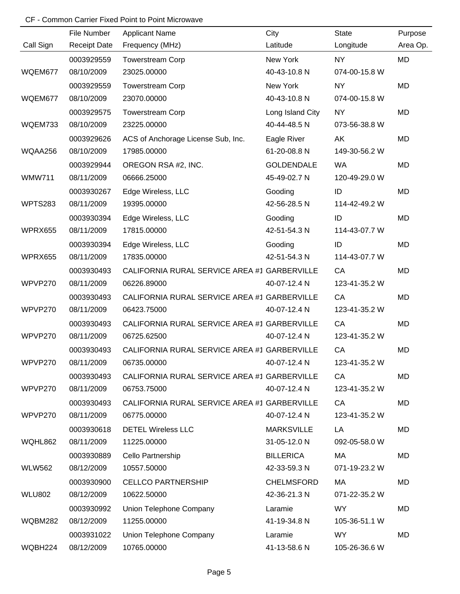|                | File Number         | <b>Applicant Name</b>                        | City              | State         | Purpose   |
|----------------|---------------------|----------------------------------------------|-------------------|---------------|-----------|
| Call Sign      | <b>Receipt Date</b> | Frequency (MHz)                              | Latitude          | Longitude     | Area Op.  |
|                | 0003929559          | <b>Towerstream Corp</b>                      | New York          | <b>NY</b>     | <b>MD</b> |
| WQEM677        | 08/10/2009          | 23025.00000                                  | 40-43-10.8 N      | 074-00-15.8 W |           |
|                | 0003929559          | <b>Towerstream Corp</b>                      | New York          | <b>NY</b>     | <b>MD</b> |
| WQEM677        | 08/10/2009          | 23070.00000                                  | 40-43-10.8 N      | 074-00-15.8 W |           |
|                | 0003929575          | <b>Towerstream Corp</b>                      | Long Island City  | <b>NY</b>     | MD        |
| WQEM733        | 08/10/2009          | 23225.00000                                  | 40-44-48.5 N      | 073-56-38.8 W |           |
|                | 0003929626          | ACS of Anchorage License Sub, Inc.           | Eagle River       | AK            | <b>MD</b> |
| WQAA256        | 08/10/2009          | 17985.00000                                  | 61-20-08.8 N      | 149-30-56.2 W |           |
|                | 0003929944          | OREGON RSA #2, INC.                          | <b>GOLDENDALE</b> | <b>WA</b>     | MD        |
| <b>WMW711</b>  | 08/11/2009          | 06666.25000                                  | 45-49-02.7 N      | 120-49-29.0 W |           |
|                | 0003930267          | Edge Wireless, LLC                           | Gooding           | ID            | MD        |
| WPTS283        | 08/11/2009          | 19395.00000                                  | 42-56-28.5 N      | 114-42-49.2 W |           |
|                | 0003930394          | Edge Wireless, LLC                           | Gooding           | ID            | MD        |
| <b>WPRX655</b> | 08/11/2009          | 17815.00000                                  | 42-51-54.3 N      | 114-43-07.7 W |           |
|                | 0003930394          | Edge Wireless, LLC                           | Gooding           | ID            | MD        |
| <b>WPRX655</b> | 08/11/2009          | 17835.00000                                  | 42-51-54.3 N      | 114-43-07.7 W |           |
|                | 0003930493          | CALIFORNIA RURAL SERVICE AREA #1 GARBERVILLE |                   | CA            | MD        |
| WPVP270        | 08/11/2009          | 06226.89000                                  | 40-07-12.4 N      | 123-41-35.2 W |           |
|                | 0003930493          | CALIFORNIA RURAL SERVICE AREA #1 GARBERVILLE |                   | CA            | MD        |
| WPVP270        | 08/11/2009          | 06423.75000                                  | 40-07-12.4 N      | 123-41-35.2 W |           |
|                | 0003930493          | CALIFORNIA RURAL SERVICE AREA #1 GARBERVILLE |                   | CA            | MD        |
| WPVP270        | 08/11/2009          | 06725.62500                                  | 40-07-12.4 N      | 123-41-35.2 W |           |
|                | 0003930493          | CALIFORNIA RURAL SERVICE AREA #1 GARBERVILLE |                   | CA            | MD        |
| WPVP270        | 08/11/2009          | 06735.00000                                  | 40-07-12.4 N      | 123-41-35.2 W |           |
|                | 0003930493          | CALIFORNIA RURAL SERVICE AREA #1 GARBERVILLE |                   | CA            | MD        |
| WPVP270        | 08/11/2009          | 06753.75000                                  | 40-07-12.4 N      | 123-41-35.2 W |           |
|                | 0003930493          | CALIFORNIA RURAL SERVICE AREA #1 GARBERVILLE |                   | CA            | MD        |
| <b>WPVP270</b> | 08/11/2009          | 06775.00000                                  | 40-07-12.4 N      | 123-41-35.2 W |           |
|                | 0003930618          | <b>DETEL Wireless LLC</b>                    | <b>MARKSVILLE</b> | LA            | MD        |
| WQHL862        | 08/11/2009          | 11225.00000                                  | 31-05-12.0 N      | 092-05-58.0 W |           |
|                | 0003930889          | Cello Partnership                            | <b>BILLERICA</b>  | МA            | MD        |
| <b>WLW562</b>  | 08/12/2009          | 10557.50000                                  | 42-33-59.3 N      | 071-19-23.2 W |           |
|                | 0003930900          | <b>CELLCO PARTNERSHIP</b>                    | <b>CHELMSFORD</b> | МA            | MD        |
| <b>WLU802</b>  | 08/12/2009          | 10622.50000                                  | 42-36-21.3 N      | 071-22-35.2 W |           |
|                | 0003930992          | Union Telephone Company                      | Laramie           | <b>WY</b>     | MD        |
| <b>WQBM282</b> | 08/12/2009          | 11255.00000                                  | 41-19-34.8 N      | 105-36-51.1 W |           |
|                | 0003931022          | Union Telephone Company                      | Laramie           | <b>WY</b>     | MD        |
| WQBH224        | 08/12/2009          | 10765.00000                                  | 41-13-58.6 N      | 105-26-36.6 W |           |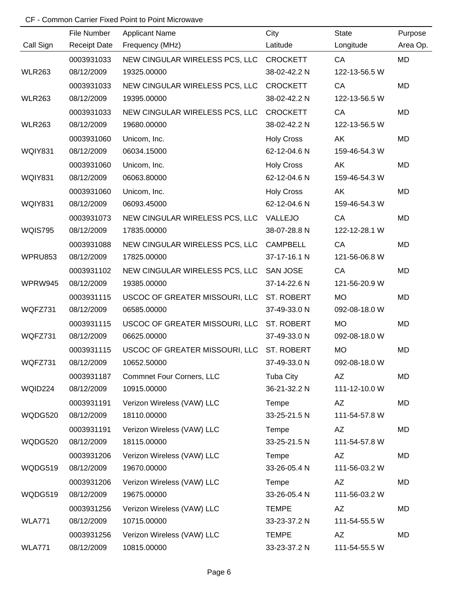| File Number<br><b>Applicant Name</b><br>Call Sign<br><b>Receipt Date</b> |                                           | City              |               |           |
|--------------------------------------------------------------------------|-------------------------------------------|-------------------|---------------|-----------|
|                                                                          |                                           |                   | <b>State</b>  | Purpose   |
|                                                                          | Frequency (MHz)                           | Latitude          | Longitude     | Area Op.  |
| 0003931033                                                               | NEW CINGULAR WIRELESS PCS, LLC            | <b>CROCKETT</b>   | CA            | MD        |
| <b>WLR263</b><br>08/12/2009<br>19325.00000                               |                                           | 38-02-42.2 N      | 122-13-56.5 W |           |
| 0003931033                                                               | NEW CINGULAR WIRELESS PCS, LLC            | <b>CROCKETT</b>   | CA            | MD        |
| <b>WLR263</b><br>08/12/2009<br>19395.00000                               |                                           | 38-02-42.2 N      | 122-13-56.5 W |           |
| 0003931033                                                               | NEW CINGULAR WIRELESS PCS, LLC            | <b>CROCKETT</b>   | CA            | MD        |
| <b>WLR263</b><br>08/12/2009<br>19680.00000                               |                                           | 38-02-42.2 N      | 122-13-56.5 W |           |
| 0003931060<br>Unicom, Inc.                                               |                                           | <b>Holy Cross</b> | AK            | MD        |
| <b>WQIY831</b><br>08/12/2009<br>06034.15000                              |                                           | 62-12-04.6 N      | 159-46-54.3 W |           |
| 0003931060<br>Unicom, Inc.                                               |                                           | <b>Holy Cross</b> | AK            | <b>MD</b> |
| WQIY831<br>08/12/2009<br>06063.80000                                     |                                           | 62-12-04.6 N      | 159-46-54.3 W |           |
| 0003931060<br>Unicom, Inc.                                               |                                           | <b>Holy Cross</b> | AK            | MD        |
| WQIY831<br>08/12/2009<br>06093.45000                                     |                                           | 62-12-04.6 N      | 159-46-54.3 W |           |
| 0003931073                                                               | NEW CINGULAR WIRELESS PCS, LLC            | VALLEJO           | CA            | <b>MD</b> |
| 08/12/2009<br><b>WQIS795</b><br>17835.00000                              |                                           | 38-07-28.8 N      | 122-12-28.1 W |           |
| 0003931088                                                               | NEW CINGULAR WIRELESS PCS, LLC            | <b>CAMPBELL</b>   | CA            | <b>MD</b> |
| WPRU853<br>08/12/2009<br>17825.00000                                     |                                           | 37-17-16.1 N      | 121-56-06.8 W |           |
| 0003931102                                                               | NEW CINGULAR WIRELESS PCS, LLC            | <b>SAN JOSE</b>   | CA            | <b>MD</b> |
| WPRW945<br>08/12/2009<br>19385.00000                                     |                                           | 37-14-22.6 N      | 121-56-20.9 W |           |
| 0003931115                                                               | USCOC OF GREATER MISSOURI, LLC            | ST. ROBERT        | <b>MO</b>     | <b>MD</b> |
| WQFZ731<br>08/12/2009<br>06585.00000                                     |                                           | 37-49-33.0 N      | 092-08-18.0 W |           |
| 0003931115                                                               | USCOC OF GREATER MISSOURI, LLC            | <b>ST. ROBERT</b> | <b>MO</b>     | MD        |
| WQFZ731<br>08/12/2009<br>06625.00000                                     |                                           | 37-49-33.0 N      | 092-08-18.0 W |           |
| 0003931115                                                               | USCOC OF GREATER MISSOURI, LLC ST. ROBERT |                   | <b>MO</b>     | <b>MD</b> |
| WQFZ731<br>08/12/2009<br>10652.50000                                     |                                           | 37-49-33.0 N      | 092-08-18.0 W |           |
| 0003931187                                                               | <b>Commnet Four Corners, LLC</b>          | Tuba City         | AZ            | MD        |
| WQID224<br>08/12/2009<br>10915.00000                                     |                                           | 36-21-32.2 N      | 111-12-10.0 W |           |
| 0003931191                                                               | Verizon Wireless (VAW) LLC                | Tempe             | AZ            | MD        |
| WQDG520<br>08/12/2009<br>18110.00000                                     |                                           | 33-25-21.5 N      | 111-54-57.8 W |           |
| 0003931191                                                               | Verizon Wireless (VAW) LLC                | Tempe             | AZ            | MD        |
| WQDG520<br>08/12/2009<br>18115.00000                                     |                                           | 33-25-21.5 N      | 111-54-57.8 W |           |
| 0003931206                                                               | Verizon Wireless (VAW) LLC                | Tempe             | AZ            | MD        |
| WQDG519<br>08/12/2009<br>19670.00000                                     |                                           | 33-26-05.4 N      | 111-56-03.2 W |           |
| 0003931206                                                               | Verizon Wireless (VAW) LLC                | Tempe             | AZ            | MD        |
| WQDG519<br>08/12/2009<br>19675.00000                                     |                                           | 33-26-05.4 N      | 111-56-03.2 W |           |
| 0003931256                                                               | Verizon Wireless (VAW) LLC                | <b>TEMPE</b>      | AZ            | MD        |
| <b>WLA771</b><br>08/12/2009<br>10715.00000                               |                                           | 33-23-37.2 N      | 111-54-55.5 W |           |
| 0003931256                                                               | Verizon Wireless (VAW) LLC                | <b>TEMPE</b>      | AZ            | MD        |
| <b>WLA771</b><br>08/12/2009<br>10815.00000                               |                                           | 33-23-37.2 N      | 111-54-55.5 W |           |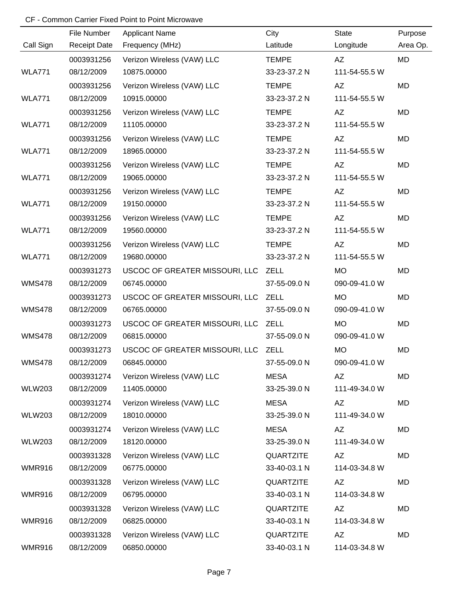|               | File Number         | <b>Applicant Name</b>               | City             | <b>State</b>  | Purpose   |
|---------------|---------------------|-------------------------------------|------------------|---------------|-----------|
| Call Sign     | <b>Receipt Date</b> | Frequency (MHz)                     | Latitude         | Longitude     | Area Op.  |
|               | 0003931256          | Verizon Wireless (VAW) LLC          | <b>TEMPE</b>     | AZ            | MD        |
| <b>WLA771</b> | 08/12/2009          | 10875.00000                         | 33-23-37.2 N     | 111-54-55.5 W |           |
|               | 0003931256          | Verizon Wireless (VAW) LLC          | <b>TEMPE</b>     | AZ            | MD        |
| <b>WLA771</b> | 08/12/2009          | 10915.00000                         | 33-23-37.2 N     | 111-54-55.5 W |           |
|               | 0003931256          | Verizon Wireless (VAW) LLC          | <b>TEMPE</b>     | AZ            | MD        |
| <b>WLA771</b> | 08/12/2009          | 11105.00000                         | 33-23-37.2 N     | 111-54-55.5 W |           |
|               | 0003931256          | Verizon Wireless (VAW) LLC          | <b>TEMPE</b>     | AZ            | MD        |
| <b>WLA771</b> | 08/12/2009          | 18965.00000                         | 33-23-37.2 N     | 111-54-55.5 W |           |
|               | 0003931256          | Verizon Wireless (VAW) LLC          | <b>TEMPE</b>     | AZ            | <b>MD</b> |
| <b>WLA771</b> | 08/12/2009          | 19065.00000                         | 33-23-37.2 N     | 111-54-55.5 W |           |
|               | 0003931256          | Verizon Wireless (VAW) LLC          | <b>TEMPE</b>     | AZ            | MD        |
| <b>WLA771</b> | 08/12/2009          | 19150.00000                         | 33-23-37.2 N     | 111-54-55.5 W |           |
|               | 0003931256          | Verizon Wireless (VAW) LLC          | <b>TEMPE</b>     | AZ            | <b>MD</b> |
| <b>WLA771</b> | 08/12/2009          | 19560.00000                         | 33-23-37.2 N     | 111-54-55.5 W |           |
|               | 0003931256          | Verizon Wireless (VAW) LLC          | <b>TEMPE</b>     | AZ            | <b>MD</b> |
| <b>WLA771</b> | 08/12/2009          | 19680.00000                         | 33-23-37.2 N     | 111-54-55.5 W |           |
|               | 0003931273          | USCOC OF GREATER MISSOURI, LLC      | <b>ZELL</b>      | <b>MO</b>     | <b>MD</b> |
| <b>WMS478</b> | 08/12/2009          | 06745.00000                         | 37-55-09.0 N     | 090-09-41.0 W |           |
|               | 0003931273          | USCOC OF GREATER MISSOURI, LLC      | <b>ZELL</b>      | <b>MO</b>     | MD        |
| <b>WMS478</b> | 08/12/2009          | 06765.00000                         | 37-55-09.0 N     | 090-09-41.0 W |           |
|               | 0003931273          | USCOC OF GREATER MISSOURI, LLC      | <b>ZELL</b>      | <b>MO</b>     | <b>MD</b> |
| <b>WMS478</b> | 08/12/2009          | 06815.00000                         | 37-55-09.0 N     | 090-09-41.0 W |           |
|               | 0003931273          | USCOC OF GREATER MISSOURI, LLC ZELL |                  | <b>MO</b>     | <b>MD</b> |
| <b>WMS478</b> | 08/12/2009          | 06845.00000                         | 37-55-09.0 N     | 090-09-41.0 W |           |
|               | 0003931274          | Verizon Wireless (VAW) LLC          | <b>MESA</b>      | AZ            | MD        |
| <b>WLW203</b> | 08/12/2009          | 11405.00000                         | 33-25-39.0 N     | 111-49-34.0 W |           |
|               | 0003931274          | Verizon Wireless (VAW) LLC          | <b>MESA</b>      | AZ            | MD        |
| <b>WLW203</b> | 08/12/2009          | 18010.00000                         | 33-25-39.0 N     | 111-49-34.0 W |           |
|               | 0003931274          | Verizon Wireless (VAW) LLC          | <b>MESA</b>      | AZ            | MD        |
| <b>WLW203</b> | 08/12/2009          | 18120.00000                         | 33-25-39.0 N     | 111-49-34.0 W |           |
|               | 0003931328          | Verizon Wireless (VAW) LLC          | QUARTZITE        | AZ            | MD        |
| <b>WMR916</b> | 08/12/2009          | 06775.00000                         | 33-40-03.1 N     | 114-03-34.8 W |           |
|               | 0003931328          | Verizon Wireless (VAW) LLC          | QUARTZITE        | AZ            | MD        |
| <b>WMR916</b> | 08/12/2009          | 06795.00000                         | 33-40-03.1 N     | 114-03-34.8 W |           |
|               | 0003931328          | Verizon Wireless (VAW) LLC          | QUARTZITE        | AZ            | MD        |
| <b>WMR916</b> | 08/12/2009          | 06825.00000                         | 33-40-03.1 N     | 114-03-34.8 W |           |
|               | 0003931328          | Verizon Wireless (VAW) LLC          | <b>QUARTZITE</b> | AZ            | MD        |
| <b>WMR916</b> | 08/12/2009          | 06850.00000                         | 33-40-03.1 N     | 114-03-34.8 W |           |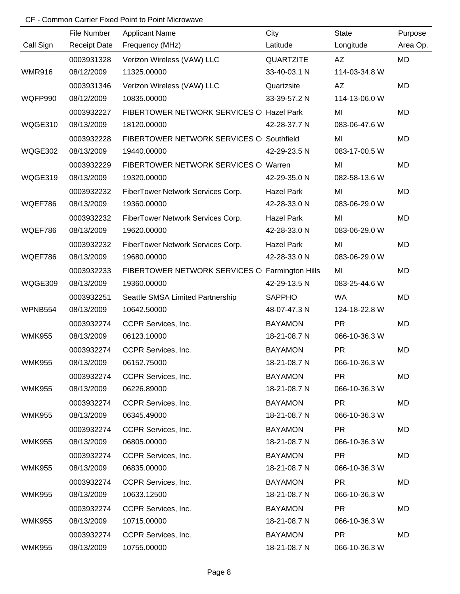|               | File Number         | <b>Applicant Name</b>                           | City              | <b>State</b>  | Purpose   |
|---------------|---------------------|-------------------------------------------------|-------------------|---------------|-----------|
| Call Sign     | <b>Receipt Date</b> | Frequency (MHz)                                 | Latitude          | Longitude     | Area Op.  |
|               | 0003931328          | Verizon Wireless (VAW) LLC                      | QUARTZITE         | AZ            | <b>MD</b> |
| <b>WMR916</b> | 08/12/2009          | 11325.00000                                     | 33-40-03.1 N      | 114-03-34.8 W |           |
|               | 0003931346          | Verizon Wireless (VAW) LLC                      | Quartzsite        | <b>AZ</b>     | <b>MD</b> |
| WQFP990       | 08/12/2009          | 10835.00000                                     | 33-39-57.2 N      | 114-13-06.0 W |           |
|               | 0003932227          | FIBERTOWER NETWORK SERVICES CI Hazel Park       |                   | MI            | MD        |
| WQGE310       | 08/13/2009          | 18120.00000                                     | 42-28-37.7 N      | 083-06-47.6 W |           |
|               | 0003932228          | FIBERTOWER NETWORK SERVICES C Southfield        |                   | MI            | MD        |
| WQGE302       | 08/13/2009          | 19440.00000                                     | 42-29-23.5 N      | 083-17-00.5 W |           |
|               | 0003932229          | FIBERTOWER NETWORK SERVICES CI Warren           |                   | MI            | MD        |
| WQGE319       | 08/13/2009          | 19320.00000                                     | 42-29-35.0 N      | 082-58-13.6 W |           |
|               | 0003932232          | FiberTower Network Services Corp.               | <b>Hazel Park</b> | MI            | MD        |
| WQEF786       | 08/13/2009          | 19360.00000                                     | 42-28-33.0 N      | 083-06-29.0 W |           |
|               | 0003932232          | FiberTower Network Services Corp.               | <b>Hazel Park</b> | MI            | MD        |
| WQEF786       | 08/13/2009          | 19620.00000                                     | 42-28-33.0 N      | 083-06-29.0 W |           |
|               | 0003932232          | FiberTower Network Services Corp.               | <b>Hazel Park</b> | MI            | MD        |
| WQEF786       | 08/13/2009          | 19680.00000                                     | 42-28-33.0 N      | 083-06-29.0 W |           |
|               | 0003932233          | FIBERTOWER NETWORK SERVICES CI Farmington Hills |                   | MI            | MD        |
| WQGE309       | 08/13/2009          | 19360.00000                                     | 42-29-13.5 N      | 083-25-44.6 W |           |
|               | 0003932251          | Seattle SMSA Limited Partnership                | <b>SAPPHO</b>     | <b>WA</b>     | MD        |
| WPNB554       | 08/13/2009          | 10642.50000                                     | 48-07-47.3 N      | 124-18-22.8 W |           |
|               | 0003932274          | CCPR Services, Inc.                             | <b>BAYAMON</b>    | <b>PR</b>     | MD        |
| <b>WMK955</b> | 08/13/2009          | 06123.10000                                     | 18-21-08.7 N      | 066-10-36.3 W |           |
|               | 0003932274          | CCPR Services, Inc.                             | <b>BAYAMON</b>    | <b>PR</b>     | MD        |
| <b>WMK955</b> | 08/13/2009          | 06152.75000                                     | 18-21-08.7 N      | 066-10-36.3 W |           |
|               | 0003932274          | CCPR Services, Inc.                             | <b>BAYAMON</b>    | <b>PR</b>     | MD        |
| <b>WMK955</b> | 08/13/2009          | 06226.89000                                     | 18-21-08.7 N      | 066-10-36.3 W |           |
|               | 0003932274          | CCPR Services, Inc.                             | <b>BAYAMON</b>    | <b>PR</b>     | MD        |
| <b>WMK955</b> | 08/13/2009          | 06345.49000                                     | 18-21-08.7 N      | 066-10-36.3 W |           |
|               | 0003932274          | CCPR Services, Inc.                             | <b>BAYAMON</b>    | PR.           | MD        |
| <b>WMK955</b> | 08/13/2009          | 06805.00000                                     | 18-21-08.7 N      | 066-10-36.3 W |           |
|               | 0003932274          | CCPR Services, Inc.                             | <b>BAYAMON</b>    | <b>PR</b>     | MD        |
| <b>WMK955</b> | 08/13/2009          | 06835.00000                                     | 18-21-08.7 N      | 066-10-36.3 W |           |
|               | 0003932274          | CCPR Services, Inc.                             | <b>BAYAMON</b>    | <b>PR</b>     | MD        |
| <b>WMK955</b> | 08/13/2009          | 10633.12500                                     | 18-21-08.7 N      | 066-10-36.3 W |           |
|               | 0003932274          | CCPR Services, Inc.                             | <b>BAYAMON</b>    | <b>PR</b>     | MD        |
| <b>WMK955</b> | 08/13/2009          | 10715.00000                                     | 18-21-08.7 N      | 066-10-36.3 W |           |
|               | 0003932274          | CCPR Services, Inc.                             | <b>BAYAMON</b>    | <b>PR</b>     | MD        |
| <b>WMK955</b> | 08/13/2009          | 10755.00000                                     | 18-21-08.7 N      | 066-10-36.3 W |           |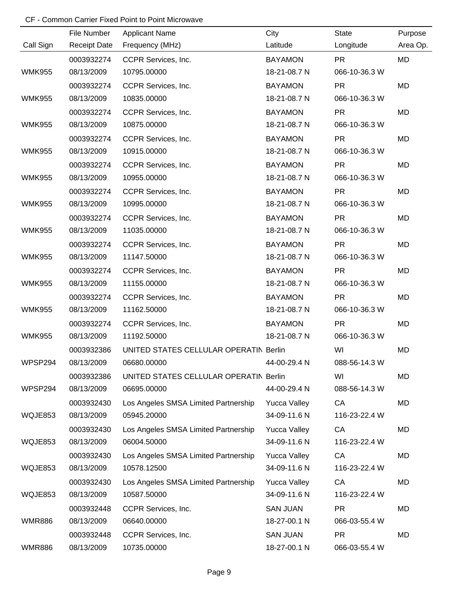|               | File Number         | <b>Applicant Name</b>                  | City                | <b>State</b>  | Purpose  |
|---------------|---------------------|----------------------------------------|---------------------|---------------|----------|
| Call Sign     | <b>Receipt Date</b> | Frequency (MHz)                        | Latitude            | Longitude     | Area Op. |
|               | 0003932274          | CCPR Services, Inc.                    | <b>BAYAMON</b>      | <b>PR</b>     | MD       |
| <b>WMK955</b> | 08/13/2009          | 10795.00000                            | 18-21-08.7 N        | 066-10-36.3 W |          |
|               | 0003932274          | CCPR Services, Inc.                    | <b>BAYAMON</b>      | <b>PR</b>     | MD       |
| <b>WMK955</b> | 08/13/2009          | 10835.00000                            | 18-21-08.7 N        | 066-10-36.3 W |          |
|               | 0003932274          | CCPR Services, Inc.                    | <b>BAYAMON</b>      | <b>PR</b>     | MD       |
| <b>WMK955</b> | 08/13/2009          | 10875.00000                            | 18-21-08.7 N        | 066-10-36.3 W |          |
|               | 0003932274          | CCPR Services, Inc.                    | <b>BAYAMON</b>      | <b>PR</b>     | MD       |
| <b>WMK955</b> | 08/13/2009          | 10915.00000                            | 18-21-08.7 N        | 066-10-36.3 W |          |
|               | 0003932274          | CCPR Services, Inc.                    | <b>BAYAMON</b>      | <b>PR</b>     | MD       |
| <b>WMK955</b> | 08/13/2009          | 10955.00000                            | 18-21-08.7 N        | 066-10-36.3 W |          |
|               | 0003932274          | CCPR Services, Inc.                    | <b>BAYAMON</b>      | <b>PR</b>     | MD       |
| <b>WMK955</b> | 08/13/2009          | 10995.00000                            | 18-21-08.7 N        | 066-10-36.3 W |          |
|               | 0003932274          | CCPR Services, Inc.                    | <b>BAYAMON</b>      | <b>PR</b>     | MD       |
| <b>WMK955</b> | 08/13/2009          | 11035.00000                            | 18-21-08.7 N        | 066-10-36.3 W |          |
|               | 0003932274          | CCPR Services, Inc.                    | <b>BAYAMON</b>      | <b>PR</b>     | MD       |
| <b>WMK955</b> | 08/13/2009          | 11147.50000                            | 18-21-08.7 N        | 066-10-36.3 W |          |
|               | 0003932274          | CCPR Services, Inc.                    | <b>BAYAMON</b>      | <b>PR</b>     | MD       |
| <b>WMK955</b> | 08/13/2009          | 11155.00000                            | 18-21-08.7 N        | 066-10-36.3 W |          |
|               | 0003932274          | CCPR Services, Inc.                    | <b>BAYAMON</b>      | <b>PR</b>     | MD       |
| <b>WMK955</b> | 08/13/2009          | 11162.50000                            | 18-21-08.7 N        | 066-10-36.3 W |          |
|               | 0003932274          | CCPR Services, Inc.                    | <b>BAYAMON</b>      | <b>PR</b>     | MD       |
| <b>WMK955</b> | 08/13/2009          | 11192.50000                            | 18-21-08.7 N        | 066-10-36.3 W |          |
|               | 0003932386          | UNITED STATES CELLULAR OPERATIN Berlin |                     | WI            | MD       |
| WPSP294       | 08/13/2009          | 06680.00000                            | 44-00-29.4 N        | 088-56-14.3 W |          |
|               | 0003932386          | UNITED STATES CELLULAR OPERATIN Berlin |                     | WI            | MD       |
| WPSP294       | 08/13/2009          | 06695.00000                            | 44-00-29.4 N        | 088-56-14.3 W |          |
|               | 0003932430          | Los Angeles SMSA Limited Partnership   | <b>Yucca Valley</b> | CA            | MD       |
| WQJE853       | 08/13/2009          | 05945.20000                            | 34-09-11.6 N        | 116-23-22.4 W |          |
|               | 0003932430          | Los Angeles SMSA Limited Partnership   | <b>Yucca Valley</b> | CA            | MD       |
| WQJE853       | 08/13/2009          | 06004.50000                            | 34-09-11.6 N        | 116-23-22.4 W |          |
|               | 0003932430          | Los Angeles SMSA Limited Partnership   | <b>Yucca Valley</b> | CA            | MD       |
| WQJE853       | 08/13/2009          | 10578.12500                            | 34-09-11.6 N        | 116-23-22.4 W |          |
|               | 0003932430          | Los Angeles SMSA Limited Partnership   | <b>Yucca Valley</b> | CA            | MD       |
| WQJE853       | 08/13/2009          | 10587.50000                            | 34-09-11.6 N        | 116-23-22.4 W |          |
|               | 0003932448          | CCPR Services, Inc.                    | <b>SAN JUAN</b>     | <b>PR</b>     | MD       |
| <b>WMR886</b> | 08/13/2009          | 06640.00000                            | 18-27-00.1 N        | 066-03-55.4 W |          |
|               | 0003932448          | CCPR Services, Inc.                    | <b>SAN JUAN</b>     | <b>PR</b>     | MD       |
| <b>WMR886</b> | 08/13/2009          | 10735.00000                            | 18-27-00.1 N        | 066-03-55.4 W |          |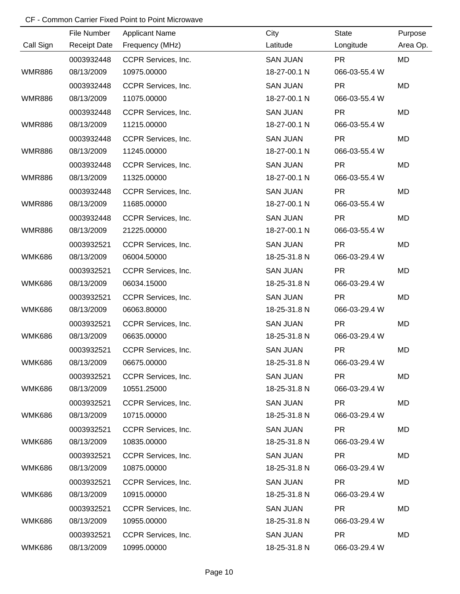|               | File Number         | <b>Applicant Name</b> | City            | <b>State</b>  | Purpose   |
|---------------|---------------------|-----------------------|-----------------|---------------|-----------|
| Call Sign     | <b>Receipt Date</b> | Frequency (MHz)       | Latitude        | Longitude     | Area Op.  |
|               | 0003932448          | CCPR Services, Inc.   | <b>SAN JUAN</b> | <b>PR</b>     | <b>MD</b> |
| <b>WMR886</b> | 08/13/2009          | 10975.00000           | 18-27-00.1 N    | 066-03-55.4 W |           |
|               | 0003932448          | CCPR Services, Inc.   | <b>SAN JUAN</b> | <b>PR</b>     | <b>MD</b> |
| <b>WMR886</b> | 08/13/2009          | 11075.00000           | 18-27-00.1 N    | 066-03-55.4 W |           |
|               | 0003932448          | CCPR Services, Inc.   | <b>SAN JUAN</b> | <b>PR</b>     | <b>MD</b> |
| <b>WMR886</b> | 08/13/2009          | 11215.00000           | 18-27-00.1 N    | 066-03-55.4 W |           |
|               | 0003932448          | CCPR Services, Inc.   | <b>SAN JUAN</b> | <b>PR</b>     | MD        |
| <b>WMR886</b> | 08/13/2009          | 11245.00000           | 18-27-00.1 N    | 066-03-55.4 W |           |
|               | 0003932448          | CCPR Services, Inc.   | <b>SAN JUAN</b> | <b>PR</b>     | MD        |
| <b>WMR886</b> | 08/13/2009          | 11325.00000           | 18-27-00.1 N    | 066-03-55.4 W |           |
|               | 0003932448          | CCPR Services, Inc.   | <b>SAN JUAN</b> | <b>PR</b>     | MD        |
| <b>WMR886</b> | 08/13/2009          | 11685.00000           | 18-27-00.1 N    | 066-03-55.4 W |           |
|               | 0003932448          | CCPR Services, Inc.   | <b>SAN JUAN</b> | <b>PR</b>     | MD        |
| <b>WMR886</b> | 08/13/2009          | 21225.00000           | 18-27-00.1 N    | 066-03-55.4 W |           |
|               | 0003932521          | CCPR Services, Inc.   | <b>SAN JUAN</b> | <b>PR</b>     | MD        |
| <b>WMK686</b> | 08/13/2009          | 06004.50000           | 18-25-31.8 N    | 066-03-29.4 W |           |
|               | 0003932521          | CCPR Services, Inc.   | <b>SAN JUAN</b> | <b>PR</b>     | MD        |
| <b>WMK686</b> | 08/13/2009          | 06034.15000           | 18-25-31.8 N    | 066-03-29.4 W |           |
|               | 0003932521          | CCPR Services, Inc.   | <b>SAN JUAN</b> | <b>PR</b>     | MD        |
| <b>WMK686</b> | 08/13/2009          | 06063.80000           | 18-25-31.8 N    | 066-03-29.4 W |           |
|               | 0003932521          | CCPR Services, Inc.   | <b>SAN JUAN</b> | <b>PR</b>     | MD        |
| <b>WMK686</b> | 08/13/2009          | 06635.00000           | 18-25-31.8 N    | 066-03-29.4 W |           |
|               | 0003932521          | CCPR Services, Inc.   | <b>SAN JUAN</b> | <b>PR</b>     | MD        |
| <b>WMK686</b> | 08/13/2009          | 06675.00000           | 18-25-31.8 N    | 066-03-29.4 W |           |
|               | 0003932521          | CCPR Services, Inc.   | <b>SAN JUAN</b> | <b>PR</b>     | MD        |
| <b>WMK686</b> | 08/13/2009          | 10551.25000           | 18-25-31.8 N    | 066-03-29.4 W |           |
|               | 0003932521          | CCPR Services, Inc.   | <b>SAN JUAN</b> | <b>PR</b>     | MD        |
| <b>WMK686</b> | 08/13/2009          | 10715.00000           | 18-25-31.8 N    | 066-03-29.4 W |           |
|               | 0003932521          | CCPR Services, Inc.   | <b>SAN JUAN</b> | <b>PR</b>     | MD        |
| <b>WMK686</b> | 08/13/2009          | 10835.00000           | 18-25-31.8 N    | 066-03-29.4 W |           |
|               | 0003932521          | CCPR Services, Inc.   | <b>SAN JUAN</b> | <b>PR</b>     | MD        |
| <b>WMK686</b> | 08/13/2009          | 10875.00000           | 18-25-31.8 N    | 066-03-29.4 W |           |
|               | 0003932521          | CCPR Services, Inc.   | <b>SAN JUAN</b> | <b>PR</b>     | MD        |
| <b>WMK686</b> | 08/13/2009          | 10915.00000           | 18-25-31.8 N    | 066-03-29.4 W |           |
|               | 0003932521          | CCPR Services, Inc.   | <b>SAN JUAN</b> | <b>PR</b>     | MD        |
| <b>WMK686</b> | 08/13/2009          | 10955.00000           | 18-25-31.8 N    | 066-03-29.4 W |           |
|               | 0003932521          | CCPR Services, Inc.   | <b>SAN JUAN</b> | <b>PR</b>     | MD        |
| <b>WMK686</b> | 08/13/2009          | 10995.00000           | 18-25-31.8 N    | 066-03-29.4 W |           |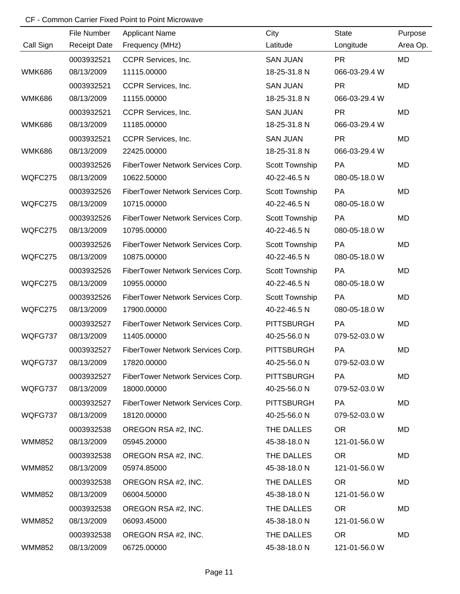|               | File Number         | <b>Applicant Name</b>             | City              | <b>State</b>  | Purpose   |
|---------------|---------------------|-----------------------------------|-------------------|---------------|-----------|
| Call Sign     | <b>Receipt Date</b> | Frequency (MHz)                   | Latitude          | Longitude     | Area Op.  |
|               | 0003932521          | CCPR Services, Inc.               | <b>SAN JUAN</b>   | <b>PR</b>     | <b>MD</b> |
| <b>WMK686</b> | 08/13/2009          | 11115.00000                       | 18-25-31.8 N      | 066-03-29.4 W |           |
|               | 0003932521          | CCPR Services, Inc.               | <b>SAN JUAN</b>   | <b>PR</b>     | MD        |
| <b>WMK686</b> | 08/13/2009          | 11155.00000                       | 18-25-31.8 N      | 066-03-29.4 W |           |
|               | 0003932521          | CCPR Services, Inc.               | <b>SAN JUAN</b>   | <b>PR</b>     | MD        |
| <b>WMK686</b> | 08/13/2009          | 11185.00000                       | 18-25-31.8 N      | 066-03-29.4 W |           |
|               | 0003932521          | CCPR Services, Inc.               | <b>SAN JUAN</b>   | <b>PR</b>     | MD        |
| <b>WMK686</b> | 08/13/2009          | 22425.00000                       | 18-25-31.8 N      | 066-03-29.4 W |           |
|               | 0003932526          | FiberTower Network Services Corp. | Scott Township    | PA            | MD        |
| WQFC275       | 08/13/2009          | 10622.50000                       | 40-22-46.5 N      | 080-05-18.0 W |           |
|               | 0003932526          | FiberTower Network Services Corp. | Scott Township    | PA            | MD        |
| WQFC275       | 08/13/2009          | 10715.00000                       | 40-22-46.5 N      | 080-05-18.0 W |           |
|               | 0003932526          | FiberTower Network Services Corp. | Scott Township    | PA            | MD        |
| WQFC275       | 08/13/2009          | 10795.00000                       | 40-22-46.5 N      | 080-05-18.0 W |           |
|               | 0003932526          | FiberTower Network Services Corp. | Scott Township    | PA            | MD        |
| WQFC275       | 08/13/2009          | 10875.00000                       | 40-22-46.5 N      | 080-05-18.0 W |           |
|               | 0003932526          | FiberTower Network Services Corp. | Scott Township    | PA            | MD        |
| WQFC275       | 08/13/2009          | 10955.00000                       | 40-22-46.5 N      | 080-05-18.0 W |           |
|               | 0003932526          | FiberTower Network Services Corp. | Scott Township    | PA            | MD        |
| WQFC275       | 08/13/2009          | 17900.00000                       | 40-22-46.5 N      | 080-05-18.0 W |           |
|               | 0003932527          | FiberTower Network Services Corp. | <b>PITTSBURGH</b> | PA            | MD        |
| WQFG737       | 08/13/2009          | 11405.00000                       | 40-25-56.0 N      | 079-52-03.0 W |           |
|               | 0003932527          | FiberTower Network Services Corp. | <b>PITTSBURGH</b> | PA            | MD        |
| WQFG737       | 08/13/2009          | 17820.00000                       | 40-25-56.0 N      | 079-52-03.0 W |           |
|               | 0003932527          | FiberTower Network Services Corp. | <b>PITTSBURGH</b> | PA            | MD        |
| WQFG737       | 08/13/2009          | 18000.00000                       | 40-25-56.0 N      | 079-52-03.0 W |           |
|               | 0003932527          | FiberTower Network Services Corp. | <b>PITTSBURGH</b> | PA            | MD        |
| WQFG737       | 08/13/2009          | 18120.00000                       | 40-25-56.0 N      | 079-52-03.0 W |           |
|               | 0003932538          | OREGON RSA #2, INC.               | THE DALLES        | <b>OR</b>     | MD        |
| <b>WMM852</b> | 08/13/2009          | 05945.20000                       | 45-38-18.0 N      | 121-01-56.0 W |           |
|               | 0003932538          | OREGON RSA #2, INC.               | THE DALLES        | <b>OR</b>     | MD        |
| WMM852        | 08/13/2009          | 05974.85000                       | 45-38-18.0 N      | 121-01-56.0 W |           |
|               | 0003932538          | OREGON RSA #2, INC.               | THE DALLES        | <b>OR</b>     | MD        |
| <b>WMM852</b> | 08/13/2009          | 06004.50000                       | 45-38-18.0 N      | 121-01-56.0 W |           |
|               | 0003932538          | OREGON RSA #2, INC.               | THE DALLES        | <b>OR</b>     | MD        |
| <b>WMM852</b> | 08/13/2009          | 06093.45000                       | 45-38-18.0 N      | 121-01-56.0 W |           |
|               | 0003932538          | OREGON RSA #2, INC.               | THE DALLES        | <b>OR</b>     | MD        |
| <b>WMM852</b> | 08/13/2009          | 06725.00000                       | 45-38-18.0 N      | 121-01-56.0 W |           |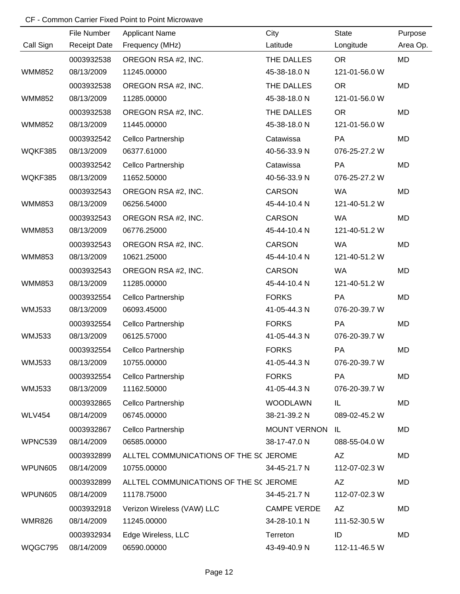|               | File Number         | <b>Applicant Name</b>                  | City                | <b>State</b>  | Purpose  |
|---------------|---------------------|----------------------------------------|---------------------|---------------|----------|
| Call Sign     | <b>Receipt Date</b> | Frequency (MHz)                        | Latitude            | Longitude     | Area Op. |
|               | 0003932538          | OREGON RSA #2, INC.                    | THE DALLES          | <b>OR</b>     | MD       |
| <b>WMM852</b> | 08/13/2009          | 11245.00000                            | 45-38-18.0 N        | 121-01-56.0 W |          |
|               | 0003932538          | OREGON RSA #2, INC.                    | THE DALLES          | OR            | MD       |
| <b>WMM852</b> | 08/13/2009          | 11285.00000                            | 45-38-18.0 N        | 121-01-56.0 W |          |
|               | 0003932538          | OREGON RSA #2, INC.                    | THE DALLES          | <b>OR</b>     | MD       |
| <b>WMM852</b> | 08/13/2009          | 11445.00000                            | 45-38-18.0 N        | 121-01-56.0 W |          |
|               | 0003932542          | Cellco Partnership                     | Catawissa           | PA            | MD       |
| WQKF385       | 08/13/2009          | 06377.61000                            | 40-56-33.9 N        | 076-25-27.2 W |          |
|               | 0003932542          | Cellco Partnership                     | Catawissa           | PA            | MD       |
| WQKF385       | 08/13/2009          | 11652.50000                            | 40-56-33.9 N        | 076-25-27.2 W |          |
|               | 0003932543          | OREGON RSA #2, INC.                    | <b>CARSON</b>       | <b>WA</b>     | MD       |
| <b>WMM853</b> | 08/13/2009          | 06256.54000                            | 45-44-10.4 N        | 121-40-51.2 W |          |
|               | 0003932543          | OREGON RSA #2, INC.                    | <b>CARSON</b>       | <b>WA</b>     | MD       |
| <b>WMM853</b> | 08/13/2009          | 06776.25000                            | 45-44-10.4 N        | 121-40-51.2 W |          |
|               | 0003932543          | OREGON RSA #2, INC.                    | <b>CARSON</b>       | <b>WA</b>     | MD       |
| <b>WMM853</b> | 08/13/2009          | 10621.25000                            | 45-44-10.4 N        | 121-40-51.2 W |          |
|               | 0003932543          | OREGON RSA #2, INC.                    | <b>CARSON</b>       | <b>WA</b>     | MD       |
| <b>WMM853</b> | 08/13/2009          | 11285.00000                            | 45-44-10.4 N        | 121-40-51.2 W |          |
|               | 0003932554          | Cellco Partnership                     | <b>FORKS</b>        | PA            | MD       |
| <b>WMJ533</b> | 08/13/2009          | 06093.45000                            | 41-05-44.3 N        | 076-20-39.7 W |          |
|               | 0003932554          | Cellco Partnership                     | <b>FORKS</b>        | PA            | MD       |
| <b>WMJ533</b> | 08/13/2009          | 06125.57000                            | 41-05-44.3 N        | 076-20-39.7 W |          |
|               | 0003932554          | Cellco Partnership                     | <b>FORKS</b>        | PA            | MD       |
| <b>WMJ533</b> | 08/13/2009          | 10755.00000                            | 41-05-44.3 N        | 076-20-39.7 W |          |
|               | 0003932554          | Cellco Partnership                     | <b>FORKS</b>        | PA            | MD       |
| <b>WMJ533</b> | 08/13/2009          | 11162.50000                            | 41-05-44.3 N        | 076-20-39.7 W |          |
|               | 0003932865          | Cellco Partnership                     | <b>WOODLAWN</b>     | IL.           | MD       |
| <b>WLV454</b> | 08/14/2009          | 06745.00000                            | 38-21-39.2 N        | 089-02-45.2 W |          |
|               | 0003932867          | Cellco Partnership                     | <b>MOUNT VERNON</b> | IL            | MD       |
| WPNC539       | 08/14/2009          | 06585.00000                            | 38-17-47.0 N        | 088-55-04.0 W |          |
|               | 0003932899          | ALLTEL COMMUNICATIONS OF THE SC JEROME |                     | AZ            | MD       |
| WPUN605       | 08/14/2009          | 10755.00000                            | 34-45-21.7 N        | 112-07-02.3 W |          |
|               | 0003932899          | ALLTEL COMMUNICATIONS OF THE SC JEROME |                     | AZ            | MD       |
| WPUN605       | 08/14/2009          | 11178.75000                            | 34-45-21.7 N        | 112-07-02.3 W |          |
|               | 0003932918          | Verizon Wireless (VAW) LLC             | <b>CAMPE VERDE</b>  | AZ            | MD       |
| <b>WMR826</b> | 08/14/2009          | 11245.00000                            | 34-28-10.1 N        | 111-52-30.5 W |          |
|               | 0003932934          | Edge Wireless, LLC                     | Terreton            | ID            | MD       |
| WQGC795       | 08/14/2009          | 06590.00000                            | 43-49-40.9 N        | 112-11-46.5 W |          |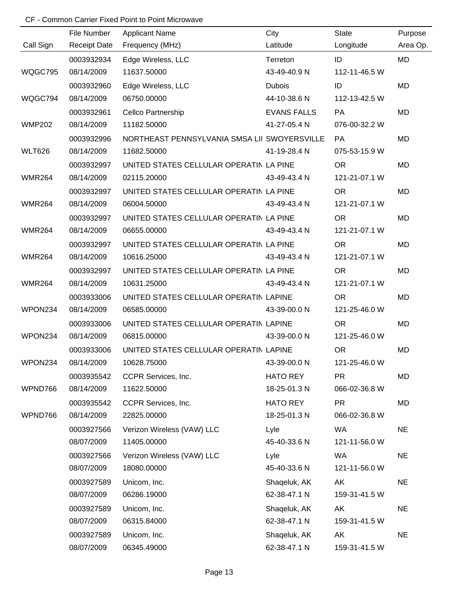|               | File Number         | <b>Applicant Name</b>                        | City               | State         | Purpose   |
|---------------|---------------------|----------------------------------------------|--------------------|---------------|-----------|
| Call Sign     | <b>Receipt Date</b> | Frequency (MHz)                              | Latitude           | Longitude     | Area Op.  |
|               | 0003932934          | Edge Wireless, LLC                           | Terreton           | ID            | <b>MD</b> |
| WQGC795       | 08/14/2009          | 11637.50000                                  | 43-49-40.9 N       | 112-11-46.5 W |           |
|               | 0003932960          | Edge Wireless, LLC                           | <b>Dubois</b>      | ID            | <b>MD</b> |
| WQGC794       | 08/14/2009          | 06750.00000                                  | 44-10-38.6 N       | 112-13-42.5 W |           |
|               | 0003932961          | Cellco Partnership                           | <b>EVANS FALLS</b> | <b>PA</b>     | <b>MD</b> |
| <b>WMP202</b> | 08/14/2009          | 11182.50000                                  | 41-27-05.4 N       | 076-00-32.2 W |           |
|               | 0003932996          | NORTHEAST PENNSYLVANIA SMSA LII SWOYERSVILLE |                    | PA            | <b>MD</b> |
| <b>WLT626</b> | 08/14/2009          | 11682.50000                                  | 41-19-28.4 N       | 075-53-15.9 W |           |
|               | 0003932997          | UNITED STATES CELLULAR OPERATIN LA PINE      |                    | <b>OR</b>     | MD        |
| <b>WMR264</b> | 08/14/2009          | 02115.20000                                  | 43-49-43.4 N       | 121-21-07.1 W |           |
|               | 0003932997          | UNITED STATES CELLULAR OPERATIN LA PINE      |                    | <b>OR</b>     | MD        |
| <b>WMR264</b> | 08/14/2009          | 06004.50000                                  | 43-49-43.4 N       | 121-21-07.1 W |           |
|               | 0003932997          | UNITED STATES CELLULAR OPERATIN LA PINE      |                    | <b>OR</b>     | MD        |
| <b>WMR264</b> | 08/14/2009          | 06655.00000                                  | 43-49-43.4 N       | 121-21-07.1 W |           |
|               | 0003932997          | UNITED STATES CELLULAR OPERATIN LA PINE      |                    | OR.           | MD        |
| <b>WMR264</b> | 08/14/2009          | 10616.25000                                  | 43-49-43.4 N       | 121-21-07.1 W |           |
|               | 0003932997          | UNITED STATES CELLULAR OPERATIN LA PINE      |                    | <b>OR</b>     | MD        |
| <b>WMR264</b> | 08/14/2009          | 10631.25000                                  | 43-49-43.4 N       | 121-21-07.1 W |           |
|               | 0003933006          | UNITED STATES CELLULAR OPERATIN LAPINE       |                    | <b>OR</b>     | MD        |
| WPON234       | 08/14/2009          | 06585.00000                                  | 43-39-00.0 N       | 121-25-46.0 W |           |
|               | 0003933006          | UNITED STATES CELLULAR OPERATIN LAPINE       |                    | <b>OR</b>     | MD        |
| WPON234       | 08/14/2009          | 06815.00000                                  | 43-39-00.0 N       | 121-25-46.0 W |           |
|               | 0003933006          | UNITED STATES CELLULAR OPERATIN LAPINE       |                    | <b>OR</b>     | MD        |
| WPON234       | 08/14/2009          | 10628.75000                                  | 43-39-00.0 N       | 121-25-46.0 W |           |
|               | 0003935542          | CCPR Services, Inc.                          | <b>HATO REY</b>    | <b>PR</b>     | MD        |
| WPND766       | 08/14/2009          | 11622.50000                                  | 18-25-01.3 N       | 066-02-36.8 W |           |
|               | 0003935542          | CCPR Services, Inc.                          | <b>HATO REY</b>    | <b>PR</b>     | MD        |
| WPND766       | 08/14/2009          | 22825.00000                                  | 18-25-01.3 N       | 066-02-36.8 W |           |
|               | 0003927566          | Verizon Wireless (VAW) LLC                   | Lyle               | WA            | <b>NE</b> |
|               | 08/07/2009          | 11405.00000                                  | 45-40-33.6 N       | 121-11-56.0 W |           |
|               | 0003927566          | Verizon Wireless (VAW) LLC                   | Lyle               | <b>WA</b>     | <b>NE</b> |
|               | 08/07/2009          | 18080.00000                                  | 45-40-33.6 N       | 121-11-56.0 W |           |
|               | 0003927589          | Unicom, Inc.                                 | Shaqeluk, AK       | AK            | <b>NE</b> |
|               | 08/07/2009          | 06286.19000                                  | 62-38-47.1 N       | 159-31-41.5 W |           |
|               | 0003927589          | Unicom, Inc.                                 | Shaqeluk, AK       | AK            | <b>NE</b> |
|               | 08/07/2009          | 06315.84000                                  | 62-38-47.1 N       | 159-31-41.5 W |           |
|               | 0003927589          | Unicom, Inc.                                 | Shaqeluk, AK       | AK            | <b>NE</b> |
|               | 08/07/2009          | 06345.49000                                  | 62-38-47.1 N       | 159-31-41.5 W |           |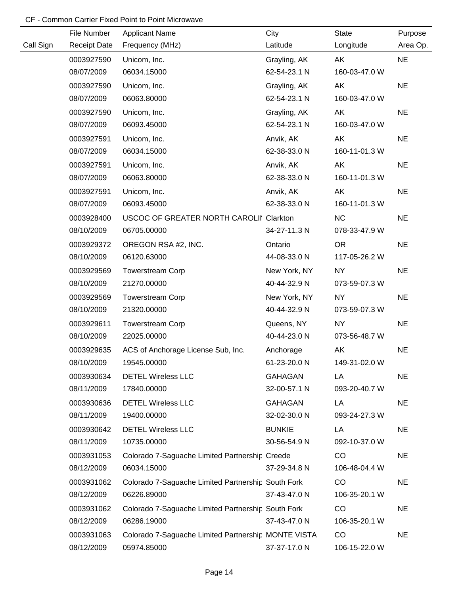|           | File Number         | <b>Applicant Name</b>                               | City           | <b>State</b>  | Purpose   |
|-----------|---------------------|-----------------------------------------------------|----------------|---------------|-----------|
| Call Sign | <b>Receipt Date</b> | Frequency (MHz)                                     | Latitude       | Longitude     | Area Op.  |
|           | 0003927590          | Unicom, Inc.                                        | Grayling, AK   | AK            | <b>NE</b> |
|           | 08/07/2009          | 06034.15000                                         | 62-54-23.1 N   | 160-03-47.0 W |           |
|           | 0003927590          | Unicom, Inc.                                        | Grayling, AK   | AK            | <b>NE</b> |
|           | 08/07/2009          | 06063.80000                                         | 62-54-23.1 N   | 160-03-47.0 W |           |
|           | 0003927590          | Unicom, Inc.                                        | Grayling, AK   | AK            | <b>NE</b> |
|           | 08/07/2009          | 06093.45000                                         | 62-54-23.1 N   | 160-03-47.0 W |           |
|           | 0003927591          | Unicom, Inc.                                        | Anvik, AK      | AK            | <b>NE</b> |
|           | 08/07/2009          | 06034.15000                                         | 62-38-33.0 N   | 160-11-01.3 W |           |
|           | 0003927591          | Unicom, Inc.                                        | Anvik, AK      | AK            | <b>NE</b> |
|           | 08/07/2009          | 06063.80000                                         | 62-38-33.0 N   | 160-11-01.3 W |           |
|           | 0003927591          | Unicom, Inc.                                        | Anvik, AK      | AK            | <b>NE</b> |
|           | 08/07/2009          | 06093.45000                                         | 62-38-33.0 N   | 160-11-01.3 W |           |
|           | 0003928400          | USCOC OF GREATER NORTH CAROLII Clarkton             |                | <b>NC</b>     | <b>NE</b> |
|           | 08/10/2009          | 06705.00000                                         | 34-27-11.3 N   | 078-33-47.9 W |           |
|           | 0003929372          | OREGON RSA #2, INC.                                 | Ontario        | <b>OR</b>     | <b>NE</b> |
|           | 08/10/2009          | 06120.63000                                         | 44-08-33.0 N   | 117-05-26.2 W |           |
|           | 0003929569          | <b>Towerstream Corp</b>                             | New York, NY   | <b>NY</b>     | <b>NE</b> |
|           | 08/10/2009          | 21270.00000                                         | 40-44-32.9 N   | 073-59-07.3 W |           |
|           | 0003929569          | <b>Towerstream Corp</b>                             | New York, NY   | <b>NY</b>     | <b>NE</b> |
|           | 08/10/2009          | 21320.00000                                         | 40-44-32.9 N   | 073-59-07.3 W |           |
|           | 0003929611          | <b>Towerstream Corp</b>                             | Queens, NY     | <b>NY</b>     | <b>NE</b> |
|           | 08/10/2009          | 22025.00000                                         | 40-44-23.0 N   | 073-56-48.7 W |           |
|           | 0003929635          | ACS of Anchorage License Sub, Inc.                  | Anchorage      | AK            | <b>NE</b> |
|           | 08/10/2009          | 19545.00000                                         | 61-23-20.0 N   | 149-31-02.0 W |           |
|           | 0003930634          | <b>DETEL Wireless LLC</b>                           | <b>GAHAGAN</b> | LA            | <b>NE</b> |
|           | 08/11/2009          | 17840.00000                                         | 32-00-57.1 N   | 093-20-40.7 W |           |
|           | 0003930636          | <b>DETEL Wireless LLC</b>                           | <b>GAHAGAN</b> | LA            | <b>NE</b> |
|           | 08/11/2009          | 19400.00000                                         | 32-02-30.0 N   | 093-24-27.3 W |           |
|           | 0003930642          | <b>DETEL Wireless LLC</b>                           | <b>BUNKIE</b>  | LA            | <b>NE</b> |
|           | 08/11/2009          | 10735.00000                                         | 30-56-54.9 N   | 092-10-37.0 W |           |
|           | 0003931053          | Colorado 7-Saguache Limited Partnership Creede      |                | CO            | <b>NE</b> |
|           | 08/12/2009          | 06034.15000                                         | 37-29-34.8 N   | 106-48-04.4 W |           |
|           | 0003931062          | Colorado 7-Saguache Limited Partnership South Fork  |                | CO            | <b>NE</b> |
|           | 08/12/2009          | 06226.89000                                         | 37-43-47.0 N   | 106-35-20.1 W |           |
|           | 0003931062          | Colorado 7-Saguache Limited Partnership South Fork  |                | CO            | <b>NE</b> |
|           | 08/12/2009          | 06286.19000                                         | 37-43-47.0 N   | 106-35-20.1 W |           |
|           | 0003931063          | Colorado 7-Saguache Limited Partnership MONTE VISTA |                | CO            | <b>NE</b> |
|           | 08/12/2009          | 05974.85000                                         | 37-37-17.0 N   | 106-15-22.0 W |           |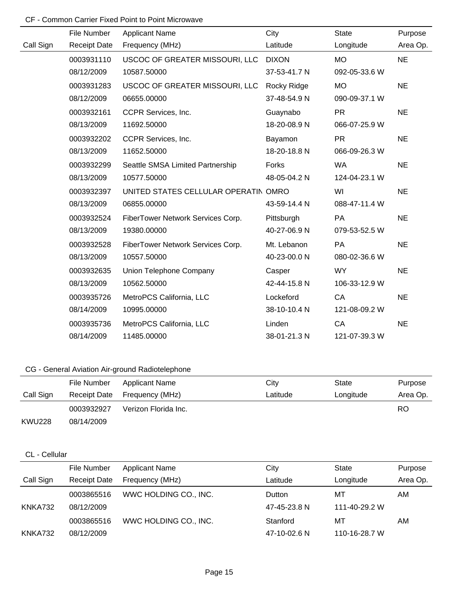|           | File Number         | <b>Applicant Name</b>                | City         | <b>State</b>  | Purpose   |
|-----------|---------------------|--------------------------------------|--------------|---------------|-----------|
| Call Sign | <b>Receipt Date</b> | Frequency (MHz)                      | Latitude     | Longitude     | Area Op.  |
|           | 0003931110          | USCOC OF GREATER MISSOURI, LLC       | <b>DIXON</b> | <b>MO</b>     | <b>NE</b> |
|           | 08/12/2009          | 10587.50000                          | 37-53-41.7 N | 092-05-33.6 W |           |
|           | 0003931283          | USCOC OF GREATER MISSOURI, LLC       | Rocky Ridge  | <b>MO</b>     | <b>NE</b> |
|           | 08/12/2009          | 06655.00000                          | 37-48-54.9 N | 090-09-37.1 W |           |
|           | 0003932161          | CCPR Services, Inc.                  | Guaynabo     | <b>PR</b>     | <b>NE</b> |
|           | 08/13/2009          | 11692.50000                          | 18-20-08.9 N | 066-07-25.9 W |           |
|           | 0003932202          | CCPR Services, Inc.                  | Bayamon      | <b>PR</b>     | <b>NE</b> |
|           | 08/13/2009          | 11652.50000                          | 18-20-18.8 N | 066-09-26.3 W |           |
|           | 0003932299          | Seattle SMSA Limited Partnership     | Forks        | WA            | <b>NE</b> |
|           | 08/13/2009          | 10577.50000                          | 48-05-04.2 N | 124-04-23.1 W |           |
|           | 0003932397          | UNITED STATES CELLULAR OPERATIN OMRO |              | WI            | <b>NE</b> |
|           | 08/13/2009          | 06855.00000                          | 43-59-14.4 N | 088-47-11.4 W |           |
|           | 0003932524          | FiberTower Network Services Corp.    | Pittsburgh   | PA            | <b>NE</b> |
|           | 08/13/2009          | 19380.00000                          | 40-27-06.9 N | 079-53-52.5 W |           |
|           | 0003932528          | FiberTower Network Services Corp.    | Mt. Lebanon  | PA            | <b>NE</b> |
|           | 08/13/2009          | 10557.50000                          | 40-23-00.0 N | 080-02-36.6 W |           |
|           | 0003932635          | Union Telephone Company              | Casper       | <b>WY</b>     | <b>NE</b> |
|           | 08/13/2009          | 10562.50000                          | 42-44-15.8 N | 106-33-12.9 W |           |
|           | 0003935726          | MetroPCS California, LLC             | Lockeford    | CA            | <b>NE</b> |
|           | 08/14/2009          | 10995.00000                          | 38-10-10.4 N | 121-08-09.2 W |           |
|           | 0003935736          | MetroPCS California, LLC             | Linden       | CA            | <b>NE</b> |
|           | 08/14/2009          | 11485.00000                          | 38-01-21.3 N | 121-07-39.3 W |           |

# CG - General Aviation Air-ground Radiotelephone

|               | File Number | Applicant Name               | City     | State     | Purpose  |
|---------------|-------------|------------------------------|----------|-----------|----------|
| Call Sign     |             | Receipt Date Frequency (MHz) | Latitude | Longitude | Area Op. |
|               | 0003932927  | Verizon Florida Inc.         |          |           | RO       |
| <b>KWU228</b> | 08/14/2009  |                              |          |           |          |

## CL - Cellular

|           | File Number         | <b>Applicant Name</b> | City          | <b>State</b>  | Purpose  |
|-----------|---------------------|-----------------------|---------------|---------------|----------|
| Call Sign | <b>Receipt Date</b> | Frequency (MHz)       | Latitude      | Longitude     | Area Op. |
|           | 0003865516          | WWC HOLDING CO., INC. | <b>Dutton</b> | мт            | AM       |
| KNKA732   | 08/12/2009          |                       | 47-45-23.8 N  | 111-40-29.2 W |          |
|           | 0003865516          | WWC HOLDING CO., INC. | Stanford      | мт            | AM       |
| KNKA732   | 08/12/2009          |                       | 47-10-02.6 N  | 110-16-28.7 W |          |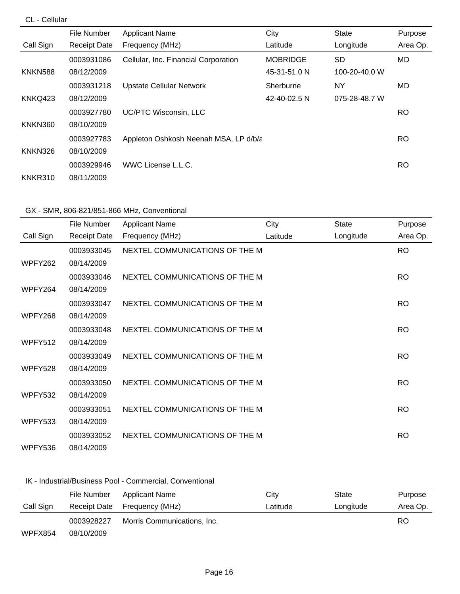### CL - Cellular

|                | File Number         | <b>Applicant Name</b>                 | City            | State         | Purpose   |
|----------------|---------------------|---------------------------------------|-----------------|---------------|-----------|
| Call Sign      | <b>Receipt Date</b> | Frequency (MHz)                       | Latitude        | Longitude     | Area Op.  |
|                | 0003931086          | Cellular, Inc. Financial Corporation  | <b>MOBRIDGE</b> | <b>SD</b>     | <b>MD</b> |
| <b>KNKN588</b> | 08/12/2009          |                                       | 45-31-51.0 N    | 100-20-40.0 W |           |
|                | 0003931218          | <b>Upstate Cellular Network</b>       | Sherburne       | <b>NY</b>     | MD.       |
| KNKQ423        | 08/12/2009          |                                       | 42-40-02.5 N    | 075-28-48.7 W |           |
|                | 0003927780          | UC/PTC Wisconsin, LLC                 |                 |               | <b>RO</b> |
| <b>KNKN360</b> | 08/10/2009          |                                       |                 |               |           |
|                | 0003927783          | Appleton Oshkosh Neenah MSA, LP d/b/a |                 |               | <b>RO</b> |
| KNKN326        | 08/10/2009          |                                       |                 |               |           |
|                | 0003929946          | WWC License L.L.C.                    |                 |               | <b>RO</b> |
| KNKR310        | 08/11/2009          |                                       |                 |               |           |

### GX - SMR, 806-821/851-866 MHz, Conventional

|                | File Number         | Applicant Name                 | City     | <b>State</b> | Purpose   |
|----------------|---------------------|--------------------------------|----------|--------------|-----------|
| Call Sign      | <b>Receipt Date</b> | Frequency (MHz)                | Latitude | Longitude    | Area Op.  |
|                | 0003933045          | NEXTEL COMMUNICATIONS OF THE M |          |              | <b>RO</b> |
| WPFY262        | 08/14/2009          |                                |          |              |           |
|                | 0003933046          | NEXTEL COMMUNICATIONS OF THE M |          |              | <b>RO</b> |
| WPFY264        | 08/14/2009          |                                |          |              |           |
|                | 0003933047          | NEXTEL COMMUNICATIONS OF THE M |          |              | <b>RO</b> |
| <b>WPFY268</b> | 08/14/2009          |                                |          |              |           |
|                | 0003933048          | NEXTEL COMMUNICATIONS OF THE M |          |              | <b>RO</b> |
| WPFY512        | 08/14/2009          |                                |          |              |           |
|                | 0003933049          | NEXTEL COMMUNICATIONS OF THE M |          |              | <b>RO</b> |
| WPFY528        | 08/14/2009          |                                |          |              |           |
|                | 0003933050          | NEXTEL COMMUNICATIONS OF THE M |          |              | <b>RO</b> |
| <b>WPFY532</b> | 08/14/2009          |                                |          |              |           |
|                | 0003933051          | NEXTEL COMMUNICATIONS OF THE M |          |              | <b>RO</b> |
| <b>WPFY533</b> | 08/14/2009          |                                |          |              |           |
|                | 0003933052          | NEXTEL COMMUNICATIONS OF THE M |          |              | <b>RO</b> |
| WPFY536        | 08/14/2009          |                                |          |              |           |

# IK - Industrial/Business Pool - Commercial, Conventional

|           | File Number         | Applicant Name              | City     | State     | Purpose  |
|-----------|---------------------|-----------------------------|----------|-----------|----------|
| Call Sign | <b>Receipt Date</b> | Frequency (MHz)             | Latitude | Longitude | Area Op. |
|           | 0003928227          | Morris Communications, Inc. |          |           | RO.      |
| WPFX854   | 08/10/2009          |                             |          |           |          |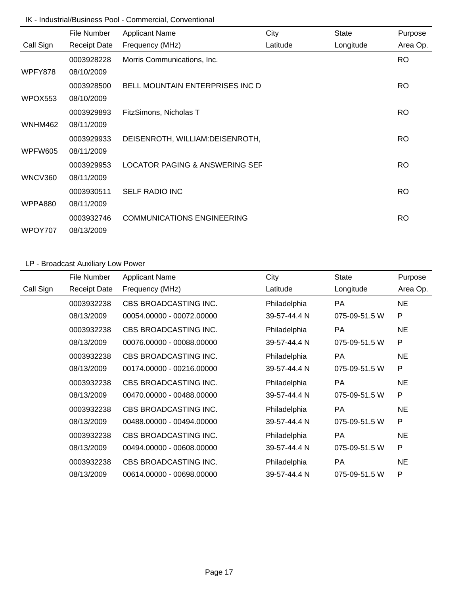### IK - Industrial/Business Pool - Commercial, Conventional

|                | File Number         | <b>Applicant Name</b>                   | City     | <b>State</b> | Purpose   |
|----------------|---------------------|-----------------------------------------|----------|--------------|-----------|
| Call Sign      | <b>Receipt Date</b> | Frequency (MHz)                         | Latitude | Longitude    | Area Op.  |
|                | 0003928228          | Morris Communications, Inc.             |          |              | <b>RO</b> |
| WPFY878        | 08/10/2009          |                                         |          |              |           |
|                | 0003928500          | <b>BELL MOUNTAIN ENTERPRISES INC DI</b> |          |              | <b>RO</b> |
| WPOX553        | 08/10/2009          |                                         |          |              |           |
|                | 0003929893          | FitzSimons, Nicholas T                  |          |              | <b>RO</b> |
| <b>WNHM462</b> | 08/11/2009          |                                         |          |              |           |
|                | 0003929933          | DEISENROTH, WILLIAM:DEISENROTH,         |          |              | <b>RO</b> |
| WPFW605        | 08/11/2009          |                                         |          |              |           |
|                | 0003929953          | LOCATOR PAGING & ANSWERING SER          |          |              | <b>RO</b> |
| WNCV360        | 08/11/2009          |                                         |          |              |           |
|                | 0003930511          | <b>SELF RADIO INC</b>                   |          |              | <b>RO</b> |
| WPPA880        | 08/11/2009          |                                         |          |              |           |
|                | 0003932746          | <b>COMMUNICATIONS ENGINEERING</b>       |          |              | <b>RO</b> |
| WPOY707        | 08/13/2009          |                                         |          |              |           |

# LP - Broadcast Auxiliary Low Power

|           | File Number         | <b>Applicant Name</b>     | City         | <b>State</b>  | Purpose      |
|-----------|---------------------|---------------------------|--------------|---------------|--------------|
| Call Sign | <b>Receipt Date</b> | Frequency (MHz)           | Latitude     | Longitude     | Area Op.     |
|           | 0003932238          | CBS BROADCASTING INC.     | Philadelphia | <b>PA</b>     | <b>NE</b>    |
|           | 08/13/2009          | 00054.00000 - 00072.00000 | 39-57-44.4 N | 075-09-51.5 W | P            |
|           | 0003932238          | CBS BROADCASTING INC.     | Philadelphia | <b>PA</b>     | <b>NE</b>    |
|           | 08/13/2009          | 00076.00000 - 00088.00000 | 39-57-44.4 N | 075-09-51.5 W | P            |
|           | 0003932238          | CBS BROADCASTING INC.     | Philadelphia | <b>PA</b>     | <b>NE</b>    |
|           | 08/13/2009          | 00174.00000 - 00216.00000 | 39-57-44.4 N | 075-09-51.5 W | $\mathsf{P}$ |
|           | 0003932238          | CBS BROADCASTING INC.     | Philadelphia | <b>PA</b>     | <b>NE</b>    |
|           | 08/13/2009          | 00470.00000 - 00488.00000 | 39-57-44.4 N | 075-09-51.5 W | P            |
|           | 0003932238          | CBS BROADCASTING INC.     | Philadelphia | <b>PA</b>     | <b>NE</b>    |
|           | 08/13/2009          | 00488.00000 - 00494.00000 | 39-57-44.4 N | 075-09-51.5 W | P            |
|           | 0003932238          | CBS BROADCASTING INC.     | Philadelphia | <b>PA</b>     | <b>NE</b>    |
|           | 08/13/2009          | 00494.00000 - 00608.00000 | 39-57-44.4 N | 075-09-51.5 W | P            |
|           | 0003932238          | CBS BROADCASTING INC.     | Philadelphia | <b>PA</b>     | <b>NE</b>    |
|           | 08/13/2009          | 00614.00000 - 00698.00000 | 39-57-44.4 N | 075-09-51.5 W | $\mathsf{P}$ |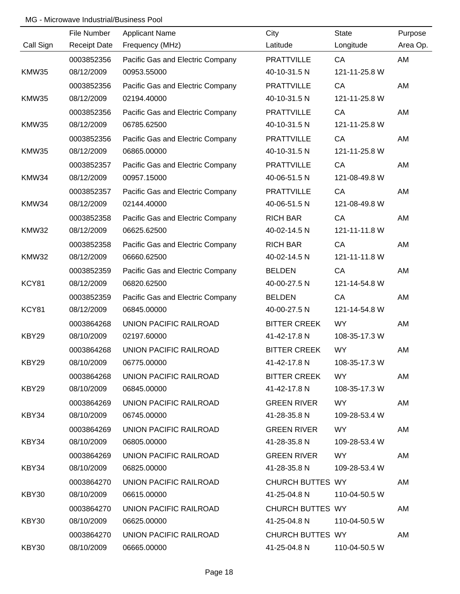|           | File Number         | <b>Applicant Name</b>            | City                | <b>State</b>  | Purpose  |
|-----------|---------------------|----------------------------------|---------------------|---------------|----------|
| Call Sign | <b>Receipt Date</b> | Frequency (MHz)                  | Latitude            | Longitude     | Area Op. |
|           | 0003852356          | Pacific Gas and Electric Company | <b>PRATTVILLE</b>   | CA            | AM       |
| KMW35     | 08/12/2009          | 00953.55000                      | 40-10-31.5 N        | 121-11-25.8 W |          |
|           | 0003852356          | Pacific Gas and Electric Company | <b>PRATTVILLE</b>   | CA            | AM       |
| KMW35     | 08/12/2009          | 02194.40000                      | 40-10-31.5 N        | 121-11-25.8 W |          |
|           | 0003852356          | Pacific Gas and Electric Company | <b>PRATTVILLE</b>   | CA            | AM       |
| KMW35     | 08/12/2009          | 06785.62500                      | 40-10-31.5 N        | 121-11-25.8 W |          |
|           | 0003852356          | Pacific Gas and Electric Company | <b>PRATTVILLE</b>   | CA            | AM       |
| KMW35     | 08/12/2009          | 06865.00000                      | 40-10-31.5 N        | 121-11-25.8 W |          |
|           | 0003852357          | Pacific Gas and Electric Company | <b>PRATTVILLE</b>   | CA            | AM       |
| KMW34     | 08/12/2009          | 00957.15000                      | 40-06-51.5 N        | 121-08-49.8 W |          |
|           | 0003852357          | Pacific Gas and Electric Company | <b>PRATTVILLE</b>   | CA            | AM       |
| KMW34     | 08/12/2009          | 02144.40000                      | 40-06-51.5 N        | 121-08-49.8 W |          |
|           | 0003852358          | Pacific Gas and Electric Company | <b>RICH BAR</b>     | CA            | AM       |
| KMW32     | 08/12/2009          | 06625.62500                      | 40-02-14.5 N        | 121-11-11.8 W |          |
|           | 0003852358          | Pacific Gas and Electric Company | <b>RICH BAR</b>     | CA            | AM       |
| KMW32     | 08/12/2009          | 06660.62500                      | 40-02-14.5 N        | 121-11-11.8 W |          |
|           | 0003852359          | Pacific Gas and Electric Company | <b>BELDEN</b>       | CA            | AM       |
| KCY81     | 08/12/2009          | 06820.62500                      | 40-00-27.5 N        | 121-14-54.8 W |          |
|           | 0003852359          | Pacific Gas and Electric Company | <b>BELDEN</b>       | CA            | AM       |
| KCY81     | 08/12/2009          | 06845.00000                      | 40-00-27.5 N        | 121-14-54.8 W |          |
|           | 0003864268          | UNION PACIFIC RAILROAD           | <b>BITTER CREEK</b> | <b>WY</b>     | AM       |
| KBY29     | 08/10/2009          | 02197.60000                      | 41-42-17.8 N        | 108-35-17.3 W |          |
|           | 0003864268          | UNION PACIFIC RAILROAD           | <b>BITTER CREEK</b> | <b>WY</b>     | AM       |
| KBY29     | 08/10/2009          | 06775.00000                      | 41-42-17.8 N        | 108-35-17.3 W |          |
|           | 0003864268          | UNION PACIFIC RAILROAD           | <b>BITTER CREEK</b> | WY .          | AM       |
| KBY29     | 08/10/2009          | 06845.00000                      | 41-42-17.8 N        | 108-35-17.3 W |          |
|           | 0003864269          | UNION PACIFIC RAILROAD           | GREEN RIVER         | WY l          | AM       |
| KBY34     | 08/10/2009          | 06745.00000                      | 41-28-35.8 N        | 109-28-53.4 W |          |
|           | 0003864269          | UNION PACIFIC RAILROAD           | <b>GREEN RIVER</b>  | WY l          | AM       |
| KBY34     | 08/10/2009          | 06805.00000                      | 41-28-35.8 N        | 109-28-53.4 W |          |
|           | 0003864269          | UNION PACIFIC RAILROAD           | <b>GREEN RIVER</b>  | WY l          | AM       |
| KBY34     | 08/10/2009          | 06825.00000                      | 41-28-35.8 N        | 109-28-53.4 W |          |
|           | 0003864270          | UNION PACIFIC RAILROAD           | CHURCH BUTTES WY    |               | AM       |
| KBY30     | 08/10/2009          | 06615.00000                      | 41-25-04.8 N        | 110-04-50.5 W |          |
|           | 0003864270          | UNION PACIFIC RAILROAD           | CHURCH BUTTES WY    |               | AM       |
| KBY30     | 08/10/2009          | 06625.00000                      | 41-25-04.8 N        | 110-04-50.5 W |          |
|           | 0003864270          | UNION PACIFIC RAILROAD           | CHURCH BUTTES WY    |               | AM       |
| KBY30     | 08/10/2009          | 06665.00000                      | 41-25-04.8 N        | 110-04-50.5 W |          |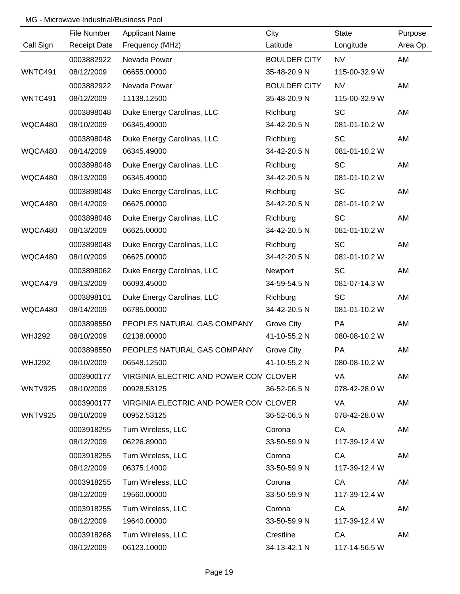|                | File Number         | <b>Applicant Name</b>                  | City                | <b>State</b>  | Purpose  |
|----------------|---------------------|----------------------------------------|---------------------|---------------|----------|
| Call Sign      | <b>Receipt Date</b> | Frequency (MHz)                        | Latitude            | Longitude     | Area Op. |
|                | 0003882922          | Nevada Power                           | <b>BOULDER CITY</b> | <b>NV</b>     | AM       |
| WNTC491        | 08/12/2009          | 06655.00000                            | 35-48-20.9 N        | 115-00-32.9 W |          |
|                | 0003882922          | Nevada Power                           | <b>BOULDER CITY</b> | <b>NV</b>     | AM       |
| WNTC491        | 08/12/2009          | 11138.12500                            | 35-48-20.9 N        | 115-00-32.9 W |          |
|                | 0003898048          | Duke Energy Carolinas, LLC             | Richburg            | <b>SC</b>     | AM       |
| WQCA480        | 08/10/2009          | 06345.49000                            | 34-42-20.5 N        | 081-01-10.2 W |          |
|                | 0003898048          | Duke Energy Carolinas, LLC             | Richburg            | <b>SC</b>     | AM       |
| WQCA480        | 08/14/2009          | 06345.49000                            | 34-42-20.5 N        | 081-01-10.2 W |          |
|                | 0003898048          | Duke Energy Carolinas, LLC             | Richburg            | <b>SC</b>     | AM       |
| WQCA480        | 08/13/2009          | 06345.49000                            | 34-42-20.5 N        | 081-01-10.2 W |          |
|                | 0003898048          | Duke Energy Carolinas, LLC             | Richburg            | <b>SC</b>     | AM       |
| WQCA480        | 08/14/2009          | 06625.00000                            | 34-42-20.5 N        | 081-01-10.2 W |          |
|                | 0003898048          | Duke Energy Carolinas, LLC             | Richburg            | <b>SC</b>     | AM       |
| WQCA480        | 08/13/2009          | 06625.00000                            | 34-42-20.5 N        | 081-01-10.2 W |          |
|                | 0003898048          | Duke Energy Carolinas, LLC             | Richburg            | <b>SC</b>     | AM       |
| WQCA480        | 08/10/2009          | 06625.00000                            | 34-42-20.5 N        | 081-01-10.2 W |          |
|                | 0003898062          | Duke Energy Carolinas, LLC             | Newport             | <b>SC</b>     | AM       |
| WQCA479        | 08/13/2009          | 06093.45000                            | 34-59-54.5 N        | 081-07-14.3 W |          |
|                | 0003898101          | Duke Energy Carolinas, LLC             | Richburg            | SC            | AM       |
| WQCA480        | 08/14/2009          | 06785.00000                            | 34-42-20.5 N        | 081-01-10.2 W |          |
|                | 0003898550          | PEOPLES NATURAL GAS COMPANY            | <b>Grove City</b>   | PA            | AM       |
| <b>WHJ292</b>  | 08/10/2009          | 02138.00000                            | 41-10-55.2 N        | 080-08-10.2 W |          |
|                | 0003898550          | PEOPLES NATURAL GAS COMPANY            | <b>Grove City</b>   | PA            | AM       |
| <b>WHJ292</b>  | 08/10/2009          | 06548.12500                            | 41-10-55.2 N        | 080-08-10.2 W |          |
|                | 0003900177          | VIRGINIA ELECTRIC AND POWER CON CLOVER |                     | VA            | AM       |
| WNTV925        | 08/10/2009          | 00928.53125                            | 36-52-06.5 N        | 078-42-28.0 W |          |
|                | 0003900177          | VIRGINIA ELECTRIC AND POWER CON CLOVER |                     | VA            | AM       |
| <b>WNTV925</b> | 08/10/2009          | 00952.53125                            | 36-52-06.5 N        | 078-42-28.0 W |          |
|                | 0003918255          | Turn Wireless, LLC                     | Corona              | CA            | AM       |
|                | 08/12/2009          | 06226.89000                            | 33-50-59.9 N        | 117-39-12.4 W |          |
|                | 0003918255          | Turn Wireless, LLC                     | Corona              | CA            | AM       |
|                | 08/12/2009          | 06375.14000                            | 33-50-59.9 N        | 117-39-12.4 W |          |
|                | 0003918255          | Turn Wireless, LLC                     | Corona              | CA            | AM       |
|                | 08/12/2009          | 19560.00000                            | 33-50-59.9 N        | 117-39-12.4 W |          |
|                | 0003918255          | Turn Wireless, LLC                     | Corona              | CA            | AM       |
|                | 08/12/2009          | 19640.00000                            | 33-50-59.9 N        | 117-39-12.4 W |          |
|                | 0003918268          | Turn Wireless, LLC                     | Crestline           | CA            | AM       |
|                | 08/12/2009          | 06123.10000                            | 34-13-42.1 N        | 117-14-56.5 W |          |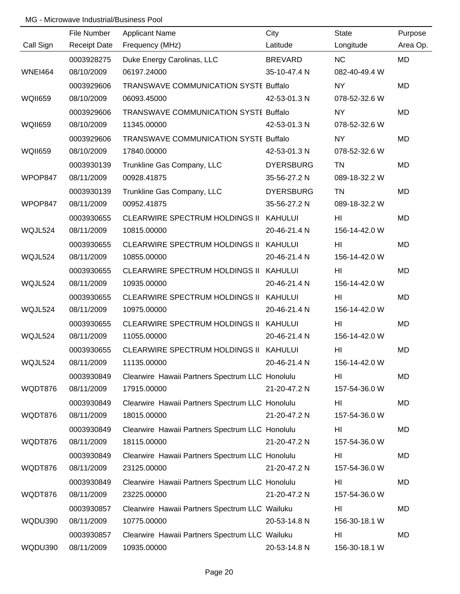|                | File Number         | <b>Applicant Name</b>                           | City             | <b>State</b>    | Purpose   |
|----------------|---------------------|-------------------------------------------------|------------------|-----------------|-----------|
| Call Sign      | <b>Receipt Date</b> | Frequency (MHz)                                 | Latitude         | Longitude       | Area Op.  |
|                | 0003928275          | Duke Energy Carolinas, LLC                      | <b>BREVARD</b>   | <b>NC</b>       | <b>MD</b> |
| <b>WNEI464</b> | 08/10/2009          | 06197.24000                                     | 35-10-47.4 N     | 082-40-49.4 W   |           |
|                | 0003929606          | TRANSWAVE COMMUNICATION SYSTE Buffalo           |                  | <b>NY</b>       | <b>MD</b> |
| <b>WQII659</b> | 08/10/2009          | 06093.45000                                     | 42-53-01.3 N     | 078-52-32.6 W   |           |
|                | 0003929606          | TRANSWAVE COMMUNICATION SYSTE Buffalo           |                  | <b>NY</b>       | MD        |
| <b>WQII659</b> | 08/10/2009          | 11345.00000                                     | 42-53-01.3 N     | 078-52-32.6 W   |           |
|                | 0003929606          | TRANSWAVE COMMUNICATION SYSTE Buffalo           |                  | <b>NY</b>       | MD        |
| <b>WQII659</b> | 08/10/2009          | 17840.00000                                     | 42-53-01.3 N     | 078-52-32.6 W   |           |
|                | 0003930139          | Trunkline Gas Company, LLC                      | <b>DYERSBURG</b> | <b>TN</b>       | MD        |
| WPOP847        | 08/11/2009          | 00928.41875                                     | 35-56-27.2 N     | 089-18-32.2 W   |           |
|                | 0003930139          | Trunkline Gas Company, LLC                      | <b>DYERSBURG</b> | <b>TN</b>       | MD        |
| WPOP847        | 08/11/2009          | 00952.41875                                     | 35-56-27.2 N     | 089-18-32.2 W   |           |
|                | 0003930655          | <b>CLEARWIRE SPECTRUM HOLDINGS II</b>           | KAHULUI          | HI              | MD        |
| WQJL524        | 08/11/2009          | 10815.00000                                     | 20-46-21.4 N     | 156-14-42.0 W   |           |
|                | 0003930655          | <b>CLEARWIRE SPECTRUM HOLDINGS II</b>           | <b>KAHULUI</b>   | HI              | MD        |
| WQJL524        | 08/11/2009          | 10855.00000                                     | 20-46-21.4 N     | 156-14-42.0 W   |           |
|                | 0003930655          | <b>CLEARWIRE SPECTRUM HOLDINGS II</b>           | KAHULUI          | H <sub>II</sub> | MD        |
| WQJL524        | 08/11/2009          | 10935.00000                                     | 20-46-21.4 N     | 156-14-42.0 W   |           |
|                | 0003930655          | <b>CLEARWIRE SPECTRUM HOLDINGS II</b>           | <b>KAHULUI</b>   | H <sub>II</sub> | MD        |
| WQJL524        | 08/11/2009          | 10975.00000                                     | 20-46-21.4 N     | 156-14-42.0 W   |           |
|                | 0003930655          | CLEARWIRE SPECTRUM HOLDINGS II KAHULUI          |                  | H <sub>II</sub> | MD        |
| WQJL524        | 08/11/2009          | 11055.00000                                     | 20-46-21.4 N     | 156-14-42.0 W   |           |
|                | 0003930655          | CLEARWIRE SPECTRUM HOLDINGS II KAHULUI          |                  | HI              | MD        |
| WQJL524        | 08/11/2009          | 11135.00000                                     | 20-46-21.4 N     | 156-14-42.0 W   |           |
|                | 0003930849          | Clearwire Hawaii Partners Spectrum LLC Honolulu |                  | HI              | MD        |
| WQDT876        | 08/11/2009          | 17915.00000                                     | 21-20-47.2 N     | 157-54-36.0 W   |           |
|                | 0003930849          | Clearwire Hawaii Partners Spectrum LLC Honolulu |                  | HI              | MD        |
| WQDT876        | 08/11/2009          | 18015.00000                                     | 21-20-47.2 N     | 157-54-36.0 W   |           |
|                | 0003930849          | Clearwire Hawaii Partners Spectrum LLC Honolulu |                  | HI              | MD        |
| WQDT876        | 08/11/2009          | 18115.00000                                     | 21-20-47.2 N     | 157-54-36.0 W   |           |
|                | 0003930849          | Clearwire Hawaii Partners Spectrum LLC Honolulu |                  | HI              | MD        |
| WQDT876        | 08/11/2009          | 23125.00000                                     | 21-20-47.2 N     | 157-54-36.0 W   |           |
|                | 0003930849          | Clearwire Hawaii Partners Spectrum LLC Honolulu |                  | HI              | MD        |
| WQDT876        | 08/11/2009          | 23225.00000                                     | 21-20-47.2 N     | 157-54-36.0 W   |           |
|                | 0003930857          | Clearwire Hawaii Partners Spectrum LLC Wailuku  |                  | HI              | MD        |
| WQDU390        | 08/11/2009          | 10775.00000                                     | 20-53-14.8 N     | 156-30-18.1 W   |           |
|                | 0003930857          | Clearwire Hawaii Partners Spectrum LLC Wailuku  |                  | HI              | MD        |
| WQDU390        | 08/11/2009          | 10935.00000                                     | 20-53-14.8 N     | 156-30-18.1 W   |           |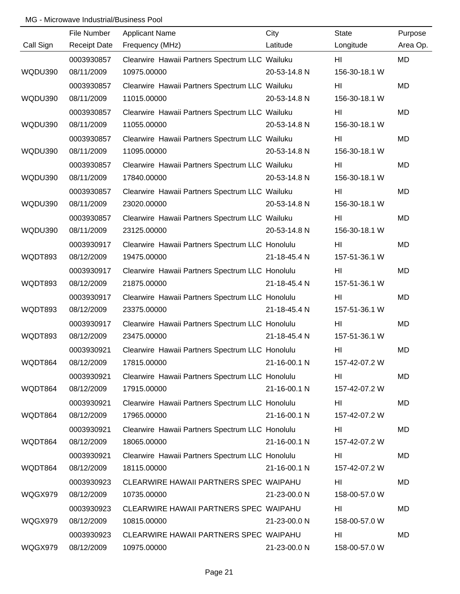|           | File Number         | <b>Applicant Name</b>                           | City         | <b>State</b>  | Purpose   |
|-----------|---------------------|-------------------------------------------------|--------------|---------------|-----------|
| Call Sign | <b>Receipt Date</b> | Frequency (MHz)                                 | Latitude     | Longitude     | Area Op.  |
|           | 0003930857          | Clearwire Hawaii Partners Spectrum LLC Wailuku  |              | HI            | MD        |
| WQDU390   | 08/11/2009          | 10975.00000                                     | 20-53-14.8 N | 156-30-18.1 W |           |
|           | 0003930857          | Clearwire Hawaii Partners Spectrum LLC Wailuku  |              | HI            | <b>MD</b> |
| WQDU390   | 08/11/2009          | 11015.00000                                     | 20-53-14.8 N | 156-30-18.1 W |           |
|           | 0003930857          | Clearwire Hawaii Partners Spectrum LLC Wailuku  |              | HI            | MD        |
| WQDU390   | 08/11/2009          | 11055.00000                                     | 20-53-14.8 N | 156-30-18.1 W |           |
|           | 0003930857          | Clearwire Hawaii Partners Spectrum LLC Wailuku  |              | HI            | MD        |
| WQDU390   | 08/11/2009          | 11095.00000                                     | 20-53-14.8 N | 156-30-18.1 W |           |
|           | 0003930857          | Clearwire Hawaii Partners Spectrum LLC Wailuku  |              | HI            | MD        |
| WQDU390   | 08/11/2009          | 17840.00000                                     | 20-53-14.8 N | 156-30-18.1 W |           |
|           | 0003930857          | Clearwire Hawaii Partners Spectrum LLC Wailuku  |              | HI            | MD        |
| WQDU390   | 08/11/2009          | 23020.00000                                     | 20-53-14.8 N | 156-30-18.1 W |           |
|           | 0003930857          | Clearwire Hawaii Partners Spectrum LLC Wailuku  |              | HI            | MD        |
| WQDU390   | 08/11/2009          | 23125.00000                                     | 20-53-14.8 N | 156-30-18.1 W |           |
|           | 0003930917          | Clearwire Hawaii Partners Spectrum LLC Honolulu |              | HI            | MD        |
| WQDT893   | 08/12/2009          | 19475.00000                                     | 21-18-45.4 N | 157-51-36.1 W |           |
|           | 0003930917          | Clearwire Hawaii Partners Spectrum LLC Honolulu |              | HI            | MD        |
| WQDT893   | 08/12/2009          | 21875.00000                                     | 21-18-45.4 N | 157-51-36.1 W |           |
|           | 0003930917          | Clearwire Hawaii Partners Spectrum LLC Honolulu |              | HI            | MD        |
| WQDT893   | 08/12/2009          | 23375.00000                                     | 21-18-45.4 N | 157-51-36.1 W |           |
|           | 0003930917          | Clearwire Hawaii Partners Spectrum LLC Honolulu |              | HI            | MD        |
| WQDT893   | 08/12/2009          | 23475.00000                                     | 21-18-45.4 N | 157-51-36.1 W |           |
|           | 0003930921          | Clearwire Hawaii Partners Spectrum LLC Honolulu |              | HI            | MD        |
| WQDT864   | 08/12/2009          | 17815.00000                                     | 21-16-00.1 N | 157-42-07.2 W |           |
|           | 0003930921          | Clearwire Hawaii Partners Spectrum LLC Honolulu |              | HI            | MD        |
| WQDT864   | 08/12/2009          | 17915.00000                                     | 21-16-00.1 N | 157-42-07.2 W |           |
|           | 0003930921          | Clearwire Hawaii Partners Spectrum LLC Honolulu |              | HI            | MD        |
| WQDT864   | 08/12/2009          | 17965.00000                                     | 21-16-00.1 N | 157-42-07.2 W |           |
|           | 0003930921          | Clearwire Hawaii Partners Spectrum LLC Honolulu |              | HI            | MD        |
| WQDT864   | 08/12/2009          | 18065.00000                                     | 21-16-00.1 N | 157-42-07.2 W |           |
|           | 0003930921          | Clearwire Hawaii Partners Spectrum LLC Honolulu |              | HI            | MD        |
| WQDT864   | 08/12/2009          | 18115.00000                                     | 21-16-00.1 N | 157-42-07.2 W |           |
|           | 0003930923          | CLEARWIRE HAWAII PARTNERS SPEC WAIPAHU          |              | HI            | MD        |
| WQGX979   | 08/12/2009          | 10735.00000                                     | 21-23-00.0 N | 158-00-57.0 W |           |
|           | 0003930923          | CLEARWIRE HAWAII PARTNERS SPEC WAIPAHU          |              | HI            | MD        |
| WQGX979   | 08/12/2009          | 10815.00000                                     | 21-23-00.0 N | 158-00-57.0 W |           |
|           | 0003930923          | CLEARWIRE HAWAII PARTNERS SPEC WAIPAHU          |              | HI            | MD        |
| WQGX979   | 08/12/2009          | 10975.00000                                     | 21-23-00.0 N | 158-00-57.0 W |           |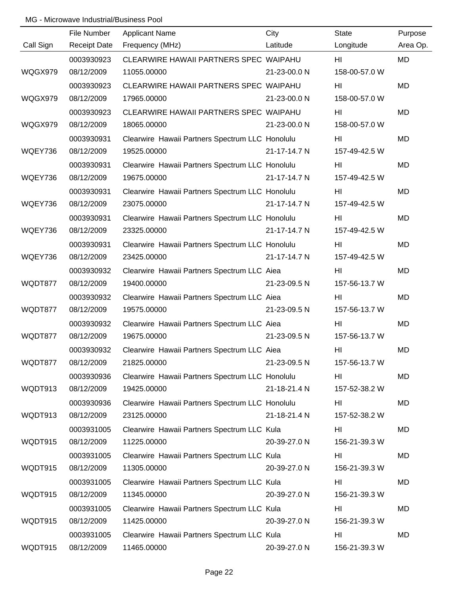|           | File Number         | <b>Applicant Name</b>                           | City         | <b>State</b>  | Purpose   |
|-----------|---------------------|-------------------------------------------------|--------------|---------------|-----------|
| Call Sign | <b>Receipt Date</b> | Frequency (MHz)                                 | Latitude     | Longitude     | Area Op.  |
|           | 0003930923          | CLEARWIRE HAWAII PARTNERS SPEC WAIPAHU          |              | HI            | MD        |
| WQGX979   | 08/12/2009          | 11055.00000                                     | 21-23-00.0 N | 158-00-57.0 W |           |
|           | 0003930923          | CLEARWIRE HAWAII PARTNERS SPEC WAIPAHU          |              | HI            | <b>MD</b> |
| WQGX979   | 08/12/2009          | 17965.00000                                     | 21-23-00.0 N | 158-00-57.0 W |           |
|           | 0003930923          | CLEARWIRE HAWAII PARTNERS SPEC WAIPAHU          |              | HI            | MD        |
| WQGX979   | 08/12/2009          | 18065.00000                                     | 21-23-00.0 N | 158-00-57.0 W |           |
|           | 0003930931          | Clearwire Hawaii Partners Spectrum LLC Honolulu |              | HI            | MD        |
| WQEY736   | 08/12/2009          | 19525.00000                                     | 21-17-14.7 N | 157-49-42.5 W |           |
|           | 0003930931          | Clearwire Hawaii Partners Spectrum LLC Honolulu |              | HI            | MD        |
| WQEY736   | 08/12/2009          | 19675.00000                                     | 21-17-14.7 N | 157-49-42.5 W |           |
|           | 0003930931          | Clearwire Hawaii Partners Spectrum LLC Honolulu |              | HI            | MD        |
| WQEY736   | 08/12/2009          | 23075.00000                                     | 21-17-14.7 N | 157-49-42.5 W |           |
|           | 0003930931          | Clearwire Hawaii Partners Spectrum LLC Honolulu |              | HI            | MD        |
| WQEY736   | 08/12/2009          | 23325.00000                                     | 21-17-14.7 N | 157-49-42.5 W |           |
|           | 0003930931          | Clearwire Hawaii Partners Spectrum LLC Honolulu |              | HI            | MD        |
| WQEY736   | 08/12/2009          | 23425.00000                                     | 21-17-14.7 N | 157-49-42.5 W |           |
|           | 0003930932          | Clearwire Hawaii Partners Spectrum LLC Aiea     |              | HI            | MD        |
| WQDT877   | 08/12/2009          | 19400.00000                                     | 21-23-09.5 N | 157-56-13.7 W |           |
|           | 0003930932          | Clearwire Hawaii Partners Spectrum LLC Aiea     |              | HI            | MD        |
| WQDT877   | 08/12/2009          | 19575.00000                                     | 21-23-09.5 N | 157-56-13.7 W |           |
|           | 0003930932          | Clearwire Hawaii Partners Spectrum LLC Aiea     |              | HI            | MD        |
| WQDT877   | 08/12/2009          | 19675.00000                                     | 21-23-09.5 N | 157-56-13.7 W |           |
|           | 0003930932          | Clearwire Hawaii Partners Spectrum LLC Aiea     |              | HI.           | MD        |
| WQDT877   | 08/12/2009          | 21825.00000                                     | 21-23-09.5 N | 157-56-13.7 W |           |
|           | 0003930936          | Clearwire Hawaii Partners Spectrum LLC Honolulu |              | HI            | MD        |
| WQDT913   | 08/12/2009          | 19425.00000                                     | 21-18-21.4 N | 157-52-38.2 W |           |
|           | 0003930936          | Clearwire Hawaii Partners Spectrum LLC Honolulu |              | HI            | MD        |
| WQDT913   | 08/12/2009          | 23125.00000                                     | 21-18-21.4 N | 157-52-38.2 W |           |
|           | 0003931005          | Clearwire Hawaii Partners Spectrum LLC Kula     |              | HI            | MD        |
| WQDT915   | 08/12/2009          | 11225.00000                                     | 20-39-27.0 N | 156-21-39.3 W |           |
|           | 0003931005          | Clearwire Hawaii Partners Spectrum LLC Kula     |              | HI            | MD        |
| WQDT915   | 08/12/2009          | 11305.00000                                     | 20-39-27.0 N | 156-21-39.3 W |           |
|           | 0003931005          | Clearwire Hawaii Partners Spectrum LLC Kula     |              | HI            | MD        |
| WQDT915   | 08/12/2009          | 11345.00000                                     | 20-39-27.0 N | 156-21-39.3 W |           |
|           | 0003931005          | Clearwire Hawaii Partners Spectrum LLC Kula     |              | HI            | MD        |
| WQDT915   | 08/12/2009          | 11425.00000                                     | 20-39-27.0 N | 156-21-39.3 W |           |
|           | 0003931005          | Clearwire Hawaii Partners Spectrum LLC Kula     |              | HI            | MD        |
| WQDT915   | 08/12/2009          | 11465.00000                                     | 20-39-27.0 N | 156-21-39.3 W |           |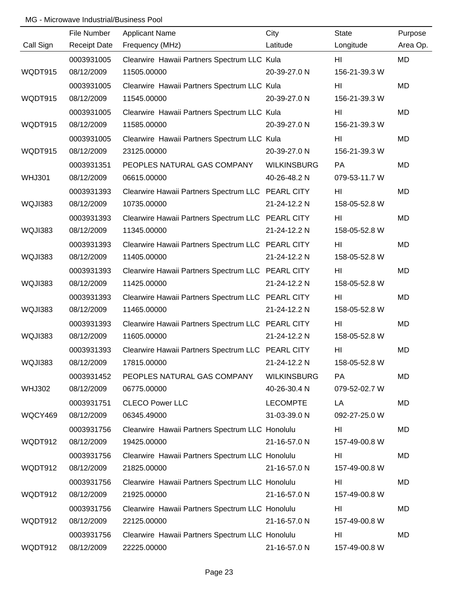|               | File Number         | <b>Applicant Name</b>                             | City               | <b>State</b>  | Purpose   |
|---------------|---------------------|---------------------------------------------------|--------------------|---------------|-----------|
| Call Sign     | <b>Receipt Date</b> | Frequency (MHz)                                   | Latitude           | Longitude     | Area Op.  |
|               | 0003931005          | Clearwire Hawaii Partners Spectrum LLC Kula       |                    | HI            | <b>MD</b> |
| WQDT915       | 08/12/2009          | 11505.00000                                       | 20-39-27.0 N       | 156-21-39.3 W |           |
|               | 0003931005          | Clearwire Hawaii Partners Spectrum LLC Kula       |                    | HI            | <b>MD</b> |
| WQDT915       | 08/12/2009          | 11545.00000                                       | 20-39-27.0 N       | 156-21-39.3 W |           |
|               | 0003931005          | Clearwire Hawaii Partners Spectrum LLC Kula       |                    | HI            | MD        |
| WQDT915       | 08/12/2009          | 11585.00000                                       | 20-39-27.0 N       | 156-21-39.3 W |           |
|               | 0003931005          | Clearwire Hawaii Partners Spectrum LLC Kula       |                    | HI            | MD        |
| WQDT915       | 08/12/2009          | 23125.00000                                       | 20-39-27.0 N       | 156-21-39.3 W |           |
|               | 0003931351          | PEOPLES NATURAL GAS COMPANY                       | <b>WILKINSBURG</b> | PA            | MD        |
| <b>WHJ301</b> | 08/12/2009          | 06615.00000                                       | 40-26-48.2 N       | 079-53-11.7 W |           |
|               | 0003931393          | Clearwire Hawaii Partners Spectrum LLC PEARL CITY |                    | HI            | MD        |
| WQJI383       | 08/12/2009          | 10735.00000                                       | 21-24-12.2 N       | 158-05-52.8 W |           |
|               | 0003931393          | Clearwire Hawaii Partners Spectrum LLC PEARL CITY |                    | HI            | MD        |
| WQJI383       | 08/12/2009          | 11345.00000                                       | 21-24-12.2 N       | 158-05-52.8 W |           |
|               | 0003931393          | Clearwire Hawaii Partners Spectrum LLC PEARL CITY |                    | HI            | MD        |
| WQJI383       | 08/12/2009          | 11405.00000                                       | 21-24-12.2 N       | 158-05-52.8 W |           |
|               | 0003931393          | Clearwire Hawaii Partners Spectrum LLC PEARL CITY |                    | HI            | MD        |
| WQJI383       | 08/12/2009          | 11425.00000                                       | 21-24-12.2 N       | 158-05-52.8 W |           |
|               | 0003931393          | Clearwire Hawaii Partners Spectrum LLC PEARL CITY |                    | HI            | MD        |
| WQJI383       | 08/12/2009          | 11465.00000                                       | 21-24-12.2 N       | 158-05-52.8 W |           |
|               | 0003931393          | Clearwire Hawaii Partners Spectrum LLC PEARL CITY |                    | HI            | MD        |
| WQJI383       | 08/12/2009          | 11605.00000                                       | 21-24-12.2 N       | 158-05-52.8 W |           |
|               | 0003931393          | Clearwire Hawaii Partners Spectrum LLC PEARL CITY |                    | HI            | MD        |
| WQJI383       | 08/12/2009          | 17815.00000                                       | 21-24-12.2 N       | 158-05-52.8 W |           |
|               | 0003931452          | PEOPLES NATURAL GAS COMPANY                       | <b>WILKINSBURG</b> | PA            | MD        |
| <b>WHJ302</b> | 08/12/2009          | 06775.00000                                       | 40-26-30.4 N       | 079-52-02.7 W |           |
|               | 0003931751          | <b>CLECO Power LLC</b>                            | <b>LECOMPTE</b>    | LA            | MD        |
| WQCY469       | 08/12/2009          | 06345.49000                                       | 31-03-39.0 N       | 092-27-25.0 W |           |
|               | 0003931756          | Clearwire Hawaii Partners Spectrum LLC Honolulu   |                    | HI            | MD        |
| WQDT912       | 08/12/2009          | 19425.00000                                       | 21-16-57.0 N       | 157-49-00.8 W |           |
|               | 0003931756          | Clearwire Hawaii Partners Spectrum LLC Honolulu   |                    | HI            | MD        |
| WQDT912       | 08/12/2009          | 21825.00000                                       | 21-16-57.0 N       | 157-49-00.8 W |           |
|               | 0003931756          | Clearwire Hawaii Partners Spectrum LLC Honolulu   |                    | HI            | MD        |
| WQDT912       | 08/12/2009          | 21925.00000                                       | 21-16-57.0 N       | 157-49-00.8 W |           |
|               | 0003931756          | Clearwire Hawaii Partners Spectrum LLC Honolulu   |                    | HI            | MD        |
| WQDT912       | 08/12/2009          | 22125.00000                                       | 21-16-57.0 N       | 157-49-00.8 W |           |
|               | 0003931756          | Clearwire Hawaii Partners Spectrum LLC Honolulu   |                    | HI            | MD        |
| WQDT912       | 08/12/2009          | 22225.00000                                       | 21-16-57.0 N       | 157-49-00.8 W |           |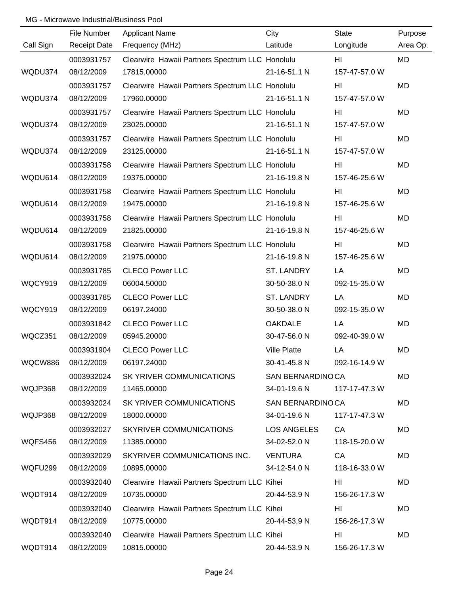|                | File Number         | <b>Applicant Name</b>                           | City                | <b>State</b>  | Purpose   |
|----------------|---------------------|-------------------------------------------------|---------------------|---------------|-----------|
| Call Sign      | <b>Receipt Date</b> | Frequency (MHz)                                 | Latitude            | Longitude     | Area Op.  |
|                | 0003931757          | Clearwire Hawaii Partners Spectrum LLC Honolulu |                     | HI            | MD        |
| WQDU374        | 08/12/2009          | 17815.00000                                     | 21-16-51.1 N        | 157-47-57.0 W |           |
|                | 0003931757          | Clearwire Hawaii Partners Spectrum LLC Honolulu |                     | HI            | <b>MD</b> |
| WQDU374        | 08/12/2009          | 17960.00000                                     | 21-16-51.1 N        | 157-47-57.0 W |           |
|                | 0003931757          | Clearwire Hawaii Partners Spectrum LLC Honolulu |                     | HI            | <b>MD</b> |
| WQDU374        | 08/12/2009          | 23025.00000                                     | 21-16-51.1 N        | 157-47-57.0 W |           |
|                | 0003931757          | Clearwire Hawaii Partners Spectrum LLC Honolulu |                     | HI            | <b>MD</b> |
| WQDU374        | 08/12/2009          | 23125.00000                                     | 21-16-51.1 N        | 157-47-57.0 W |           |
|                | 0003931758          | Clearwire Hawaii Partners Spectrum LLC Honolulu |                     | HI            | MD        |
| WQDU614        | 08/12/2009          | 19375.00000                                     | 21-16-19.8 N        | 157-46-25.6 W |           |
|                | 0003931758          | Clearwire Hawaii Partners Spectrum LLC Honolulu |                     | HI            | MD        |
| WQDU614        | 08/12/2009          | 19475.00000                                     | 21-16-19.8 N        | 157-46-25.6 W |           |
|                | 0003931758          | Clearwire Hawaii Partners Spectrum LLC Honolulu |                     | HI            | MD        |
| WQDU614        | 08/12/2009          | 21825.00000                                     | 21-16-19.8 N        | 157-46-25.6 W |           |
|                | 0003931758          | Clearwire Hawaii Partners Spectrum LLC Honolulu |                     | HI            | MD        |
| WQDU614        | 08/12/2009          | 21975.00000                                     | 21-16-19.8 N        | 157-46-25.6 W |           |
|                | 0003931785          | <b>CLECO Power LLC</b>                          | <b>ST. LANDRY</b>   | LA            | MD        |
| WQCY919        | 08/12/2009          | 06004.50000                                     | 30-50-38.0 N        | 092-15-35.0 W |           |
|                | 0003931785          | <b>CLECO Power LLC</b>                          | ST. LANDRY          | LA            | MD        |
| WQCY919        | 08/12/2009          | 06197.24000                                     | 30-50-38.0 N        | 092-15-35.0 W |           |
|                | 0003931842          | <b>CLECO Power LLC</b>                          | <b>OAKDALE</b>      | LA            | MD        |
| WQCZ351        | 08/12/2009          | 05945.20000                                     | 30-47-56.0 N        | 092-40-39.0 W |           |
|                | 0003931904          | <b>CLECO Power LLC</b>                          | <b>Ville Platte</b> | LA            | MD        |
| <b>WQCW886</b> | 08/12/2009          | 06197.24000                                     | 30-41-45.8 N        | 092-16-14.9 W |           |
|                | 0003932024          | SK YRIVER COMMUNICATIONS                        | SAN BERNARDINO CA   |               | MD        |
| WQJP368        | 08/12/2009          | 11465.00000                                     | 34-01-19.6 N        | 117-17-47.3 W |           |
|                | 0003932024          | SK YRIVER COMMUNICATIONS                        | SAN BERNARDINOCA    |               | MD        |
| WQJP368        | 08/12/2009          | 18000.00000                                     | 34-01-19.6 N        | 117-17-47.3 W |           |
|                | 0003932027          | SKYRIVER COMMUNICATIONS                         | LOS ANGELES         | CA            | MD        |
| WQFS456        | 08/12/2009          | 11385.00000                                     | 34-02-52.0 N        | 118-15-20.0 W |           |
|                | 0003932029          | SKYRIVER COMMUNICATIONS INC.                    | <b>VENTURA</b>      | CA            | MD        |
| WQFU299        | 08/12/2009          | 10895.00000                                     | 34-12-54.0 N        | 118-16-33.0 W |           |
|                | 0003932040          | Clearwire Hawaii Partners Spectrum LLC Kihei    |                     | HI            | MD        |
| WQDT914        | 08/12/2009          | 10735.00000                                     | 20-44-53.9 N        | 156-26-17.3 W |           |
|                | 0003932040          | Clearwire Hawaii Partners Spectrum LLC Kihei    |                     | HI            | MD        |
| WQDT914        | 08/12/2009          | 10775.00000                                     | 20-44-53.9 N        | 156-26-17.3 W |           |
|                | 0003932040          | Clearwire Hawaii Partners Spectrum LLC Kihei    |                     | HI            | MD        |
| WQDT914        | 08/12/2009          | 10815.00000                                     | 20-44-53.9 N        | 156-26-17.3 W |           |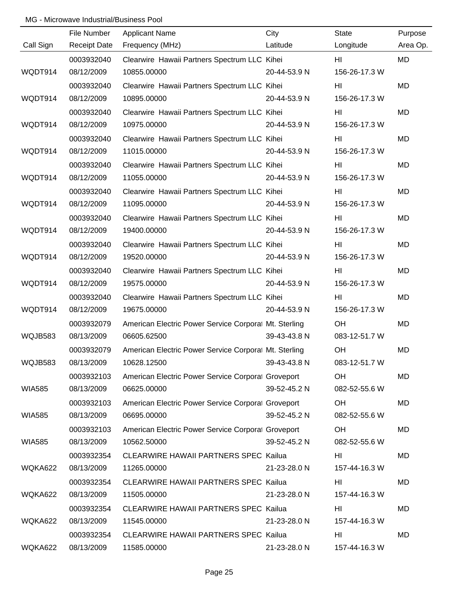|               | File Number         | <b>Applicant Name</b>                                 | City         | <b>State</b>  | Purpose   |
|---------------|---------------------|-------------------------------------------------------|--------------|---------------|-----------|
| Call Sign     | <b>Receipt Date</b> | Frequency (MHz)                                       | Latitude     | Longitude     | Area Op.  |
|               | 0003932040          | Clearwire Hawaii Partners Spectrum LLC Kihei          |              | HI            | MD        |
| WQDT914       | 08/12/2009          | 10855.00000                                           | 20-44-53.9 N | 156-26-17.3 W |           |
|               | 0003932040          | Clearwire Hawaii Partners Spectrum LLC Kihei          |              | HI            | <b>MD</b> |
| WQDT914       | 08/12/2009          | 10895.00000                                           | 20-44-53.9 N | 156-26-17.3 W |           |
|               | 0003932040          | Clearwire Hawaii Partners Spectrum LLC Kihei          |              | HI            | MD        |
| WQDT914       | 08/12/2009          | 10975.00000                                           | 20-44-53.9 N | 156-26-17.3 W |           |
|               | 0003932040          | Clearwire Hawaii Partners Spectrum LLC Kihei          |              | HI            | MD        |
| WQDT914       | 08/12/2009          | 11015.00000                                           | 20-44-53.9 N | 156-26-17.3 W |           |
|               | 0003932040          | Clearwire Hawaii Partners Spectrum LLC Kihei          |              | HI            | MD        |
| WQDT914       | 08/12/2009          | 11055.00000                                           | 20-44-53.9 N | 156-26-17.3 W |           |
|               | 0003932040          | Clearwire Hawaii Partners Spectrum LLC Kihei          |              | HI            | MD        |
| WQDT914       | 08/12/2009          | 11095.00000                                           | 20-44-53.9 N | 156-26-17.3 W |           |
|               | 0003932040          | Clearwire Hawaii Partners Spectrum LLC Kihei          |              | HI            | MD        |
| WQDT914       | 08/12/2009          | 19400.00000                                           | 20-44-53.9 N | 156-26-17.3 W |           |
|               | 0003932040          | Clearwire Hawaii Partners Spectrum LLC Kihei          |              | HI            | MD        |
| WQDT914       | 08/12/2009          | 19520.00000                                           | 20-44-53.9 N | 156-26-17.3 W |           |
|               | 0003932040          | Clearwire Hawaii Partners Spectrum LLC Kihei          |              | HI            | MD        |
| WQDT914       | 08/12/2009          | 19575.00000                                           | 20-44-53.9 N | 156-26-17.3 W |           |
|               | 0003932040          | Clearwire Hawaii Partners Spectrum LLC Kihei          |              | HI            | MD        |
| WQDT914       | 08/12/2009          | 19675.00000                                           | 20-44-53.9 N | 156-26-17.3 W |           |
|               | 0003932079          | American Electric Power Service Corporal Mt. Sterling |              | OH            | MD        |
| WQJB583       | 08/13/2009          | 06605.62500                                           | 39-43-43.8 N | 083-12-51.7 W |           |
|               | 0003932079          | American Electric Power Service Corporal Mt. Sterling |              | OH            | MD        |
| WQJB583       | 08/13/2009          | 10628.12500                                           | 39-43-43.8 N | 083-12-51.7 W |           |
|               | 0003932103          | American Electric Power Service Corporal Groveport    |              | OH            | MD        |
| <b>WIA585</b> | 08/13/2009          | 06625.00000                                           | 39-52-45.2 N | 082-52-55.6 W |           |
|               | 0003932103          | American Electric Power Service Corporal Groveport    |              | OH.           | MD        |
| <b>WIA585</b> | 08/13/2009          | 06695.00000                                           | 39-52-45.2 N | 082-52-55.6 W |           |
|               | 0003932103          | American Electric Power Service Corporal Groveport    |              | OH            | MD        |
| <b>WIA585</b> | 08/13/2009          | 10562.50000                                           | 39-52-45.2 N | 082-52-55.6 W |           |
|               | 0003932354          | <b>CLEARWIRE HAWAII PARTNERS SPEC Kailua</b>          |              | HI            | MD        |
| WQKA622       | 08/13/2009          | 11265.00000                                           | 21-23-28.0 N | 157-44-16.3 W |           |
|               | 0003932354          | <b>CLEARWIRE HAWAII PARTNERS SPEC Kailua</b>          |              | HI            | MD        |
| WQKA622       | 08/13/2009          | 11505.00000                                           | 21-23-28.0 N | 157-44-16.3 W |           |
|               | 0003932354          | <b>CLEARWIRE HAWAII PARTNERS SPEC Kailua</b>          |              | HI            | <b>MD</b> |
| WQKA622       | 08/13/2009          | 11545.00000                                           | 21-23-28.0 N | 157-44-16.3 W |           |
|               | 0003932354          | <b>CLEARWIRE HAWAII PARTNERS SPEC Kailua</b>          |              | HI            | MD        |
| WQKA622       | 08/13/2009          | 11585.00000                                           | 21-23-28.0 N | 157-44-16.3 W |           |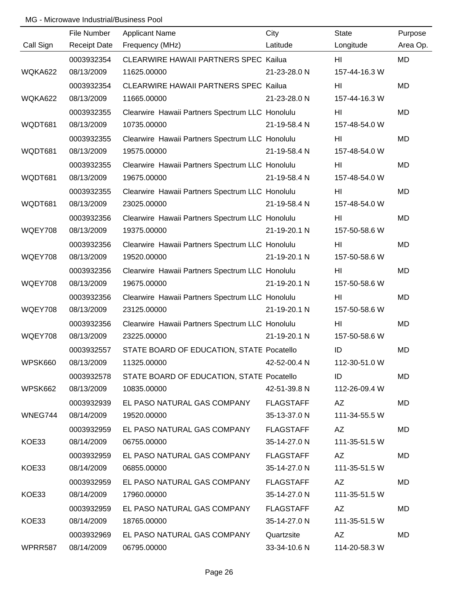|           | File Number         | <b>Applicant Name</b>                           | City             | <b>State</b>                                                                                                                                                                                                                   | Purpose   |
|-----------|---------------------|-------------------------------------------------|------------------|--------------------------------------------------------------------------------------------------------------------------------------------------------------------------------------------------------------------------------|-----------|
| Call Sign | <b>Receipt Date</b> | Frequency (MHz)                                 | Latitude         | Longitude                                                                                                                                                                                                                      | Area Op.  |
|           | 0003932354          | <b>CLEARWIRE HAWAII PARTNERS SPEC Kailua</b>    |                  | HI                                                                                                                                                                                                                             | MD        |
| WQKA622   | 08/13/2009          | 11625.00000                                     | 21-23-28.0 N     | 157-44-16.3 W                                                                                                                                                                                                                  |           |
|           | 0003932354          | <b>CLEARWIRE HAWAII PARTNERS SPEC Kailua</b>    |                  | HI                                                                                                                                                                                                                             | MD        |
| WQKA622   | 08/13/2009          | 11665.00000                                     | 21-23-28.0 N     | 157-44-16.3 W                                                                                                                                                                                                                  |           |
|           | 0003932355          | Clearwire Hawaii Partners Spectrum LLC Honolulu |                  | HI                                                                                                                                                                                                                             | MD        |
| WQDT681   | 08/13/2009          | 10735.00000                                     | 21-19-58.4 N     | 157-48-54.0 W                                                                                                                                                                                                                  |           |
|           | 0003932355          | Clearwire Hawaii Partners Spectrum LLC Honolulu |                  | HI                                                                                                                                                                                                                             | MD        |
| WQDT681   | 08/13/2009          | 19575.00000                                     | 21-19-58.4 N     | 157-48-54.0 W                                                                                                                                                                                                                  |           |
|           | 0003932355          | Clearwire Hawaii Partners Spectrum LLC Honolulu |                  | HI                                                                                                                                                                                                                             | <b>MD</b> |
| WQDT681   | 08/13/2009          | 19675.00000                                     | 21-19-58.4 N     | 157-48-54.0 W                                                                                                                                                                                                                  |           |
|           | 0003932355          | Clearwire Hawaii Partners Spectrum LLC Honolulu |                  | HI                                                                                                                                                                                                                             | <b>MD</b> |
| WQDT681   | 08/13/2009          | 23025.00000                                     | 21-19-58.4 N     | 157-48-54.0 W                                                                                                                                                                                                                  |           |
|           | 0003932356          | Clearwire Hawaii Partners Spectrum LLC Honolulu |                  | HI                                                                                                                                                                                                                             | <b>MD</b> |
| WQEY708   | 08/13/2009          | 19375.00000                                     | 21-19-20.1 N     | 157-50-58.6 W                                                                                                                                                                                                                  |           |
|           | 0003932356          | Clearwire Hawaii Partners Spectrum LLC Honolulu |                  | HI                                                                                                                                                                                                                             | <b>MD</b> |
| WQEY708   | 08/13/2009          | 19520.00000                                     | 21-19-20.1 N     | 157-50-58.6 W                                                                                                                                                                                                                  |           |
|           | 0003932356          | Clearwire Hawaii Partners Spectrum LLC Honolulu |                  | HI                                                                                                                                                                                                                             | <b>MD</b> |
| WQEY708   | 08/13/2009          | 19675.00000                                     | 21-19-20.1 N     | 157-50-58.6 W                                                                                                                                                                                                                  |           |
|           | 0003932356          | Clearwire Hawaii Partners Spectrum LLC Honolulu |                  | HI                                                                                                                                                                                                                             | <b>MD</b> |
| WQEY708   | 08/13/2009          | 23125.00000                                     | 21-19-20.1 N     | 157-50-58.6 W                                                                                                                                                                                                                  |           |
|           | 0003932356          | Clearwire Hawaii Partners Spectrum LLC Honolulu |                  | HI                                                                                                                                                                                                                             | <b>MD</b> |
| WQEY708   | 08/13/2009          | 23225.00000                                     | 21-19-20.1 N     | 157-50-58.6 W                                                                                                                                                                                                                  |           |
|           | 0003932557          | STATE BOARD OF EDUCATION, STATE Pocatello       |                  | ID                                                                                                                                                                                                                             | <b>MD</b> |
| WPSK660   | 08/13/2009          | 11325.00000                                     | 42-52-00.4 N     | 112-30-51.0 W                                                                                                                                                                                                                  |           |
|           | 0003932578          | STATE BOARD OF EDUCATION, STATE Pocatello       |                  | ID                                                                                                                                                                                                                             | MD        |
| WPSK662   | 08/13/2009          | 10835.00000                                     | 42-51-39.8 N     | 112-26-09.4 W                                                                                                                                                                                                                  |           |
|           | 0003932939          | EL PASO NATURAL GAS COMPANY FLAGSTAFF           |                  | AZ and the set of the set of the set of the set of the set of the set of the set of the set of the set of the set of the set of the set of the set of the set of the set of the set of the set of the set of the set of the se | MD        |
| WNEG744   | 08/14/2009          | 19520.00000                                     | 35-13-37.0 N     | 111-34-55.5 W                                                                                                                                                                                                                  |           |
|           | 0003932959          | EL PASO NATURAL GAS COMPANY FLAGSTAFF           |                  | AZ                                                                                                                                                                                                                             | MD        |
| KOE33     | 08/14/2009          | 06755.00000                                     | 35-14-27.0 N     | 111-35-51.5 W                                                                                                                                                                                                                  |           |
|           | 0003932959          | EL PASO NATURAL GAS COMPANY                     | <b>FLAGSTAFF</b> | AZ                                                                                                                                                                                                                             | MD        |
| KOE33     | 08/14/2009          | 06855.00000                                     | 35-14-27.0 N     | 111-35-51.5 W                                                                                                                                                                                                                  |           |
|           | 0003932959          | EL PASO NATURAL GAS COMPANY                     | FLAGSTAFF        | AZ                                                                                                                                                                                                                             | MD        |
| KOE33     | 08/14/2009          | 17960.00000                                     | 35-14-27.0 N     | 111-35-51.5 W                                                                                                                                                                                                                  |           |
|           | 0003932959          | EL PASO NATURAL GAS COMPANY                     | FLAGSTAFF        | AZ                                                                                                                                                                                                                             | MD        |
| KOE33     | 08/14/2009          | 18765.00000                                     | 35-14-27.0 N     | 111-35-51.5 W                                                                                                                                                                                                                  |           |
|           | 0003932969          | EL PASO NATURAL GAS COMPANY                     | Quartzsite       | AZ                                                                                                                                                                                                                             | MD        |
| WPRR587   | 08/14/2009          | 06795.00000                                     | 33-34-10.6 N     | 114-20-58.3 W                                                                                                                                                                                                                  |           |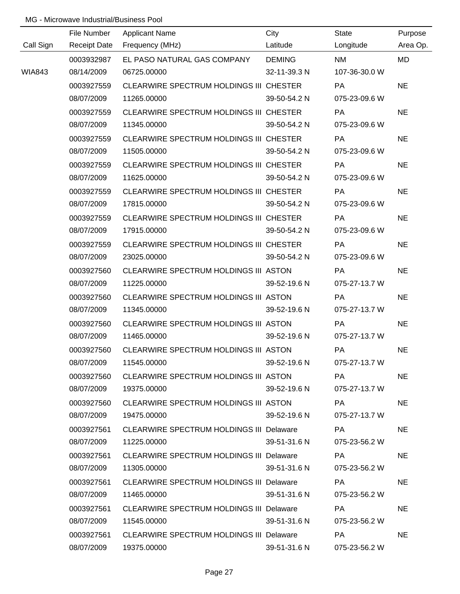|               | File Number | <b>Applicant Name</b>                           | City         | State         | Purpose   |
|---------------|-------------|-------------------------------------------------|--------------|---------------|-----------|
| Call Sign     |             | Receipt Date Frequency (MHz)<br>Latitude        |              | Longitude     | Area Op.  |
|               | 0003932987  | EL PASO NATURAL GAS COMPANY DEMING              |              | <b>NM</b>     | <b>MD</b> |
| <b>WIA843</b> | 08/14/2009  | 06725.00000                                     | 32-11-39.3 N | 107-36-30.0 W |           |
|               | 0003927559  | CLEARWIRE SPECTRUM HOLDINGS III CHESTER         |              | <b>PA</b>     | <b>NE</b> |
|               | 08/07/2009  | 11265.00000                                     | 39-50-54.2 N | 075-23-09.6 W |           |
|               | 0003927559  | CLEARWIRE SPECTRUM HOLDINGS III CHESTER         |              | PA            | <b>NE</b> |
|               | 08/07/2009  | 11345.00000                                     | 39-50-54.2 N | 075-23-09.6 W |           |
|               | 0003927559  | CLEARWIRE SPECTRUM HOLDINGS III CHESTER         |              | PA            | <b>NE</b> |
|               | 08/07/2009  | 11505.00000                                     | 39-50-54.2 N | 075-23-09.6 W |           |
|               | 0003927559  | CLEARWIRE SPECTRUM HOLDINGS III CHESTER         |              | PA            | <b>NE</b> |
|               | 08/07/2009  | 11625.00000                                     | 39-50-54.2 N | 075-23-09.6 W |           |
|               | 0003927559  | CLEARWIRE SPECTRUM HOLDINGS III CHESTER         |              | PA            | <b>NE</b> |
|               | 08/07/2009  | 17815.00000                                     | 39-50-54.2 N | 075-23-09.6 W |           |
|               | 0003927559  | CLEARWIRE SPECTRUM HOLDINGS III CHESTER         |              | <b>PA</b>     | <b>NE</b> |
|               | 08/07/2009  | 17915.00000                                     | 39-50-54.2 N | 075-23-09.6 W |           |
|               | 0003927559  | CLEARWIRE SPECTRUM HOLDINGS III CHESTER         |              | <b>PA</b>     | <b>NE</b> |
|               | 08/07/2009  | 23025.00000                                     | 39-50-54.2 N | 075-23-09.6 W |           |
|               | 0003927560  | CLEARWIRE SPECTRUM HOLDINGS III ASTON           |              | <b>PA</b>     | <b>NE</b> |
|               | 08/07/2009  | 11225.00000                                     | 39-52-19.6 N | 075-27-13.7 W |           |
|               | 0003927560  | CLEARWIRE SPECTRUM HOLDINGS III ASTON           |              | <b>PA</b>     | <b>NE</b> |
|               | 08/07/2009  | 11345.00000                                     | 39-52-19.6 N | 075-27-13.7 W |           |
|               | 0003927560  | CLEARWIRE SPECTRUM HOLDINGS III ASTON           |              | PA            | <b>NE</b> |
|               | 08/07/2009  | 11465.00000                                     | 39-52-19.6 N | 075-27-13.7 W |           |
|               | 0003927560  | CLEARWIRE SPECTRUM HOLDINGS III ASTON           |              | PA            | <b>NE</b> |
|               | 08/07/2009  | 11545.00000                                     | 39-52-19.6 N | 075-27-13.7 W |           |
|               | 0003927560  | CLEARWIRE SPECTRUM HOLDINGS III ASTON           |              | PA.           | <b>NE</b> |
|               | 08/07/2009  | 19375.00000                                     | 39-52-19.6 N | 075-27-13.7 W |           |
|               | 0003927560  | CLEARWIRE SPECTRUM HOLDINGS III ASTON           |              | PA            | <b>NE</b> |
|               | 08/07/2009  | 19475.00000                                     | 39-52-19.6 N | 075-27-13.7 W |           |
|               | 0003927561  | <b>CLEARWIRE SPECTRUM HOLDINGS III Delaware</b> |              | PA.           | <b>NE</b> |
|               | 08/07/2009  | 11225.00000                                     | 39-51-31.6 N | 075-23-56.2 W |           |
|               | 0003927561  | <b>CLEARWIRE SPECTRUM HOLDINGS III Delaware</b> |              | PA            | <b>NE</b> |
|               | 08/07/2009  | 11305.00000                                     | 39-51-31.6 N | 075-23-56.2 W |           |
|               | 0003927561  | <b>CLEARWIRE SPECTRUM HOLDINGS III Delaware</b> |              | PA            | <b>NE</b> |
|               | 08/07/2009  | 11465.00000                                     | 39-51-31.6 N | 075-23-56.2 W |           |
|               | 0003927561  | <b>CLEARWIRE SPECTRUM HOLDINGS III Delaware</b> |              | PA            | <b>NE</b> |
|               | 08/07/2009  | 11545.00000                                     | 39-51-31.6 N | 075-23-56.2 W |           |
|               | 0003927561  | <b>CLEARWIRE SPECTRUM HOLDINGS III Delaware</b> |              | PA            | <b>NE</b> |
|               | 08/07/2009  | 19375.00000                                     | 39-51-31.6 N | 075-23-56.2 W |           |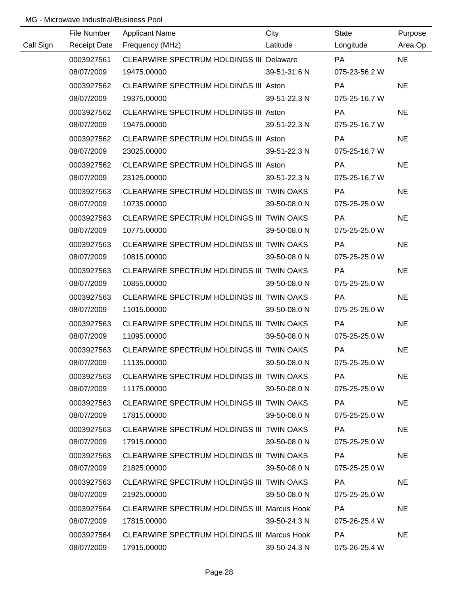|           | File Number         | <b>Applicant Name</b>                       | City         | State         | Purpose   |
|-----------|---------------------|---------------------------------------------|--------------|---------------|-----------|
| Call Sign | <b>Receipt Date</b> | Frequency (MHz)                             | Latitude     | Longitude     | Area Op.  |
|           | 0003927561          | CLEARWIRE SPECTRUM HOLDINGS III Delaware    |              | <b>PA</b>     | <b>NE</b> |
|           | 08/07/2009          | 19475.00000                                 | 39-51-31.6 N | 075-23-56.2 W |           |
|           | 0003927562          | CLEARWIRE SPECTRUM HOLDINGS III Aston       |              | <b>PA</b>     | <b>NE</b> |
|           | 08/07/2009          | 19375.00000                                 | 39-51-22.3 N | 075-25-16.7 W |           |
|           | 0003927562          | CLEARWIRE SPECTRUM HOLDINGS III Aston       |              | PA            | <b>NE</b> |
|           | 08/07/2009          | 19475.00000                                 | 39-51-22.3 N | 075-25-16.7 W |           |
|           | 0003927562          | CLEARWIRE SPECTRUM HOLDINGS III Aston       |              | <b>PA</b>     | <b>NE</b> |
|           | 08/07/2009          | 23025.00000                                 | 39-51-22.3 N | 075-25-16.7 W |           |
|           | 0003927562          | CLEARWIRE SPECTRUM HOLDINGS III Aston       |              | <b>PA</b>     | <b>NE</b> |
|           | 08/07/2009          | 23125.00000                                 | 39-51-22.3 N | 075-25-16.7 W |           |
|           | 0003927563          | CLEARWIRE SPECTRUM HOLDINGS III TWIN OAKS   |              | <b>PA</b>     | <b>NE</b> |
|           | 08/07/2009          | 10735.00000                                 | 39-50-08.0 N | 075-25-25.0 W |           |
|           | 0003927563          | CLEARWIRE SPECTRUM HOLDINGS III TWIN OAKS   |              | <b>PA</b>     | <b>NE</b> |
|           | 08/07/2009          | 10775.00000                                 | 39-50-08.0 N | 075-25-25.0 W |           |
|           | 0003927563          | CLEARWIRE SPECTRUM HOLDINGS III TWIN OAKS   |              | <b>PA</b>     | <b>NE</b> |
|           | 08/07/2009          | 10815.00000                                 | 39-50-08.0 N | 075-25-25.0 W |           |
|           | 0003927563          | CLEARWIRE SPECTRUM HOLDINGS III TWIN OAKS   |              | PA            | <b>NE</b> |
|           | 08/07/2009          | 10855.00000                                 | 39-50-08.0 N | 075-25-25.0 W |           |
|           | 0003927563          | CLEARWIRE SPECTRUM HOLDINGS III TWIN OAKS   |              | PA            | <b>NE</b> |
|           | 08/07/2009          | 11015.00000                                 | 39-50-08.0 N | 075-25-25.0 W |           |
|           | 0003927563          | CLEARWIRE SPECTRUM HOLDINGS III TWIN OAKS   |              | PA            | <b>NE</b> |
|           | 08/07/2009          | 11095.00000                                 | 39-50-08.0 N | 075-25-25.0 W |           |
|           | 0003927563          | CLEARWIRE SPECTRUM HOLDINGS III TWIN OAKS   |              | PA            | <b>NE</b> |
|           | 08/07/2009          | 11135.00000                                 | 39-50-08.0 N | 075-25-25.0 W |           |
|           | 0003927563          | CLEARWIRE SPECTRUM HOLDINGS III TWIN OAKS   |              | PA            | <b>NE</b> |
|           | 08/07/2009          | 11175.00000                                 | 39-50-08.0 N | 075-25-25.0 W |           |
|           | 0003927563          | CLEARWIRE SPECTRUM HOLDINGS III TWIN OAKS   |              | PA            | <b>NE</b> |
|           | 08/07/2009          | 17815.00000                                 | 39-50-08.0 N | 075-25-25.0 W |           |
|           | 0003927563          | CLEARWIRE SPECTRUM HOLDINGS III TWIN OAKS   |              | PA            | <b>NE</b> |
|           | 08/07/2009          | 17915.00000                                 | 39-50-08.0 N | 075-25-25.0 W |           |
|           | 0003927563          | CLEARWIRE SPECTRUM HOLDINGS III TWIN OAKS   |              | <b>PA</b>     | <b>NE</b> |
|           | 08/07/2009          | 21825.00000                                 | 39-50-08.0 N | 075-25-25.0 W |           |
|           | 0003927563          | CLEARWIRE SPECTRUM HOLDINGS III TWIN OAKS   |              | PA            | <b>NE</b> |
|           | 08/07/2009          | 21925.00000                                 | 39-50-08.0 N | 075-25-25.0 W |           |
|           | 0003927564          | CLEARWIRE SPECTRUM HOLDINGS III Marcus Hook |              | PA            | <b>NE</b> |
|           | 08/07/2009          | 17815.00000                                 | 39-50-24.3 N | 075-26-25.4 W |           |
|           | 0003927564          | CLEARWIRE SPECTRUM HOLDINGS III Marcus Hook |              | <b>PA</b>     | <b>NE</b> |
|           | 08/07/2009          | 17915.00000                                 | 39-50-24.3 N | 075-26-25.4 W |           |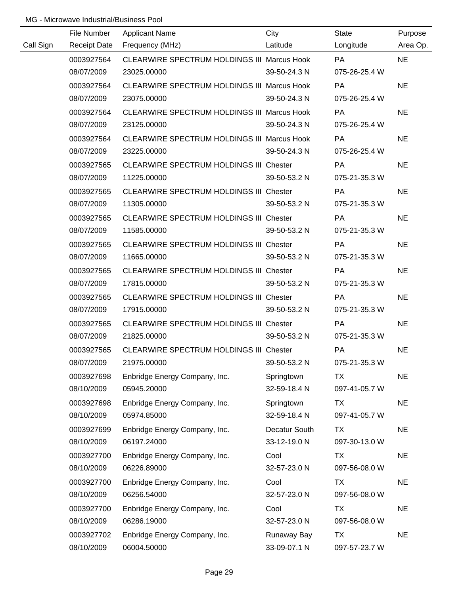|           | File Number         | <b>Applicant Name</b>                          | City          | <b>State</b>  | Purpose   |
|-----------|---------------------|------------------------------------------------|---------------|---------------|-----------|
| Call Sign | <b>Receipt Date</b> | Frequency (MHz)                                | Latitude      | Longitude     | Area Op.  |
|           | 0003927564          | CLEARWIRE SPECTRUM HOLDINGS III Marcus Hook    |               | <b>PA</b>     | <b>NE</b> |
|           | 08/07/2009          | 23025.00000                                    | 39-50-24.3 N  | 075-26-25.4 W |           |
|           | 0003927564          | CLEARWIRE SPECTRUM HOLDINGS III Marcus Hook    |               | PA            | <b>NE</b> |
|           | 08/07/2009          | 23075.00000                                    | 39-50-24.3 N  | 075-26-25.4 W |           |
|           | 0003927564          | CLEARWIRE SPECTRUM HOLDINGS III Marcus Hook    |               | <b>PA</b>     | <b>NE</b> |
|           | 08/07/2009          | 23125.00000                                    | 39-50-24.3 N  | 075-26-25.4 W |           |
|           | 0003927564          | CLEARWIRE SPECTRUM HOLDINGS III Marcus Hook    |               | <b>PA</b>     | <b>NE</b> |
|           | 08/07/2009          | 23225.00000                                    | 39-50-24.3 N  | 075-26-25.4 W |           |
|           | 0003927565          | CLEARWIRE SPECTRUM HOLDINGS III Chester        |               | <b>PA</b>     | <b>NE</b> |
|           | 08/07/2009          | 11225.00000                                    | 39-50-53.2 N  | 075-21-35.3 W |           |
|           | 0003927565          | CLEARWIRE SPECTRUM HOLDINGS III Chester        |               | PA            | <b>NE</b> |
|           | 08/07/2009          | 11305.00000                                    | 39-50-53.2 N  | 075-21-35.3 W |           |
|           | 0003927565          | CLEARWIRE SPECTRUM HOLDINGS III Chester        |               | PA            | <b>NE</b> |
|           | 08/07/2009          | 11585.00000                                    | 39-50-53.2 N  | 075-21-35.3 W |           |
|           | 0003927565          | <b>CLEARWIRE SPECTRUM HOLDINGS III Chester</b> |               | <b>PA</b>     | <b>NE</b> |
|           | 08/07/2009          | 11665.00000                                    | 39-50-53.2 N  | 075-21-35.3 W |           |
|           | 0003927565          | CLEARWIRE SPECTRUM HOLDINGS III Chester        |               | PA            | <b>NE</b> |
|           | 08/07/2009          | 17815.00000                                    | 39-50-53.2 N  | 075-21-35.3 W |           |
|           | 0003927565          | CLEARWIRE SPECTRUM HOLDINGS III Chester        |               | PA            | <b>NE</b> |
|           | 08/07/2009          | 17915.00000                                    | 39-50-53.2 N  | 075-21-35.3 W |           |
|           | 0003927565          | <b>CLEARWIRE SPECTRUM HOLDINGS III Chester</b> |               | PA            | <b>NE</b> |
|           | 08/07/2009          | 21825.00000                                    | 39-50-53.2 N  | 075-21-35.3 W |           |
|           | 0003927565          | CLEARWIRE SPECTRUM HOLDINGS III Chester        |               | PA            | <b>NE</b> |
|           | 08/07/2009          | 21975.00000                                    | 39-50-53.2 N  | 075-21-35.3 W |           |
|           | 0003927698          | Enbridge Energy Company, Inc.                  | Springtown    | <b>TX</b>     | <b>NE</b> |
|           | 08/10/2009          | 05945.20000                                    | 32-59-18.4 N  | 097-41-05.7 W |           |
|           | 0003927698          | Enbridge Energy Company, Inc.                  | Springtown    | <b>TX</b>     | <b>NE</b> |
|           | 08/10/2009          | 05974.85000                                    | 32-59-18.4 N  | 097-41-05.7 W |           |
|           | 0003927699          | Enbridge Energy Company, Inc.                  | Decatur South | <b>TX</b>     | <b>NE</b> |
|           | 08/10/2009          | 06197.24000                                    | 33-12-19.0 N  | 097-30-13.0 W |           |
|           | 0003927700          | Enbridge Energy Company, Inc.                  | Cool          | TX            | <b>NE</b> |
|           | 08/10/2009          | 06226.89000                                    | 32-57-23.0 N  | 097-56-08.0 W |           |
|           | 0003927700          | Enbridge Energy Company, Inc.                  | Cool          | <b>TX</b>     | <b>NE</b> |
|           | 08/10/2009          | 06256.54000                                    | 32-57-23.0 N  | 097-56-08.0 W |           |
|           | 0003927700          | Enbridge Energy Company, Inc.                  | Cool          | <b>TX</b>     | <b>NE</b> |
|           | 08/10/2009          | 06286.19000                                    | 32-57-23.0 N  | 097-56-08.0 W |           |
|           | 0003927702          | Enbridge Energy Company, Inc.                  | Runaway Bay   | <b>TX</b>     | <b>NE</b> |
|           | 08/10/2009          | 06004.50000                                    | 33-09-07.1 N  | 097-57-23.7 W |           |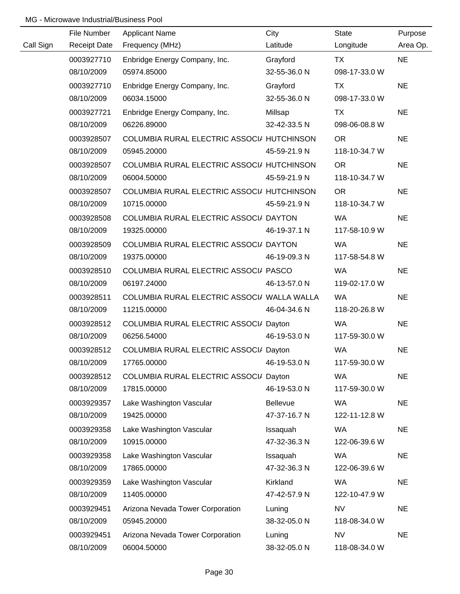|           | File Number         | <b>Applicant Name</b>                       | City         | State         | Purpose   |
|-----------|---------------------|---------------------------------------------|--------------|---------------|-----------|
| Call Sign | <b>Receipt Date</b> | Frequency (MHz)                             | Latitude     | Longitude     | Area Op.  |
|           | 0003927710          | Enbridge Energy Company, Inc.               | Grayford     | TX            | <b>NE</b> |
|           | 08/10/2009          | 05974.85000                                 | 32-55-36.0 N | 098-17-33.0 W |           |
|           | 0003927710          | Enbridge Energy Company, Inc.               | Grayford     | TX            | <b>NE</b> |
|           | 08/10/2009          | 06034.15000                                 | 32-55-36.0 N | 098-17-33.0 W |           |
|           | 0003927721          | Enbridge Energy Company, Inc.               | Millsap      | <b>TX</b>     | <b>NE</b> |
|           | 08/10/2009          | 06226.89000                                 | 32-42-33.5 N | 098-06-08.8 W |           |
|           | 0003928507          | COLUMBIA RURAL ELECTRIC ASSOCI/ HUTCHINSON  |              | OR            | <b>NE</b> |
|           | 08/10/2009          | 05945.20000                                 | 45-59-21.9 N | 118-10-34.7 W |           |
|           | 0003928507          | COLUMBIA RURAL ELECTRIC ASSOCI/ HUTCHINSON  |              | OR            | <b>NE</b> |
|           | 08/10/2009          | 06004.50000                                 | 45-59-21.9 N | 118-10-34.7 W |           |
|           | 0003928507          | COLUMBIA RURAL ELECTRIC ASSOCI/ HUTCHINSON  |              | OR            | <b>NE</b> |
|           | 08/10/2009          | 10715.00000                                 | 45-59-21.9 N | 118-10-34.7 W |           |
|           | 0003928508          | COLUMBIA RURAL ELECTRIC ASSOCI/ DAYTON      |              | WA.           | <b>NE</b> |
|           | 08/10/2009          | 19325.00000                                 | 46-19-37.1 N | 117-58-10.9 W |           |
|           | 0003928509          | COLUMBIA RURAL ELECTRIC ASSOCI/ DAYTON      |              | <b>WA</b>     | <b>NE</b> |
|           | 08/10/2009          | 19375.00000                                 | 46-19-09.3 N | 117-58-54.8 W |           |
|           | 0003928510          | COLUMBIA RURAL ELECTRIC ASSOCI/ PASCO       |              | <b>WA</b>     | <b>NE</b> |
|           | 08/10/2009          | 06197.24000                                 | 46-13-57.0 N | 119-02-17.0 W |           |
|           | 0003928511          | COLUMBIA RURAL ELECTRIC ASSOCI/ WALLA WALLA |              | <b>WA</b>     | <b>NE</b> |
|           | 08/10/2009          | 11215.00000                                 | 46-04-34.6 N | 118-20-26.8 W |           |
|           | 0003928512          | COLUMBIA RURAL ELECTRIC ASSOCI/ Dayton      |              | WA            | <b>NE</b> |
|           | 08/10/2009          | 06256.54000                                 | 46-19-53.0 N | 117-59-30.0 W |           |
|           | 0003928512          | COLUMBIA RURAL ELECTRIC ASSOCI/ Dayton      |              | <b>WA</b>     | <b>NE</b> |
|           | 08/10/2009          | 17765.00000                                 | 46-19-53.0 N | 117-59-30.0 W |           |
|           | 0003928512          | COLUMBIA RURAL ELECTRIC ASSOCI/ Dayton      |              | WA            | <b>NE</b> |
|           | 08/10/2009          | 17815.00000                                 | 46-19-53.0 N | 117-59-30.0 W |           |
|           | 0003929357          | Lake Washington Vascular                    | Bellevue     | WA            | <b>NE</b> |
|           | 08/10/2009          | 19425.00000                                 | 47-37-16.7 N | 122-11-12.8 W |           |
|           | 0003929358          | Lake Washington Vascular                    | Issaquah     | WA            | <b>NE</b> |
|           | 08/10/2009          | 10915.00000                                 | 47-32-36.3 N | 122-06-39.6 W |           |
|           | 0003929358          | Lake Washington Vascular                    | Issaquah     | WA            | <b>NE</b> |
|           | 08/10/2009          | 17865.00000                                 | 47-32-36.3 N | 122-06-39.6 W |           |
|           | 0003929359          | Lake Washington Vascular                    | Kirkland     | <b>WA</b>     | <b>NE</b> |
|           | 08/10/2009          | 11405.00000                                 | 47-42-57.9 N | 122-10-47.9 W |           |
|           | 0003929451          | Arizona Nevada Tower Corporation            | Luning       | <b>NV</b>     | <b>NE</b> |
|           | 08/10/2009          | 05945.20000                                 | 38-32-05.0 N | 118-08-34.0 W |           |
|           | 0003929451          | Arizona Nevada Tower Corporation            | Luning       | <b>NV</b>     | <b>NE</b> |
|           | 08/10/2009          | 06004.50000                                 | 38-32-05.0 N | 118-08-34.0 W |           |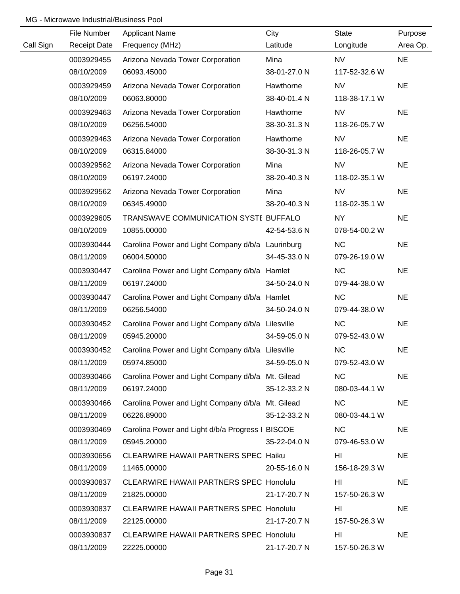|           | File Number         | <b>Applicant Name</b>                             | City         | State         | Purpose   |
|-----------|---------------------|---------------------------------------------------|--------------|---------------|-----------|
| Call Sign | <b>Receipt Date</b> | Frequency (MHz)                                   | Latitude     | Longitude     | Area Op.  |
|           | 0003929455          | Arizona Nevada Tower Corporation                  | Mina         | <b>NV</b>     | <b>NE</b> |
|           | 08/10/2009          | 06093.45000                                       | 38-01-27.0 N | 117-52-32.6 W |           |
|           | 0003929459          | Arizona Nevada Tower Corporation                  | Hawthorne    | <b>NV</b>     | <b>NE</b> |
|           | 08/10/2009          | 06063.80000                                       | 38-40-01.4 N | 118-38-17.1 W |           |
|           | 0003929463          | Arizona Nevada Tower Corporation                  | Hawthorne    | <b>NV</b>     | <b>NE</b> |
|           | 08/10/2009          | 06256.54000                                       | 38-30-31.3 N | 118-26-05.7 W |           |
|           | 0003929463          | Arizona Nevada Tower Corporation                  | Hawthorne    | <b>NV</b>     | <b>NE</b> |
|           | 08/10/2009          | 06315.84000                                       | 38-30-31.3 N | 118-26-05.7 W |           |
|           | 0003929562          | Arizona Nevada Tower Corporation                  | Mina         | <b>NV</b>     | <b>NE</b> |
|           | 08/10/2009          | 06197.24000                                       | 38-20-40.3 N | 118-02-35.1 W |           |
|           | 0003929562          | Arizona Nevada Tower Corporation                  | Mina         | <b>NV</b>     | <b>NE</b> |
|           | 08/10/2009          | 06345.49000                                       | 38-20-40.3 N | 118-02-35.1 W |           |
|           | 0003929605          | TRANSWAVE COMMUNICATION SYSTE BUFFALO             |              | <b>NY</b>     | <b>NE</b> |
|           | 08/10/2009          | 10855.00000                                       | 42-54-53.6 N | 078-54-00.2 W |           |
|           | 0003930444          | Carolina Power and Light Company d/b/a Laurinburg |              | <b>NC</b>     | <b>NE</b> |
|           | 08/11/2009          | 06004.50000                                       | 34-45-33.0 N | 079-26-19.0 W |           |
|           | 0003930447          | Carolina Power and Light Company d/b/a Hamlet     |              | <b>NC</b>     | <b>NE</b> |
|           | 08/11/2009          | 06197.24000                                       | 34-50-24.0 N | 079-44-38.0 W |           |
|           | 0003930447          | Carolina Power and Light Company d/b/a Hamlet     |              | <b>NC</b>     | <b>NE</b> |
|           | 08/11/2009          | 06256.54000                                       | 34-50-24.0 N | 079-44-38.0 W |           |
|           | 0003930452          | Carolina Power and Light Company d/b/a Lilesville |              | NC            | <b>NE</b> |
|           | 08/11/2009          | 05945.20000                                       | 34-59-05.0 N | 079-52-43.0 W |           |
|           | 0003930452          | Carolina Power and Light Company d/b/a Lilesville |              | <b>NC</b>     | <b>NE</b> |
|           | 08/11/2009          | 05974.85000                                       | 34-59-05.0 N | 079-52-43.0 W |           |
|           | 0003930466          | Carolina Power and Light Company d/b/a Mt. Gilead |              | <b>NC</b>     | <b>NE</b> |
|           | 08/11/2009          | 06197.24000                                       | 35-12-33.2 N | 080-03-44.1 W |           |
|           | 0003930466          | Carolina Power and Light Company d/b/a Mt. Gilead |              | <b>NC</b>     | <b>NE</b> |
|           | 08/11/2009          | 06226.89000                                       | 35-12-33.2 N | 080-03-44.1 W |           |
|           | 0003930469          | Carolina Power and Light d/b/a Progress I BISCOE  |              | <b>NC</b>     | <b>NE</b> |
|           | 08/11/2009          | 05945.20000                                       | 35-22-04.0 N | 079-46-53.0 W |           |
|           | 0003930656          | <b>CLEARWIRE HAWAII PARTNERS SPEC Haiku</b>       |              | HI            | <b>NE</b> |
|           | 08/11/2009          | 11465.00000                                       | 20-55-16.0 N | 156-18-29.3 W |           |
|           | 0003930837          | <b>CLEARWIRE HAWAII PARTNERS SPEC Honolulu</b>    |              | HI            | <b>NE</b> |
|           | 08/11/2009          | 21825.00000                                       | 21-17-20.7 N | 157-50-26.3 W |           |
|           | 0003930837          | <b>CLEARWIRE HAWAII PARTNERS SPEC Honolulu</b>    |              | HI            | <b>NE</b> |
|           | 08/11/2009          | 22125.00000                                       | 21-17-20.7 N | 157-50-26.3 W |           |
|           | 0003930837          | <b>CLEARWIRE HAWAII PARTNERS SPEC Honolulu</b>    |              | HI            | <b>NE</b> |
|           | 08/11/2009          | 22225.00000                                       | 21-17-20.7 N | 157-50-26.3 W |           |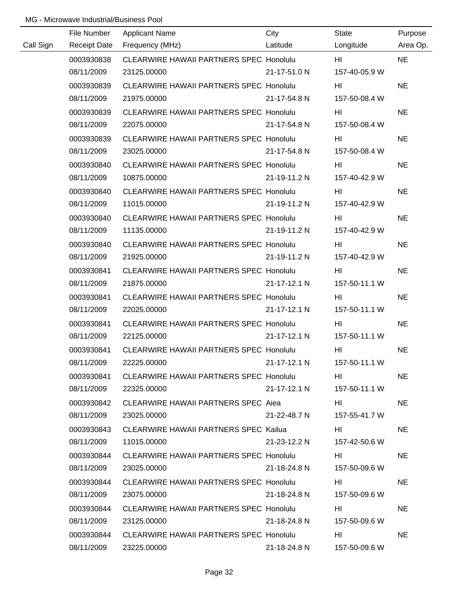|           | File Number         | <b>Applicant Name</b>                          | City         | State           | Purpose   |
|-----------|---------------------|------------------------------------------------|--------------|-----------------|-----------|
| Call Sign | <b>Receipt Date</b> | Frequency (MHz)                                | Latitude     | Longitude       | Area Op.  |
|           | 0003930838          | <b>CLEARWIRE HAWAII PARTNERS SPEC Honolulu</b> |              | H <sub>II</sub> | <b>NE</b> |
|           | 08/11/2009          | 23125.00000                                    | 21-17-51.0 N | 157-40-05.9 W   |           |
|           | 0003930839          | CLEARWIRE HAWAII PARTNERS SPEC Honolulu        |              | HI              | <b>NE</b> |
|           | 08/11/2009          | 21975.00000                                    | 21-17-54.8 N | 157-50-08.4 W   |           |
|           | 0003930839          | <b>CLEARWIRE HAWAII PARTNERS SPEC Honolulu</b> |              | HI              | <b>NE</b> |
|           | 08/11/2009          | 22075.00000                                    | 21-17-54.8 N | 157-50-08.4 W   |           |
|           | 0003930839          | CLEARWIRE HAWAII PARTNERS SPEC Honolulu        |              | HI              | <b>NE</b> |
|           | 08/11/2009          | 23025.00000                                    | 21-17-54.8 N | 157-50-08.4 W   |           |
|           | 0003930840          | CLEARWIRE HAWAII PARTNERS SPEC Honolulu        |              | HI              | <b>NE</b> |
|           | 08/11/2009          | 10875.00000                                    | 21-19-11.2 N | 157-40-42.9 W   |           |
|           | 0003930840          | CLEARWIRE HAWAII PARTNERS SPEC Honolulu        |              | HI              | <b>NE</b> |
|           | 08/11/2009          | 11015.00000                                    | 21-19-11.2 N | 157-40-42.9 W   |           |
|           | 0003930840          | CLEARWIRE HAWAII PARTNERS SPEC Honolulu        |              | HI              | <b>NE</b> |
|           | 08/11/2009          | 11135.00000                                    | 21-19-11.2 N | 157-40-42.9 W   |           |
|           | 0003930840          | <b>CLEARWIRE HAWAII PARTNERS SPEC Honolulu</b> |              | HI              | <b>NE</b> |
|           | 08/11/2009          | 21925.00000                                    | 21-19-11.2 N | 157-40-42.9 W   |           |
|           | 0003930841          | CLEARWIRE HAWAII PARTNERS SPEC Honolulu        |              | H <sub>l</sub>  | <b>NE</b> |
|           | 08/11/2009          | 21875.00000                                    | 21-17-12.1 N | 157-50-11.1 W   |           |
|           | 0003930841          | <b>CLEARWIRE HAWAII PARTNERS SPEC Honolulu</b> |              | H <sub>l</sub>  | <b>NE</b> |
|           | 08/11/2009          | 22025.00000                                    | 21-17-12.1 N | 157-50-11.1 W   |           |
|           | 0003930841          | CLEARWIRE HAWAII PARTNERS SPEC Honolulu        |              | H <sub>l</sub>  | <b>NE</b> |
|           | 08/11/2009          | 22125.00000                                    | 21-17-12.1 N | 157-50-11.1 W   |           |
|           | 0003930841          | <b>CLEARWIRE HAWAII PARTNERS SPEC Honolulu</b> |              | H <sub>l</sub>  | <b>NE</b> |
|           | 08/11/2009          | 22225.00000                                    | 21-17-12.1 N | 157-50-11.1 W   |           |
|           | 0003930841          | <b>CLEARWIRE HAWAII PARTNERS SPEC Honolulu</b> |              | HL              | <b>NE</b> |
|           | 08/11/2009          | 22325.00000                                    | 21-17-12.1 N | 157-50-11.1 W   |           |
|           | 0003930842          | CLEARWIRE HAWAII PARTNERS SPEC Aiea            |              | HL              | <b>NE</b> |
|           | 08/11/2009          | 23025.00000                                    | 21-22-48.7 N | 157-55-41.7 W   |           |
|           | 0003930843          | <b>CLEARWIRE HAWAII PARTNERS SPEC Kailua</b>   |              | HL              | <b>NE</b> |
|           | 08/11/2009          | 11015.00000                                    | 21-23-12.2 N | 157-42-50.6 W   |           |
|           | 0003930844          | CLEARWIRE HAWAII PARTNERS SPEC Honolulu        |              | HL              | <b>NE</b> |
|           | 08/11/2009          | 23025.00000                                    | 21-18-24.8 N | 157-50-09.6 W   |           |
|           | 0003930844          | CLEARWIRE HAWAII PARTNERS SPEC Honolulu        |              | HL              | <b>NE</b> |
|           | 08/11/2009          | 23075.00000                                    | 21-18-24.8 N | 157-50-09.6 W   |           |
|           | 0003930844          | CLEARWIRE HAWAII PARTNERS SPEC Honolulu        |              | HI              | <b>NE</b> |
|           | 08/11/2009          | 23125.00000                                    | 21-18-24.8 N | 157-50-09.6 W   |           |
|           | 0003930844          | CLEARWIRE HAWAII PARTNERS SPEC Honolulu        |              | HI              | <b>NE</b> |
|           | 08/11/2009          | 23225.00000                                    | 21-18-24.8 N | 157-50-09.6 W   |           |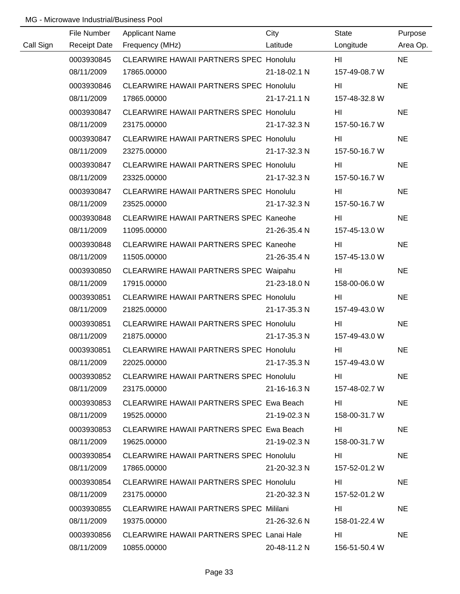|           | File Number         | <b>Applicant Name</b>                          | City         | State          | Purpose   |
|-----------|---------------------|------------------------------------------------|--------------|----------------|-----------|
| Call Sign | <b>Receipt Date</b> | Frequency (MHz)                                | Latitude     | Longitude      | Area Op.  |
|           | 0003930845          | <b>CLEARWIRE HAWAII PARTNERS SPEC Honolulu</b> |              | HI.            | <b>NE</b> |
|           | 08/11/2009          | 17865.00000                                    | 21-18-02.1 N | 157-49-08.7 W  |           |
|           | 0003930846          | CLEARWIRE HAWAII PARTNERS SPEC Honolulu        |              | HI             | <b>NE</b> |
|           | 08/11/2009          | 17865.00000                                    | 21-17-21.1 N | 157-48-32.8 W  |           |
|           | 0003930847          | <b>CLEARWIRE HAWAII PARTNERS SPEC Honolulu</b> |              | HI             | <b>NE</b> |
|           | 08/11/2009          | 23175.00000                                    | 21-17-32.3 N | 157-50-16.7 W  |           |
|           | 0003930847          | <b>CLEARWIRE HAWAII PARTNERS SPEC Honolulu</b> |              | HI             | <b>NE</b> |
|           | 08/11/2009          | 23275.00000                                    | 21-17-32.3 N | 157-50-16.7 W  |           |
|           | 0003930847          | CLEARWIRE HAWAII PARTNERS SPEC Honolulu        |              | HI             | <b>NE</b> |
|           | 08/11/2009          | 23325.00000                                    | 21-17-32.3 N | 157-50-16.7 W  |           |
|           | 0003930847          | CLEARWIRE HAWAII PARTNERS SPEC Honolulu        |              | HI             | <b>NE</b> |
|           | 08/11/2009          | 23525.00000                                    | 21-17-32.3 N | 157-50-16.7 W  |           |
|           | 0003930848          | CLEARWIRE HAWAII PARTNERS SPEC Kaneohe         |              | HI             | <b>NE</b> |
|           | 08/11/2009          | 11095.00000                                    | 21-26-35.4 N | 157-45-13.0 W  |           |
|           | 0003930848          | <b>CLEARWIRE HAWAII PARTNERS SPEC Kaneohe</b>  |              | HI             | <b>NE</b> |
|           | 08/11/2009          | 11505.00000                                    | 21-26-35.4 N | 157-45-13.0 W  |           |
|           | 0003930850          | <b>CLEARWIRE HAWAII PARTNERS SPEC Waipahu</b>  |              | HI             | <b>NE</b> |
|           | 08/11/2009          | 17915.00000                                    | 21-23-18.0 N | 158-00-06.0 W  |           |
|           | 0003930851          | <b>CLEARWIRE HAWAII PARTNERS SPEC Honolulu</b> |              | H <sub>l</sub> | <b>NE</b> |
|           | 08/11/2009          | 21825.00000                                    | 21-17-35.3 N | 157-49-43.0 W  |           |
|           | 0003930851          | CLEARWIRE HAWAII PARTNERS SPEC Honolulu        |              | H <sub>l</sub> | <b>NE</b> |
|           | 08/11/2009          | 21875.00000                                    | 21-17-35.3 N | 157-49-43.0 W  |           |
|           | 0003930851          | CLEARWIRE HAWAII PARTNERS SPEC Honolulu        |              | H <sub>l</sub> | <b>NE</b> |
|           | 08/11/2009          | 22025.00000                                    | 21-17-35.3 N | 157-49-43.0 W  |           |
|           | 0003930852          | CLEARWIRE HAWAII PARTNERS SPEC Honolulu        |              | HL             | <b>NE</b> |
|           | 08/11/2009          | 23175.00000                                    | 21-16-16.3 N | 157-48-02.7 W  |           |
|           | 0003930853          | CLEARWIRE HAWAII PARTNERS SPEC Ewa Beach       |              | HL             | <b>NE</b> |
|           | 08/11/2009          | 19525.00000                                    | 21-19-02.3 N | 158-00-31.7 W  |           |
|           | 0003930853          | CLEARWIRE HAWAII PARTNERS SPEC Ewa Beach       |              | HL             | <b>NE</b> |
|           | 08/11/2009          | 19625.00000                                    | 21-19-02.3 N | 158-00-31.7 W  |           |
|           | 0003930854          | CLEARWIRE HAWAII PARTNERS SPEC Honolulu        |              | HI             | <b>NE</b> |
|           | 08/11/2009          | 17865.00000                                    | 21-20-32.3 N | 157-52-01.2 W  |           |
|           | 0003930854          | CLEARWIRE HAWAII PARTNERS SPEC Honolulu        |              | HI             | <b>NE</b> |
|           | 08/11/2009          | 23175.00000                                    | 21-20-32.3 N | 157-52-01.2 W  |           |
|           | 0003930855          | <b>CLEARWIRE HAWAII PARTNERS SPEC Milliani</b> |              | HI             | <b>NE</b> |
|           | 08/11/2009          | 19375.00000                                    | 21-26-32.6 N | 158-01-22.4 W  |           |
|           | 0003930856          | CLEARWIRE HAWAII PARTNERS SPEC Lanai Hale      |              | HI             | <b>NE</b> |
|           | 08/11/2009          | 10855.00000                                    | 20-48-11.2 N | 156-51-50.4 W  |           |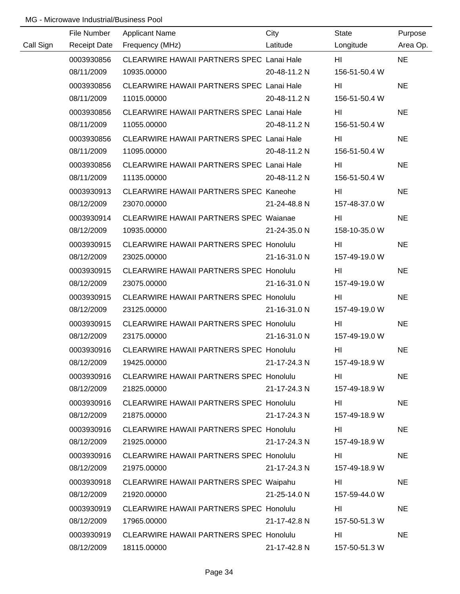|           | File Number         | <b>Applicant Name</b>                            | City         | <b>State</b>  | Purpose   |
|-----------|---------------------|--------------------------------------------------|--------------|---------------|-----------|
| Call Sign | <b>Receipt Date</b> | Frequency (MHz)                                  | Latitude     | Longitude     | Area Op.  |
|           | 0003930856          | CLEARWIRE HAWAII PARTNERS SPEC Lanai Hale        |              | HL            | <b>NE</b> |
|           | 08/11/2009          | 10935.00000                                      | 20-48-11.2 N | 156-51-50.4 W |           |
|           | 0003930856          | CLEARWIRE HAWAII PARTNERS SPEC Lanai Hale        |              | HI            | <b>NE</b> |
|           | 08/11/2009          | 11015.00000                                      | 20-48-11.2 N | 156-51-50.4 W |           |
|           | 0003930856          | <b>CLEARWIRE HAWAII PARTNERS SPEC Lanai Hale</b> |              | HI            | <b>NE</b> |
|           | 08/11/2009          | 11055.00000                                      | 20-48-11.2 N | 156-51-50.4 W |           |
|           | 0003930856          | CLEARWIRE HAWAII PARTNERS SPEC Lanai Hale        |              | HI            | <b>NE</b> |
|           | 08/11/2009          | 11095.00000                                      | 20-48-11.2 N | 156-51-50.4 W |           |
|           | 0003930856          | CLEARWIRE HAWAII PARTNERS SPEC Lanai Hale        |              | HI            | <b>NE</b> |
|           | 08/11/2009          | 11135.00000                                      | 20-48-11.2 N | 156-51-50.4 W |           |
|           | 0003930913          | CLEARWIRE HAWAII PARTNERS SPEC Kaneohe           |              | HI            | <b>NE</b> |
|           | 08/12/2009          | 23070.00000                                      | 21-24-48.8 N | 157-48-37.0 W |           |
|           | 0003930914          | <b>CLEARWIRE HAWAII PARTNERS SPEC Waianae</b>    |              | HI            | <b>NE</b> |
|           | 08/12/2009          | 10935.00000                                      | 21-24-35.0 N | 158-10-35.0 W |           |
|           | 0003930915          | CLEARWIRE HAWAII PARTNERS SPEC Honolulu          |              | HI            | <b>NE</b> |
|           | 08/12/2009          | 23025.00000                                      | 21-16-31.0 N | 157-49-19.0 W |           |
|           | 0003930915          | <b>CLEARWIRE HAWAII PARTNERS SPEC Honolulu</b>   |              | HI            | <b>NE</b> |
|           | 08/12/2009          | 23075.00000                                      | 21-16-31.0 N | 157-49-19.0 W |           |
|           | 0003930915          | <b>CLEARWIRE HAWAII PARTNERS SPEC Honolulu</b>   |              | HI.           | <b>NE</b> |
|           | 08/12/2009          | 23125.00000                                      | 21-16-31.0 N | 157-49-19.0 W |           |
|           | 0003930915          | CLEARWIRE HAWAII PARTNERS SPEC Honolulu          |              | HI.           | <b>NE</b> |
|           | 08/12/2009          | 23175.00000                                      | 21-16-31.0 N | 157-49-19.0 W |           |
|           | 0003930916          | CLEARWIRE HAWAII PARTNERS SPEC Honolulu          |              | HI            | <b>NE</b> |
|           | 08/12/2009          | 19425.00000                                      | 21-17-24.3 N | 157-49-18.9 W |           |
|           | 0003930916          | <b>CLEARWIRE HAWAII PARTNERS SPEC Honolulu</b>   |              | HL            | <b>NE</b> |
|           | 08/12/2009          | 21825.00000                                      | 21-17-24.3 N | 157-49-18.9 W |           |
|           | 0003930916          | <b>CLEARWIRE HAWAII PARTNERS SPEC Honolulu</b>   |              | HI            | <b>NE</b> |
|           | 08/12/2009          | 21875.00000                                      | 21-17-24.3 N | 157-49-18.9 W |           |
|           | 0003930916          | <b>CLEARWIRE HAWAII PARTNERS SPEC Honolulu</b>   |              | HL            | <b>NE</b> |
|           | 08/12/2009          | 21925.00000                                      | 21-17-24.3 N | 157-49-18.9 W |           |
|           | 0003930916          | <b>CLEARWIRE HAWAII PARTNERS SPEC Honolulu</b>   |              | HL            | <b>NE</b> |
|           | 08/12/2009          | 21975.00000                                      | 21-17-24.3 N | 157-49-18.9 W |           |
|           | 0003930918          | CLEARWIRE HAWAII PARTNERS SPEC Waipahu           |              | HI            | <b>NE</b> |
|           | 08/12/2009          | 21920.00000                                      | 21-25-14.0 N | 157-59-44.0 W |           |
|           | 0003930919          | <b>CLEARWIRE HAWAII PARTNERS SPEC Honolulu</b>   |              | HI            | <b>NE</b> |
|           | 08/12/2009          | 17965.00000                                      | 21-17-42.8 N | 157-50-51.3 W |           |
|           | 0003930919          | <b>CLEARWIRE HAWAII PARTNERS SPEC Honolulu</b>   |              | HI            | <b>NE</b> |
|           | 08/12/2009          | 18115.00000                                      | 21-17-42.8 N | 157-50-51.3 W |           |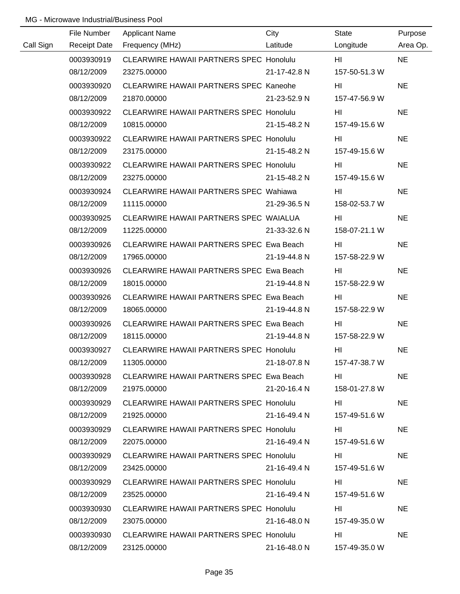|           | File Number         | <b>Applicant Name</b>                          | City         | <b>State</b>                        | Purpose   |
|-----------|---------------------|------------------------------------------------|--------------|-------------------------------------|-----------|
| Call Sign | <b>Receipt Date</b> | Frequency (MHz)                                | Latitude     | Longitude                           | Area Op.  |
|           | 0003930919          | CLEARWIRE HAWAII PARTNERS SPEC Honolulu        |              | HL                                  | <b>NE</b> |
|           | 08/12/2009          | 23275.00000                                    | 21-17-42.8 N | 157-50-51.3 W                       |           |
|           | 0003930920          | <b>CLEARWIRE HAWAII PARTNERS SPEC Kaneohe</b>  |              | HI                                  | <b>NE</b> |
|           | 08/12/2009          | 21870.00000                                    | 21-23-52.9 N | 157-47-56.9 W                       |           |
|           | 0003930922          | <b>CLEARWIRE HAWAII PARTNERS SPEC Honolulu</b> |              | HI                                  | <b>NE</b> |
|           | 08/12/2009          | 10815.00000                                    | 21-15-48.2 N | 157-49-15.6 W                       |           |
|           | 0003930922          | CLEARWIRE HAWAII PARTNERS SPEC Honolulu        |              | HI                                  | <b>NE</b> |
|           | 08/12/2009          | 23175.00000                                    | 21-15-48.2 N | 157-49-15.6 W                       |           |
|           | 0003930922          | <b>CLEARWIRE HAWAII PARTNERS SPEC Honolulu</b> |              | HI                                  | <b>NE</b> |
|           | 08/12/2009          | 23275.00000                                    | 21-15-48.2 N | 157-49-15.6 W                       |           |
|           | 0003930924          | CLEARWIRE HAWAII PARTNERS SPEC Wahiawa         |              | HI                                  | <b>NE</b> |
|           | 08/12/2009          | 11115.00000                                    | 21-29-36.5 N | 158-02-53.7 W                       |           |
|           | 0003930925          | CLEARWIRE HAWAII PARTNERS SPEC WAIALUA         |              | HL                                  | <b>NE</b> |
|           | 08/12/2009          | 11225.00000                                    | 21-33-32.6 N | 158-07-21.1 W                       |           |
|           | 0003930926          | CLEARWIRE HAWAII PARTNERS SPEC Ewa Beach       |              | HI                                  | <b>NE</b> |
|           | 08/12/2009          | 17965.00000                                    | 21-19-44.8 N | 157-58-22.9 W                       |           |
|           | 0003930926          | CLEARWIRE HAWAII PARTNERS SPEC Ewa Beach       |              | HI                                  | <b>NE</b> |
|           | 08/12/2009          | 18015.00000                                    | 21-19-44.8 N | 157-58-22.9 W                       |           |
|           | 0003930926          | CLEARWIRE HAWAII PARTNERS SPEC Ewa Beach       |              | HI                                  | <b>NE</b> |
|           | 08/12/2009          | 18065.00000                                    | 21-19-44.8 N | 157-58-22.9 W                       |           |
|           | 0003930926          | CLEARWIRE HAWAII PARTNERS SPEC Ewa Beach       |              | HI                                  | <b>NE</b> |
|           | 08/12/2009          | 18115.00000                                    | 21-19-44.8 N | 157-58-22.9 W                       |           |
|           | 0003930927          | <b>CLEARWIRE HAWAII PARTNERS SPEC Honolulu</b> |              | HI                                  | <b>NE</b> |
|           | 08/12/2009          | 11305.00000                                    | 21-18-07.8 N | 157-47-38.7 W                       |           |
|           | 0003930928          | CLEARWIRE HAWAII PARTNERS SPEC Ewa Beach       |              | HL                                  | <b>NE</b> |
|           | 08/12/2009          | 21975.00000                                    | 21-20-16.4 N | 158-01-27.8 W                       |           |
|           | 0003930929          | CLEARWIRE HAWAII PARTNERS SPEC Honolulu        |              | HI and a structure of the structure | <b>NE</b> |
|           | 08/12/2009          | 21925.00000                                    | 21-16-49.4 N | 157-49-51.6 W                       |           |
|           | 0003930929          | <b>CLEARWIRE HAWAII PARTNERS SPEC Honolulu</b> |              | HL                                  | <b>NE</b> |
|           | 08/12/2009          | 22075.00000                                    | 21-16-49.4 N | 157-49-51.6 W                       |           |
|           | 0003930929          | CLEARWIRE HAWAII PARTNERS SPEC Honolulu        |              | HI                                  | <b>NE</b> |
|           | 08/12/2009          | 23425.00000                                    | 21-16-49.4 N | 157-49-51.6 W                       |           |
|           | 0003930929          | CLEARWIRE HAWAII PARTNERS SPEC Honolulu        |              | HL                                  | <b>NE</b> |
|           | 08/12/2009          | 23525.00000                                    | 21-16-49.4 N | 157-49-51.6 W                       |           |
|           | 0003930930          | <b>CLEARWIRE HAWAII PARTNERS SPEC Honolulu</b> |              | HI                                  | <b>NE</b> |
|           | 08/12/2009          | 23075.00000                                    | 21-16-48.0 N | 157-49-35.0 W                       |           |
|           | 0003930930          | CLEARWIRE HAWAII PARTNERS SPEC Honolulu        |              | HI                                  | <b>NE</b> |
|           | 08/12/2009          | 23125.00000                                    | 21-16-48.0 N | 157-49-35.0 W                       |           |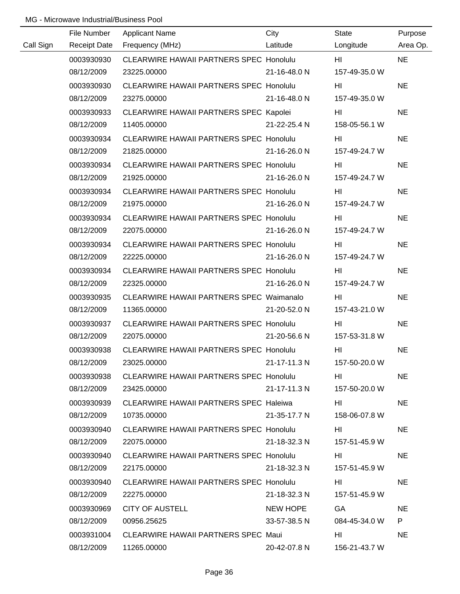|           | File Number         | <b>Applicant Name</b>                           | City         | State         | Purpose   |
|-----------|---------------------|-------------------------------------------------|--------------|---------------|-----------|
| Call Sign | <b>Receipt Date</b> | Frequency (MHz)                                 | Latitude     | Longitude     | Area Op.  |
|           | 0003930930          | CLEARWIRE HAWAII PARTNERS SPEC Honolulu         |              | HI            | <b>NE</b> |
|           | 08/12/2009          | 23225.00000                                     | 21-16-48.0 N | 157-49-35.0 W |           |
|           | 0003930930          | CLEARWIRE HAWAII PARTNERS SPEC Honolulu         |              | HI            | <b>NE</b> |
|           | 08/12/2009          | 23275.00000                                     | 21-16-48.0 N | 157-49-35.0 W |           |
|           | 0003930933          | CLEARWIRE HAWAII PARTNERS SPEC Kapolei          |              | HI            | <b>NE</b> |
|           | 08/12/2009          | 11405.00000                                     | 21-22-25.4 N | 158-05-56.1 W |           |
|           | 0003930934          | <b>CLEARWIRE HAWAII PARTNERS SPEC Honolulu</b>  |              | HI            | <b>NE</b> |
|           | 08/12/2009          | 21825.00000                                     | 21-16-26.0 N | 157-49-24.7 W |           |
|           | 0003930934          | <b>CLEARWIRE HAWAII PARTNERS SPEC Honolulu</b>  |              | HI            | <b>NE</b> |
|           | 08/12/2009          | 21925.00000                                     | 21-16-26.0 N | 157-49-24.7 W |           |
|           | 0003930934          | CLEARWIRE HAWAII PARTNERS SPEC Honolulu         |              | HI            | <b>NE</b> |
|           | 08/12/2009          | 21975.00000                                     | 21-16-26.0 N | 157-49-24.7 W |           |
|           | 0003930934          | CLEARWIRE HAWAII PARTNERS SPEC Honolulu         |              | HI            | <b>NE</b> |
|           | 08/12/2009          | 22075.00000                                     | 21-16-26.0 N | 157-49-24.7 W |           |
|           | 0003930934          | CLEARWIRE HAWAII PARTNERS SPEC Honolulu         |              | HI            | <b>NE</b> |
|           | 08/12/2009          | 22225.00000                                     | 21-16-26.0 N | 157-49-24.7 W |           |
|           | 0003930934          | <b>CLEARWIRE HAWAII PARTNERS SPEC Honolulu</b>  |              | HI            | <b>NE</b> |
|           | 08/12/2009          | 22325.00000                                     | 21-16-26.0 N | 157-49-24.7 W |           |
|           | 0003930935          | <b>CLEARWIRE HAWAII PARTNERS SPEC Waimanalo</b> |              | HI            | <b>NE</b> |
|           | 08/12/2009          | 11365.00000                                     | 21-20-52.0 N | 157-43-21.0 W |           |
|           | 0003930937          | <b>CLEARWIRE HAWAII PARTNERS SPEC Honolulu</b>  |              | HI.           | <b>NE</b> |
|           | 08/12/2009          | 22075.00000                                     | 21-20-56.6 N | 157-53-31.8 W |           |
|           | 0003930938          | CLEARWIRE HAWAII PARTNERS SPEC Honolulu         |              | HI.           | <b>NE</b> |
|           | 08/12/2009          | 23025.00000                                     | 21-17-11.3 N | 157-50-20.0 W |           |
|           | 0003930938          | <b>CLEARWIRE HAWAII PARTNERS SPEC Honolulu</b>  |              | HL.           | <b>NE</b> |
|           | 08/12/2009          | 23425.00000                                     | 21-17-11.3 N | 157-50-20.0 W |           |
|           | 0003930939          | CLEARWIRE HAWAII PARTNERS SPEC Haleiwa          |              | HI            | <b>NE</b> |
|           | 08/12/2009          | 10735.00000                                     | 21-35-17.7 N | 158-06-07.8 W |           |
|           | 0003930940          | CLEARWIRE HAWAII PARTNERS SPEC Honolulu         |              | HL            | <b>NE</b> |
|           | 08/12/2009          | 22075.00000                                     | 21-18-32.3 N | 157-51-45.9 W |           |
|           | 0003930940          | <b>CLEARWIRE HAWAII PARTNERS SPEC Honolulu</b>  |              | HL            | <b>NE</b> |
|           | 08/12/2009          | 22175.00000                                     | 21-18-32.3 N | 157-51-45.9 W |           |
|           | 0003930940          | CLEARWIRE HAWAII PARTNERS SPEC Honolulu         |              | HL            | NE.       |
|           | 08/12/2009          | 22275.00000                                     | 21-18-32.3 N | 157-51-45.9 W |           |
|           | 0003930969          | <b>CITY OF AUSTELL</b>                          | NEW HOPE     | GA            | <b>NE</b> |
|           | 08/12/2009          | 00956.25625                                     | 33-57-38.5 N | 084-45-34.0 W | P.        |
|           | 0003931004          | CLEARWIRE HAWAII PARTNERS SPEC Maui             |              | HI            | <b>NE</b> |
|           | 08/12/2009          | 11265.00000                                     | 20-42-07.8 N | 156-21-43.7 W |           |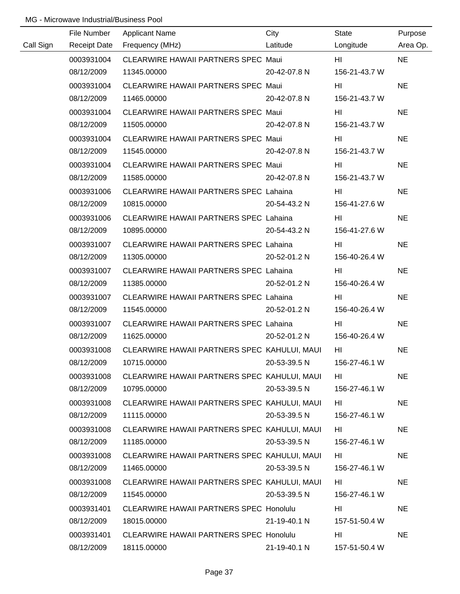|           | File Number         | <b>Applicant Name</b>                          | City         | State         | Purpose   |
|-----------|---------------------|------------------------------------------------|--------------|---------------|-----------|
| Call Sign | <b>Receipt Date</b> | Frequency (MHz)                                | Latitude     | Longitude     | Area Op.  |
|           | 0003931004          | CLEARWIRE HAWAII PARTNERS SPEC Maui            |              | HL            | <b>NE</b> |
|           | 08/12/2009          | 11345.00000                                    | 20-42-07.8 N | 156-21-43.7 W |           |
|           | 0003931004          | CLEARWIRE HAWAII PARTNERS SPEC Maui            |              | HI            | <b>NE</b> |
|           | 08/12/2009          | 11465.00000                                    | 20-42-07.8 N | 156-21-43.7 W |           |
|           | 0003931004          | CLEARWIRE HAWAII PARTNERS SPEC Maui            |              | HI            | <b>NE</b> |
|           | 08/12/2009          | 11505.00000                                    | 20-42-07.8 N | 156-21-43.7 W |           |
|           | 0003931004          | CLEARWIRE HAWAII PARTNERS SPEC Maui            |              | HI            | <b>NE</b> |
|           | 08/12/2009          | 11545.00000                                    | 20-42-07.8 N | 156-21-43.7 W |           |
|           | 0003931004          | CLEARWIRE HAWAII PARTNERS SPEC Maui            |              | HI            | <b>NE</b> |
|           | 08/12/2009          | 11585.00000                                    | 20-42-07.8 N | 156-21-43.7 W |           |
|           | 0003931006          | CLEARWIRE HAWAII PARTNERS SPEC Lahaina         |              | HI            | <b>NE</b> |
|           | 08/12/2009          | 10815.00000                                    | 20-54-43.2 N | 156-41-27.6 W |           |
|           | 0003931006          | CLEARWIRE HAWAII PARTNERS SPEC Lahaina         |              | HI            | <b>NE</b> |
|           | 08/12/2009          | 10895.00000                                    | 20-54-43.2 N | 156-41-27.6 W |           |
|           | 0003931007          | CLEARWIRE HAWAII PARTNERS SPEC Lahaina         |              | HI            | <b>NE</b> |
|           | 08/12/2009          | 11305.00000                                    | 20-52-01.2 N | 156-40-26.4 W |           |
|           | 0003931007          | <b>CLEARWIRE HAWAII PARTNERS SPEC Lahaina</b>  |              | HI            | <b>NE</b> |
|           | 08/12/2009          | 11385.00000                                    | 20-52-01.2 N | 156-40-26.4 W |           |
|           | 0003931007          | CLEARWIRE HAWAII PARTNERS SPEC Lahaina         |              | HI            | <b>NE</b> |
|           | 08/12/2009          | 11545.00000                                    | 20-52-01.2 N | 156-40-26.4 W |           |
|           | 0003931007          | CLEARWIRE HAWAII PARTNERS SPEC Lahaina         |              | HI.           | <b>NE</b> |
|           | 08/12/2009          | 11625.00000                                    | 20-52-01.2 N | 156-40-26.4 W |           |
|           | 0003931008          | CLEARWIRE HAWAII PARTNERS SPEC KAHULUI, MAUI   |              | HI            | <b>NE</b> |
|           | 08/12/2009          | 10715.00000                                    | 20-53-39.5 N | 156-27-46.1 W |           |
|           | 0003931008          | CLEARWIRE HAWAII PARTNERS SPEC KAHULUI, MAUI   |              | HL            | <b>NE</b> |
|           | 08/12/2009          | 10795.00000                                    | 20-53-39.5 N | 156-27-46.1 W |           |
|           | 0003931008          | CLEARWIRE HAWAII PARTNERS SPEC KAHULUI, MAUI   |              | HL            | <b>NE</b> |
|           | 08/12/2009          | 11115.00000                                    | 20-53-39.5 N | 156-27-46.1 W |           |
|           | 0003931008          | CLEARWIRE HAWAII PARTNERS SPEC KAHULUI, MAUI   |              | HL            | <b>NE</b> |
|           | 08/12/2009          | 11185.00000                                    | 20-53-39.5 N | 156-27-46.1 W |           |
|           | 0003931008          | CLEARWIRE HAWAII PARTNERS SPEC KAHULUI, MAUI   |              | HI            | <b>NE</b> |
|           | 08/12/2009          | 11465.00000                                    | 20-53-39.5 N | 156-27-46.1 W |           |
|           | 0003931008          | CLEARWIRE HAWAII PARTNERS SPEC KAHULUI, MAUI   |              | HI            | <b>NE</b> |
|           | 08/12/2009          | 11545.00000                                    | 20-53-39.5 N | 156-27-46.1 W |           |
|           | 0003931401          | CLEARWIRE HAWAII PARTNERS SPEC Honolulu        |              | HI            | <b>NE</b> |
|           | 08/12/2009          | 18015.00000                                    | 21-19-40.1 N | 157-51-50.4 W |           |
|           | 0003931401          | <b>CLEARWIRE HAWAII PARTNERS SPEC Honolulu</b> |              | HI            | <b>NE</b> |
|           | 08/12/2009          | 18115.00000                                    | 21-19-40.1 N | 157-51-50.4 W |           |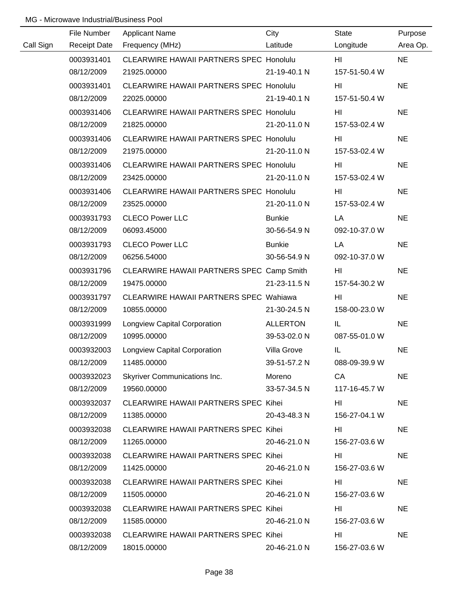|           | File Number         | <b>Applicant Name</b>                          | City            | <b>State</b>  | Purpose   |
|-----------|---------------------|------------------------------------------------|-----------------|---------------|-----------|
| Call Sign | <b>Receipt Date</b> | Frequency (MHz)                                | Latitude        | Longitude     | Area Op.  |
|           | 0003931401          | CLEARWIRE HAWAII PARTNERS SPEC Honolulu        |                 | HI            | <b>NE</b> |
|           | 08/12/2009          | 21925.00000                                    | 21-19-40.1 N    | 157-51-50.4 W |           |
|           | 0003931401          | CLEARWIRE HAWAII PARTNERS SPEC Honolulu        |                 | HI            | <b>NE</b> |
|           | 08/12/2009          | 22025.00000                                    | 21-19-40.1 N    | 157-51-50.4 W |           |
|           | 0003931406          | <b>CLEARWIRE HAWAII PARTNERS SPEC Honolulu</b> |                 | HI            | <b>NE</b> |
|           | 08/12/2009          | 21825.00000                                    | 21-20-11.0 N    | 157-53-02.4 W |           |
|           | 0003931406          | CLEARWIRE HAWAII PARTNERS SPEC Honolulu        |                 | HI            | <b>NE</b> |
|           | 08/12/2009          | 21975.00000                                    | 21-20-11.0 N    | 157-53-02.4 W |           |
|           | 0003931406          | <b>CLEARWIRE HAWAII PARTNERS SPEC Honolulu</b> |                 | HI            | <b>NE</b> |
|           | 08/12/2009          | 23425.00000                                    | 21-20-11.0 N    | 157-53-02.4 W |           |
|           | 0003931406          | CLEARWIRE HAWAII PARTNERS SPEC Honolulu        |                 | HI            | <b>NE</b> |
|           | 08/12/2009          | 23525.00000                                    | 21-20-11.0 N    | 157-53-02.4 W |           |
|           | 0003931793          | <b>CLECO Power LLC</b>                         | <b>Bunkie</b>   | LA            | <b>NE</b> |
|           | 08/12/2009          | 06093.45000                                    | 30-56-54.9 N    | 092-10-37.0 W |           |
|           | 0003931793          | <b>CLECO Power LLC</b>                         | <b>Bunkie</b>   | LA            | <b>NE</b> |
|           | 08/12/2009          | 06256.54000                                    | 30-56-54.9 N    | 092-10-37.0 W |           |
|           | 0003931796          | CLEARWIRE HAWAII PARTNERS SPEC Camp Smith      |                 | HI            | <b>NE</b> |
|           | 08/12/2009          | 19475.00000                                    | 21-23-11.5 N    | 157-54-30.2 W |           |
|           | 0003931797          | <b>CLEARWIRE HAWAII PARTNERS SPEC Wahiawa</b>  |                 | HI            | <b>NE</b> |
|           | 08/12/2009          | 10855.00000                                    | 21-30-24.5 N    | 158-00-23.0 W |           |
|           | 0003931999          | Longview Capital Corporation                   | <b>ALLERTON</b> | IL            | <b>NE</b> |
|           | 08/12/2009          | 10995.00000                                    | 39-53-02.0 N    | 087-55-01.0 W |           |
|           | 0003932003          | Longview Capital Corporation                   | Villa Grove     | IL            | <b>NE</b> |
|           | 08/12/2009          | 11485.00000                                    | 39-51-57.2 N    | 088-09-39.9 W |           |
|           | 0003932023          | <b>Skyriver Communications Inc.</b>            | Moreno          | CA            | <b>NE</b> |
|           | 08/12/2009          | 19560.00000                                    | 33-57-34.5 N    | 117-16-45.7 W |           |
|           | 0003932037          | CLEARWIRE HAWAII PARTNERS SPEC Kihei           |                 | HL            | <b>NE</b> |
|           | 08/12/2009          | 11385.00000                                    | 20-43-48.3 N    | 156-27-04.1 W |           |
|           | 0003932038          | CLEARWIRE HAWAII PARTNERS SPEC Kihei           |                 | HL            | <b>NE</b> |
|           | 08/12/2009          | 11265.00000                                    | 20-46-21.0 N    | 156-27-03.6 W |           |
|           | 0003932038          | CLEARWIRE HAWAII PARTNERS SPEC Kihei           |                 | HL            | <b>NE</b> |
|           | 08/12/2009          | 11425.00000                                    | 20-46-21.0 N    | 156-27-03.6 W |           |
|           | 0003932038          | CLEARWIRE HAWAII PARTNERS SPEC Kihei           |                 | HL            | <b>NE</b> |
|           | 08/12/2009          | 11505.00000                                    | 20-46-21.0 N    | 156-27-03.6 W |           |
|           | 0003932038          | CLEARWIRE HAWAII PARTNERS SPEC Kihei           |                 | HI            | <b>NE</b> |
|           | 08/12/2009          | 11585.00000                                    | 20-46-21.0 N    | 156-27-03.6 W |           |
|           | 0003932038          | CLEARWIRE HAWAII PARTNERS SPEC Kihei           |                 | HI            | <b>NE</b> |
|           | 08/12/2009          | 18015.00000                                    | 20-46-21.0 N    | 156-27-03.6 W |           |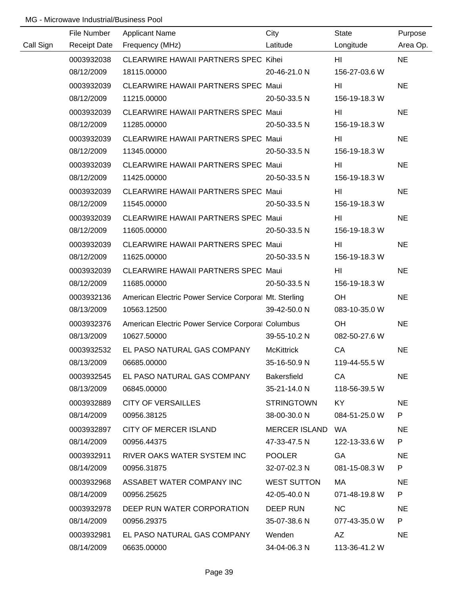|           | File Number         | <b>Applicant Name</b>                                 | City               | State         | Purpose   |
|-----------|---------------------|-------------------------------------------------------|--------------------|---------------|-----------|
| Call Sign | <b>Receipt Date</b> | Frequency (MHz)                                       | Latitude           | Longitude     | Area Op.  |
|           | 0003932038          | CLEARWIRE HAWAII PARTNERS SPEC Kihei                  |                    | HL            | <b>NE</b> |
|           | 08/12/2009          | 18115.00000                                           | 20-46-21.0 N       | 156-27-03.6 W |           |
|           | 0003932039          | CLEARWIRE HAWAII PARTNERS SPEC Maui                   |                    | HI            | <b>NE</b> |
|           | 08/12/2009          | 11215.00000                                           | 20-50-33.5 N       | 156-19-18.3 W |           |
|           | 0003932039          | <b>CLEARWIRE HAWAII PARTNERS SPEC Maui</b>            |                    | HI            | <b>NE</b> |
|           | 08/12/2009          | 11285.00000                                           | 20-50-33.5 N       | 156-19-18.3 W |           |
|           | 0003932039          | CLEARWIRE HAWAII PARTNERS SPEC Maui                   |                    | HI            | <b>NE</b> |
|           | 08/12/2009          | 11345.00000                                           | 20-50-33.5 N       | 156-19-18.3 W |           |
|           | 0003932039          | CLEARWIRE HAWAII PARTNERS SPEC Maui                   |                    | HI            | <b>NE</b> |
|           | 08/12/2009          | 11425.00000                                           | 20-50-33.5 N       | 156-19-18.3 W |           |
|           | 0003932039          | CLEARWIRE HAWAII PARTNERS SPEC Maui                   |                    | HI            | <b>NE</b> |
|           | 08/12/2009          | 11545.00000                                           | 20-50-33.5 N       | 156-19-18.3 W |           |
|           | 0003932039          | CLEARWIRE HAWAII PARTNERS SPEC Maui                   |                    | HI            | <b>NE</b> |
|           | 08/12/2009          | 11605.00000                                           | 20-50-33.5 N       | 156-19-18.3 W |           |
|           | 0003932039          | CLEARWIRE HAWAII PARTNERS SPEC Maui                   |                    | HI            | <b>NE</b> |
|           | 08/12/2009          | 11625.00000                                           | 20-50-33.5 N       | 156-19-18.3 W |           |
|           | 0003932039          | CLEARWIRE HAWAII PARTNERS SPEC Maui                   |                    | HI            | <b>NE</b> |
|           | 08/12/2009          | 11685.00000                                           | 20-50-33.5 N       | 156-19-18.3 W |           |
|           | 0003932136          | American Electric Power Service Corporal Mt. Sterling |                    | OH            | <b>NE</b> |
|           | 08/13/2009          | 10563.12500                                           | 39-42-50.0 N       | 083-10-35.0 W |           |
|           | 0003932376          | American Electric Power Service Corporal Columbus     |                    | OH            | <b>NE</b> |
|           | 08/13/2009          | 10627.50000                                           | 39-55-10.2 N       | 082-50-27.6 W |           |
|           | 0003932532          | EL PASO NATURAL GAS COMPANY                           | <b>McKittrick</b>  | CA            | <b>NE</b> |
|           | 08/13/2009          | 06685.00000                                           | 35-16-50.9 N       | 119-44-55.5 W |           |
|           | 0003932545          | EL PASO NATURAL GAS COMPANY                           | Bakersfield        | CA            | <b>NE</b> |
|           | 08/13/2009          | 06845.00000                                           | 35-21-14.0 N       | 118-56-39.5 W |           |
|           | 0003932889          | <b>CITY OF VERSAILLES</b>                             | <b>STRINGTOWN</b>  | KY            | <b>NE</b> |
|           | 08/14/2009          | 00956.38125                                           | 38-00-30.0 N       | 084-51-25.0 W | P         |
|           | 0003932897          | CITY OF MERCER ISLAND                                 | MERCER ISLAND WA   |               | <b>NE</b> |
|           | 08/14/2009          | 00956.44375                                           | 47-33-47.5 N       | 122-13-33.6 W | P.        |
|           | 0003932911          | RIVER OAKS WATER SYSTEM INC                           | POOLER             | GA            | <b>NE</b> |
|           | 08/14/2009          | 00956.31875                                           | 32-07-02.3 N       | 081-15-08.3 W | P.        |
|           | 0003932968          | ASSABET WATER COMPANY INC                             | <b>WEST SUTTON</b> | MA            | <b>NE</b> |
|           | 08/14/2009          | 00956.25625                                           | 42-05-40.0 N       | 071-48-19.8 W | P.        |
|           | 0003932978          | DEEP RUN WATER CORPORATION                            | DEEP RUN           | <b>NC</b>     | <b>NE</b> |
|           | 08/14/2009          | 00956.29375                                           | 35-07-38.6 N       | 077-43-35.0 W | P.        |
|           | 0003932981          | EL PASO NATURAL GAS COMPANY                           | Wenden             | AZ            | <b>NE</b> |
|           | 08/14/2009          | 06635.00000                                           | 34-04-06.3 N       | 113-36-41.2 W |           |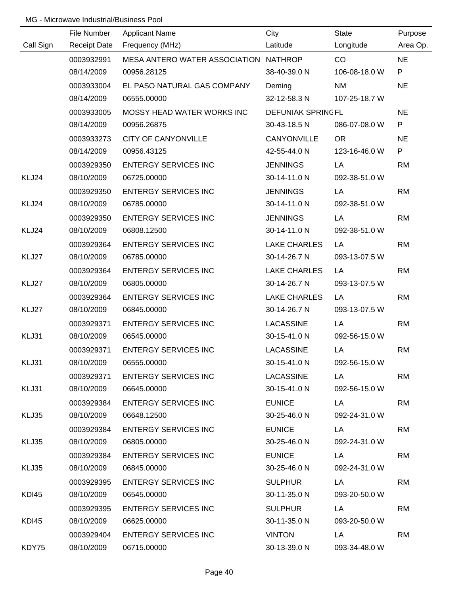|           | File Number         | <b>Applicant Name</b>                 | City                      | <b>State</b>  | Purpose   |
|-----------|---------------------|---------------------------------------|---------------------------|---------------|-----------|
| Call Sign | <b>Receipt Date</b> | Frequency (MHz)                       | Latitude                  | Longitude     | Area Op.  |
|           | 0003932991          | MESA ANTERO WATER ASSOCIATION NATHROP |                           | CO            | <b>NE</b> |
|           | 08/14/2009          | 00956.28125                           | 38-40-39.0 N              | 106-08-18.0 W | P         |
|           | 0003933004          | EL PASO NATURAL GAS COMPANY           | Deming                    | <b>NM</b>     | <b>NE</b> |
|           | 08/14/2009          | 06555.00000                           | 32-12-58.3 N              | 107-25-18.7 W |           |
|           | 0003933005          | MOSSY HEAD WATER WORKS INC            | <b>DEFUNIAK SPRING FL</b> |               | <b>NE</b> |
|           | 08/14/2009          | 00956.26875                           | 30-43-18.5 N              | 086-07-08.0 W | P         |
|           | 0003933273          | <b>CITY OF CANYONVILLE</b>            | CANYONVILLE               | <b>OR</b>     | <b>NE</b> |
|           | 08/14/2009          | 00956.43125                           | 42-55-44.0 N              | 123-16-46.0 W | P         |
|           | 0003929350          | <b>ENTERGY SERVICES INC</b>           | <b>JENNINGS</b>           | LA            | <b>RM</b> |
| KLJ24     | 08/10/2009          | 06725.00000                           | 30-14-11.0 N              | 092-38-51.0 W |           |
|           | 0003929350          | <b>ENTERGY SERVICES INC</b>           | <b>JENNINGS</b>           | LA            | <b>RM</b> |
| KLJ24     | 08/10/2009          | 06785.00000                           | 30-14-11.0 N              | 092-38-51.0 W |           |
|           | 0003929350          | <b>ENTERGY SERVICES INC</b>           | <b>JENNINGS</b>           | LA            | <b>RM</b> |
| KLJ24     | 08/10/2009          | 06808.12500                           | 30-14-11.0 N              | 092-38-51.0 W |           |
|           | 0003929364          | <b>ENTERGY SERVICES INC</b>           | <b>LAKE CHARLES</b>       | LA            | <b>RM</b> |
| KLJ27     | 08/10/2009          | 06785.00000                           | 30-14-26.7 N              | 093-13-07.5 W |           |
|           | 0003929364          | <b>ENTERGY SERVICES INC</b>           | <b>LAKE CHARLES</b>       | LA            | <b>RM</b> |
| KLJ27     | 08/10/2009          | 06805.00000                           | 30-14-26.7 N              | 093-13-07.5 W |           |
|           | 0003929364          | <b>ENTERGY SERVICES INC</b>           | <b>LAKE CHARLES</b>       | LA            | <b>RM</b> |
| KLJ27     | 08/10/2009          | 06845.00000                           | 30-14-26.7 N              | 093-13-07.5 W |           |
|           | 0003929371          | <b>ENTERGY SERVICES INC</b>           | <b>LACASSINE</b>          | LA            | <b>RM</b> |
| KLJ31     | 08/10/2009          | 06545.00000                           | 30-15-41.0 N              | 092-56-15.0 W |           |
|           | 0003929371          | <b>ENTERGY SERVICES INC</b>           | <b>LACASSINE</b>          | LA            | <b>RM</b> |
| KLJ31     | 08/10/2009          | 06555.00000                           | 30-15-41.0 N              | 092-56-15.0 W |           |
|           | 0003929371          | <b>ENTERGY SERVICES INC</b>           | LACASSINE                 | LA            | <b>RM</b> |
| KLJ31     | 08/10/2009          | 06645.00000                           | 30-15-41.0 N              | 092-56-15.0 W |           |
|           | 0003929384          | <b>ENTERGY SERVICES INC</b>           | <b>EUNICE</b>             | LA 1          | <b>RM</b> |
| KLJ35     | 08/10/2009          | 06648.12500                           | 30-25-46.0 N              | 092-24-31.0 W |           |
|           | 0003929384          | <b>ENTERGY SERVICES INC</b>           | <b>EUNICE</b>             | LA            | <b>RM</b> |
| KLJ35     | 08/10/2009          | 06805.00000                           | 30-25-46.0 N              | 092-24-31.0 W |           |
|           | 0003929384          | <b>ENTERGY SERVICES INC</b>           | <b>EUNICE</b>             | LA            | <b>RM</b> |
| KLJ35     | 08/10/2009          | 06845.00000                           | 30-25-46.0 N              | 092-24-31.0 W |           |
|           | 0003929395          | <b>ENTERGY SERVICES INC</b>           | <b>SULPHUR</b>            | LA            | <b>RM</b> |
| KDI45     | 08/10/2009          | 06545.00000                           | 30-11-35.0 N              | 093-20-50.0 W |           |
|           | 0003929395          | <b>ENTERGY SERVICES INC</b>           | <b>SULPHUR</b>            | LA            | RM        |
| KDI45     | 08/10/2009          | 06625.00000                           | 30-11-35.0 N              | 093-20-50.0 W |           |
|           | 0003929404          | <b>ENTERGY SERVICES INC</b>           | <b>VINTON</b>             | LA            | <b>RM</b> |
| KDY75     | 08/10/2009          | 06715.00000                           | 30-13-39.0 N              | 093-34-48.0 W |           |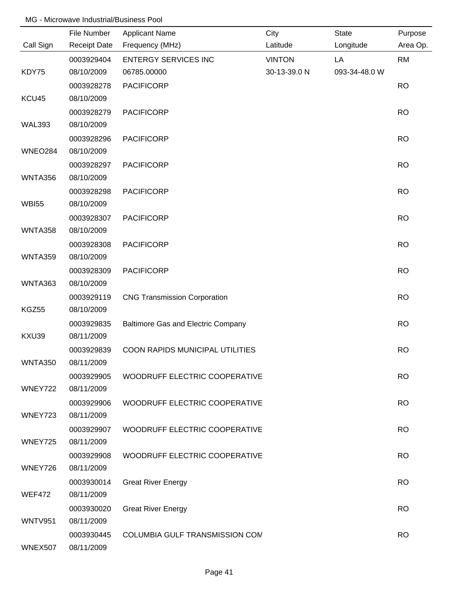|                | File Number              | <b>Applicant Name</b>               | City          | <b>State</b>  | Purpose   |
|----------------|--------------------------|-------------------------------------|---------------|---------------|-----------|
| Call Sign      | <b>Receipt Date</b>      | Frequency (MHz)                     | Latitude      | Longitude     | Area Op.  |
|                | 0003929404               | <b>ENTERGY SERVICES INC</b>         | <b>VINTON</b> | LA            | <b>RM</b> |
| KDY75          | 08/10/2009               | 06785.00000                         | 30-13-39.0 N  | 093-34-48.0 W |           |
|                | 0003928278               | <b>PACIFICORP</b>                   |               |               | <b>RO</b> |
| KCU45          | 08/10/2009               |                                     |               |               |           |
|                | 0003928279               | <b>PACIFICORP</b>                   |               |               | <b>RO</b> |
| <b>WAL393</b>  | 08/10/2009               |                                     |               |               |           |
|                | 0003928296               | <b>PACIFICORP</b>                   |               |               | <b>RO</b> |
| <b>WNEO284</b> | 08/10/2009               |                                     |               |               |           |
|                | 0003928297               | <b>PACIFICORP</b>                   |               |               | <b>RO</b> |
| WNTA356        | 08/10/2009               |                                     |               |               |           |
|                | 0003928298               | <b>PACIFICORP</b>                   |               |               | <b>RO</b> |
| <b>WBI55</b>   | 08/10/2009               |                                     |               |               |           |
|                | 0003928307               | <b>PACIFICORP</b>                   |               |               | <b>RO</b> |
| WNTA358        | 08/10/2009               |                                     |               |               |           |
|                | 0003928308               | <b>PACIFICORP</b>                   |               |               | <b>RO</b> |
| WNTA359        | 08/10/2009               |                                     |               |               |           |
|                | 0003928309               | <b>PACIFICORP</b>                   |               |               | <b>RO</b> |
| WNTA363        | 08/10/2009               |                                     |               |               |           |
|                | 0003929119               | <b>CNG Transmission Corporation</b> |               |               | <b>RO</b> |
| KGZ55          | 08/10/2009               |                                     |               |               |           |
|                | 0003929835               | Baltimore Gas and Electric Company  |               |               | <b>RO</b> |
| KXU39          | 08/11/2009               |                                     |               |               |           |
|                | 0003929839               | COON RAPIDS MUNICIPAL UTILITIES     |               |               | <b>RO</b> |
| <b>WNTA350</b> | 08/11/2009               |                                     |               |               |           |
|                | 0003929905               | WOODRUFF ELECTRIC COOPERATIVE       |               |               | <b>RO</b> |
| WNEY722        | 08/11/2009               |                                     |               |               |           |
|                | 0003929906               | WOODRUFF ELECTRIC COOPERATIVE       |               |               | <b>RO</b> |
| WNEY723        | 08/11/2009               |                                     |               |               |           |
|                | 0003929907               | WOODRUFF ELECTRIC COOPERATIVE       |               |               | <b>RO</b> |
| WNEY725        | 08/11/2009               |                                     |               |               |           |
|                | 0003929908               | WOODRUFF ELECTRIC COOPERATIVE       |               |               | <b>RO</b> |
| WNEY726        | 08/11/2009               |                                     |               |               |           |
|                | 0003930014               | <b>Great River Energy</b>           |               |               | <b>RO</b> |
| <b>WEF472</b>  | 08/11/2009               |                                     |               |               |           |
| <b>WNTV951</b> | 0003930020<br>08/11/2009 | <b>Great River Energy</b>           |               |               | <b>RO</b> |
|                | 0003930445               | COLUMBIA GULF TRANSMISSION COM      |               |               | <b>RO</b> |
| WNEX507        | 08/11/2009               |                                     |               |               |           |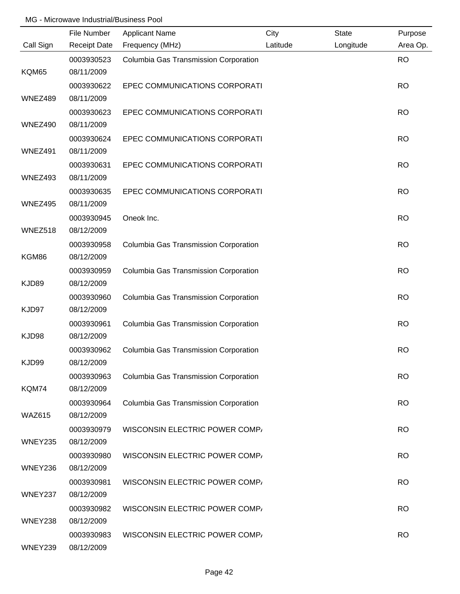|                | File Number         | <b>Applicant Name</b>                 | City     | <b>State</b> | Purpose   |
|----------------|---------------------|---------------------------------------|----------|--------------|-----------|
| Call Sign      | <b>Receipt Date</b> | Frequency (MHz)                       | Latitude | Longitude    | Area Op.  |
|                | 0003930523          | Columbia Gas Transmission Corporation |          |              | <b>RO</b> |
| KQM65          | 08/11/2009          |                                       |          |              |           |
|                | 0003930622          | EPEC COMMUNICATIONS CORPORATI         |          |              | <b>RO</b> |
| WNEZ489        | 08/11/2009          |                                       |          |              |           |
|                | 0003930623          | EPEC COMMUNICATIONS CORPORATI         |          |              | <b>RO</b> |
| WNEZ490        | 08/11/2009          |                                       |          |              |           |
|                | 0003930624          | EPEC COMMUNICATIONS CORPORATI         |          |              | <b>RO</b> |
| WNEZ491        | 08/11/2009          |                                       |          |              |           |
|                | 0003930631          | EPEC COMMUNICATIONS CORPORATI         |          |              | <b>RO</b> |
| WNEZ493        | 08/11/2009          |                                       |          |              |           |
|                | 0003930635          | EPEC COMMUNICATIONS CORPORATI         |          |              | <b>RO</b> |
| <b>WNEZ495</b> | 08/11/2009          |                                       |          |              |           |
|                | 0003930945          | Oneok Inc.                            |          |              | <b>RO</b> |
| WNEZ518        | 08/12/2009          |                                       |          |              |           |
|                | 0003930958          | Columbia Gas Transmission Corporation |          |              | <b>RO</b> |
| KGM86          | 08/12/2009          |                                       |          |              |           |
|                | 0003930959          | Columbia Gas Transmission Corporation |          |              | <b>RO</b> |
| KJD89          | 08/12/2009          |                                       |          |              |           |
|                | 0003930960          | Columbia Gas Transmission Corporation |          |              | <b>RO</b> |
| KJD97          | 08/12/2009          |                                       |          |              |           |
|                | 0003930961          | Columbia Gas Transmission Corporation |          |              | <b>RO</b> |
| KJD98          | 08/12/2009          |                                       |          |              |           |
|                | 0003930962          | Columbia Gas Transmission Corporation |          |              | <b>RO</b> |
| KJD99          | 08/12/2009          |                                       |          |              |           |
|                | 0003930963          | Columbia Gas Transmission Corporation |          |              | <b>RO</b> |
| KQM74          | 08/12/2009          |                                       |          |              |           |
|                | 0003930964          | Columbia Gas Transmission Corporation |          |              | <b>RO</b> |
| <b>WAZ615</b>  | 08/12/2009          |                                       |          |              |           |
|                | 0003930979          | <b>WISCONSIN ELECTRIC POWER COMP.</b> |          |              | <b>RO</b> |
| <b>WNEY235</b> | 08/12/2009          |                                       |          |              |           |
|                | 0003930980          | <b>WISCONSIN ELECTRIC POWER COMP.</b> |          |              | <b>RO</b> |
| WNEY236        | 08/12/2009          |                                       |          |              |           |
|                | 0003930981          | <b>WISCONSIN ELECTRIC POWER COMP.</b> |          |              | <b>RO</b> |
| WNEY237        | 08/12/2009          |                                       |          |              |           |
|                | 0003930982          | WISCONSIN ELECTRIC POWER COMP.        |          |              | <b>RO</b> |
| WNEY238        | 08/12/2009          |                                       |          |              |           |
|                | 0003930983          | WISCONSIN ELECTRIC POWER COMP.        |          |              | <b>RO</b> |
| WNEY239        | 08/12/2009          |                                       |          |              |           |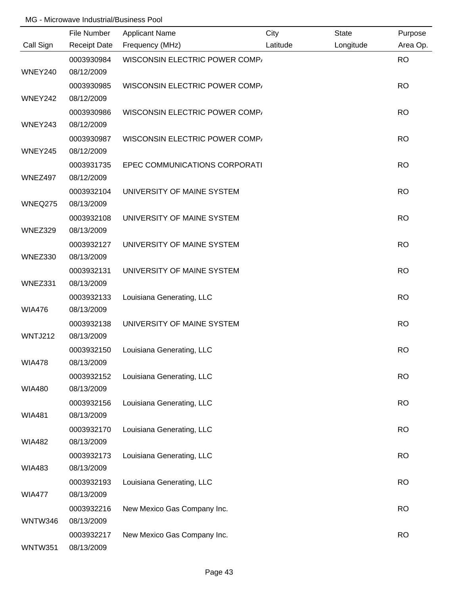|                | File Number              | <b>Applicant Name</b>                 | City     | <b>State</b> | Purpose   |
|----------------|--------------------------|---------------------------------------|----------|--------------|-----------|
| Call Sign      | <b>Receipt Date</b>      | Frequency (MHz)                       | Latitude | Longitude    | Area Op.  |
|                | 0003930984               | WISCONSIN ELECTRIC POWER COMP.        |          |              | <b>RO</b> |
| WNEY240        | 08/12/2009               |                                       |          |              |           |
|                | 0003930985               | <b>WISCONSIN ELECTRIC POWER COMP.</b> |          |              | <b>RO</b> |
| WNEY242        | 08/12/2009               |                                       |          |              |           |
|                | 0003930986               | <b>WISCONSIN ELECTRIC POWER COMP.</b> |          |              | <b>RO</b> |
| WNEY243        | 08/12/2009               |                                       |          |              |           |
|                | 0003930987               | WISCONSIN ELECTRIC POWER COMP.        |          |              | <b>RO</b> |
| WNEY245        | 08/12/2009               |                                       |          |              |           |
|                | 0003931735               | EPEC COMMUNICATIONS CORPORATI         |          |              | <b>RO</b> |
| WNEZ497        | 08/12/2009               |                                       |          |              |           |
|                |                          | UNIVERSITY OF MAINE SYSTEM            |          |              | <b>RO</b> |
| WNEQ275        | 0003932104<br>08/13/2009 |                                       |          |              |           |
|                |                          |                                       |          |              |           |
|                | 0003932108               | UNIVERSITY OF MAINE SYSTEM            |          |              | <b>RO</b> |
| WNEZ329        | 08/13/2009               |                                       |          |              |           |
|                | 0003932127               | UNIVERSITY OF MAINE SYSTEM            |          |              | <b>RO</b> |
| WNEZ330        | 08/13/2009               |                                       |          |              |           |
|                | 0003932131               | UNIVERSITY OF MAINE SYSTEM            |          |              | <b>RO</b> |
| WNEZ331        | 08/13/2009               |                                       |          |              |           |
|                | 0003932133               | Louisiana Generating, LLC             |          |              | <b>RO</b> |
| <b>WIA476</b>  | 08/13/2009               |                                       |          |              |           |
|                | 0003932138               | UNIVERSITY OF MAINE SYSTEM            |          |              | <b>RO</b> |
| WNTJ212        | 08/13/2009               |                                       |          |              |           |
|                | 0003932150               | Louisiana Generating, LLC             |          |              | <b>RO</b> |
| <b>WIA478</b>  | 08/13/2009               |                                       |          |              |           |
|                | 0003932152               | Louisiana Generating, LLC             |          |              | <b>RO</b> |
| <b>WIA480</b>  | 08/13/2009               |                                       |          |              |           |
|                | 0003932156               | Louisiana Generating, LLC             |          |              | <b>RO</b> |
| <b>WIA481</b>  | 08/13/2009               |                                       |          |              |           |
|                | 0003932170               | Louisiana Generating, LLC             |          |              | <b>RO</b> |
| <b>WIA482</b>  | 08/13/2009               |                                       |          |              |           |
|                | 0003932173               |                                       |          |              | <b>RO</b> |
| <b>WIA483</b>  | 08/13/2009               | Louisiana Generating, LLC             |          |              |           |
|                |                          |                                       |          |              |           |
|                | 0003932193               | Louisiana Generating, LLC             |          |              | <b>RO</b> |
| <b>WIA477</b>  | 08/13/2009               |                                       |          |              |           |
|                | 0003932216               | New Mexico Gas Company Inc.           |          |              | <b>RO</b> |
| WNTW346        | 08/13/2009               |                                       |          |              |           |
|                | 0003932217               | New Mexico Gas Company Inc.           |          |              | <b>RO</b> |
| <b>WNTW351</b> | 08/13/2009               |                                       |          |              |           |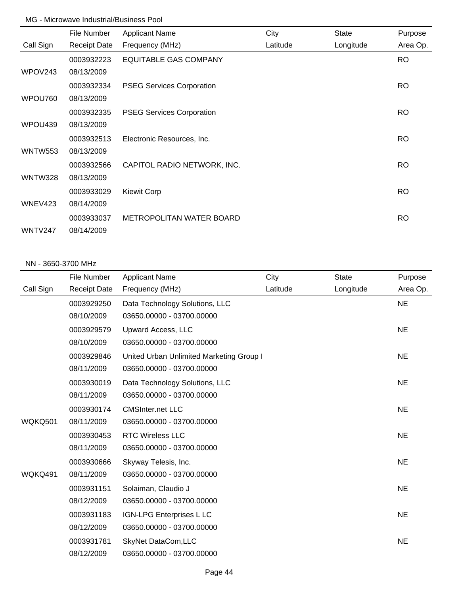|                | File Number         | <b>Applicant Name</b>            | City     | <b>State</b> | Purpose   |
|----------------|---------------------|----------------------------------|----------|--------------|-----------|
| Call Sign      | <b>Receipt Date</b> | Frequency (MHz)                  | Latitude | Longitude    | Area Op.  |
|                | 0003932223          | <b>EQUITABLE GAS COMPANY</b>     |          |              | <b>RO</b> |
| WPOV243        | 08/13/2009          |                                  |          |              |           |
|                | 0003932334          | <b>PSEG Services Corporation</b> |          |              | <b>RO</b> |
| WPOU760        | 08/13/2009          |                                  |          |              |           |
|                | 0003932335          | <b>PSEG Services Corporation</b> |          |              | RO.       |
| WPOU439        | 08/13/2009          |                                  |          |              |           |
|                | 0003932513          | Electronic Resources, Inc.       |          |              | <b>RO</b> |
| <b>WNTW553</b> | 08/13/2009          |                                  |          |              |           |
|                | 0003932566          | CAPITOL RADIO NETWORK, INC.      |          |              | <b>RO</b> |
| <b>WNTW328</b> | 08/13/2009          |                                  |          |              |           |
|                | 0003933029          | <b>Kiewit Corp</b>               |          |              | <b>RO</b> |
| WNEV423        | 08/14/2009          |                                  |          |              |           |
|                | 0003933037          | METROPOLITAN WATER BOARD         |          |              | RO.       |
| WNTV247        | 08/14/2009          |                                  |          |              |           |

#### NN - 3650-3700 MHz

|           | File Number         | <b>Applicant Name</b>                    | City     | <b>State</b> | Purpose   |
|-----------|---------------------|------------------------------------------|----------|--------------|-----------|
| Call Sign | <b>Receipt Date</b> | Frequency (MHz)                          | Latitude | Longitude    | Area Op.  |
|           | 0003929250          | Data Technology Solutions, LLC           |          |              | <b>NE</b> |
|           | 08/10/2009          | 03650.00000 - 03700.00000                |          |              |           |
|           | 0003929579          | <b>Upward Access, LLC</b>                |          |              | <b>NE</b> |
|           | 08/10/2009          | 03650.00000 - 03700.00000                |          |              |           |
|           | 0003929846          | United Urban Unlimited Marketing Group I |          |              | <b>NE</b> |
|           | 08/11/2009          | 03650.00000 - 03700.00000                |          |              |           |
|           | 0003930019          | Data Technology Solutions, LLC           |          |              | <b>NE</b> |
|           | 08/11/2009          | 03650.00000 - 03700.00000                |          |              |           |
|           | 0003930174          | <b>CMSInter.net LLC</b>                  |          |              | <b>NE</b> |
| WQKQ501   | 08/11/2009          | 03650.00000 - 03700.00000                |          |              |           |
|           | 0003930453          | <b>RTC Wireless LLC</b>                  |          |              | <b>NE</b> |
|           | 08/11/2009          | 03650.00000 - 03700.00000                |          |              |           |
|           | 0003930666          | Skyway Telesis, Inc.                     |          |              | <b>NE</b> |
| WQKQ491   | 08/11/2009          | 03650.00000 - 03700.00000                |          |              |           |
|           | 0003931151          | Solaiman, Claudio J                      |          |              | <b>NE</b> |
|           | 08/12/2009          | 03650.00000 - 03700.00000                |          |              |           |
|           | 0003931183          | IGN-LPG Enterprises L LC                 |          |              | <b>NE</b> |
|           | 08/12/2009          | 03650.00000 - 03700.00000                |          |              |           |
|           | 0003931781          | SkyNet DataCom, LLC                      |          |              | <b>NE</b> |
|           | 08/12/2009          | 03650.00000 - 03700.00000                |          |              |           |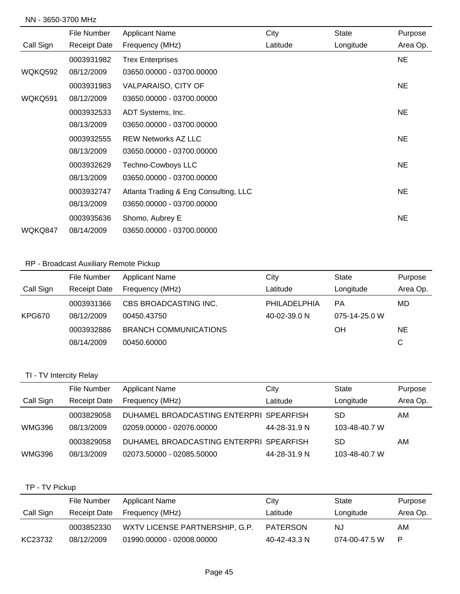### NN - 3650-3700 MHz

|           | File Number         | <b>Applicant Name</b>                 | City     | <b>State</b> | Purpose   |
|-----------|---------------------|---------------------------------------|----------|--------------|-----------|
| Call Sign | <b>Receipt Date</b> | Frequency (MHz)                       | Latitude | Longitude    | Area Op.  |
|           | 0003931982          | <b>Trex Enterprises</b>               |          |              | <b>NE</b> |
| WQKQ592   | 08/12/2009          | 03650.00000 - 03700.00000             |          |              |           |
|           | 0003931983          | VALPARAISO, CITY OF                   |          |              | <b>NE</b> |
| WQKQ591   | 08/12/2009          | 03650.00000 - 03700.00000             |          |              |           |
|           | 0003932533          | ADT Systems, Inc.                     |          |              | <b>NE</b> |
|           | 08/13/2009          | 03650.00000 - 03700.00000             |          |              |           |
|           | 0003932555          | <b>REW Networks AZ LLC</b>            |          |              | <b>NE</b> |
|           | 08/13/2009          | 03650.00000 - 03700.00000             |          |              |           |
|           | 0003932629          | Techno-Cowboys LLC                    |          |              | <b>NE</b> |
|           | 08/13/2009          | 03650.00000 - 03700.00000             |          |              |           |
|           | 0003932747          | Atlanta Trading & Eng Consulting, LLC |          |              | <b>NE</b> |
|           | 08/13/2009          | 03650.00000 - 03700.00000             |          |              |           |
|           | 0003935636          | Shomo, Aubrey E                       |          |              | <b>NE</b> |
| WQKQ847   | 08/14/2009          | 03650.00000 - 03700.00000             |          |              |           |

# RP - Broadcast Auxiliary Remote Pickup

|           | File Number         | <b>Applicant Name</b>        | City         | <b>State</b>  | Purpose  |
|-----------|---------------------|------------------------------|--------------|---------------|----------|
| Call Sign | <b>Receipt Date</b> | Frequency (MHz)              | Latitude     | Longitude     | Area Op. |
|           | 0003931366          | CBS BROADCASTING INC.        | PHILADELPHIA | <b>PA</b>     | MD       |
| KPG670    | 08/12/2009          | 00450.43750                  | 40-02-39.0 N | 075-14-25.0 W |          |
|           | 0003932886          | <b>BRANCH COMMUNICATIONS</b> |              | OΗ            | NE       |
|           | 08/14/2009          | 00450.60000                  |              |               | C        |

# TI - TV Intercity Relay

|               | File Number         | <b>Applicant Name</b>                   | City         | <b>State</b>  | Purpose  |
|---------------|---------------------|-----------------------------------------|--------------|---------------|----------|
| Call Sign     | <b>Receipt Date</b> | Frequency (MHz)                         | Latitude     | Longitude     | Area Op. |
|               | 0003829058          | DUHAMEL BROADCASTING ENTERPRI SPEARFISH |              | SD            | AM       |
| <b>WMG396</b> | 08/13/2009          | 02059.00000 - 02076.00000               | 44-28-31.9 N | 103-48-40.7 W |          |
|               | 0003829058          | DUHAMEL BROADCASTING ENTERPRI SPEARFISH |              | SD            | AM       |
| <b>WMG396</b> | 08/13/2009          | 02073.50000 - 02085.50000               | 44-28-31.9 N | 103-48-40.7 W |          |

## TP - TV Pickup

|           | File Number  | Applicant Name                 | City         | State         | Purpose  |
|-----------|--------------|--------------------------------|--------------|---------------|----------|
| Call Sign | Receipt Date | Frequency (MHz)                | Latitude     | Longitude     | Area Op. |
|           | 0003852330   | WXTV LICENSE PARTNERSHIP, G.P. | PATERSON     | NJ.           | AM.      |
| KC23732   | 08/12/2009   | 01990.00000 - 02008.00000      | 40-42-43.3 N | 074-00-47.5 W | P        |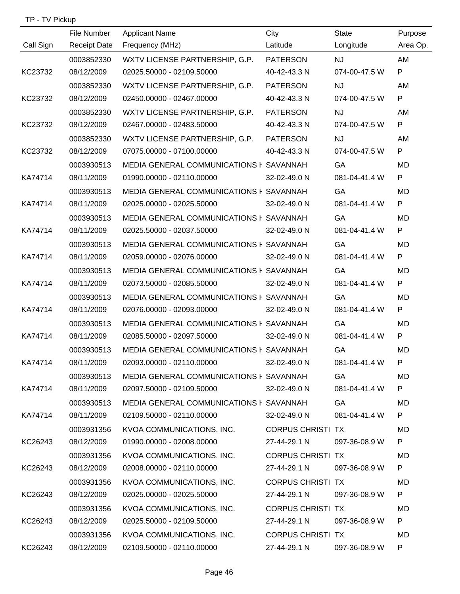|  | TP - TV Pickup |
|--|----------------|
|--|----------------|

|           | File Number         | <b>Applicant Name</b>                       | City                     | <b>State</b>  | Purpose   |
|-----------|---------------------|---------------------------------------------|--------------------------|---------------|-----------|
| Call Sign | <b>Receipt Date</b> | Frequency (MHz)                             | Latitude                 | Longitude     | Area Op.  |
|           | 0003852330          | WXTV LICENSE PARTNERSHIP, G.P.              | PATERSON                 | <b>NJ</b>     | AM        |
| KC23732   | 08/12/2009          | 02025.50000 - 02109.50000                   | 40-42-43.3 N             | 074-00-47.5 W | P         |
|           | 0003852330          | WXTV LICENSE PARTNERSHIP, G.P.              | PATERSON                 | <b>NJ</b>     | AM        |
| KC23732   | 08/12/2009          | 02450.00000 - 02467.00000                   | 40-42-43.3 N             | 074-00-47.5 W | P         |
|           | 0003852330          | WXTV LICENSE PARTNERSHIP, G.P.              | PATERSON                 | <b>NJ</b>     | AM        |
| KC23732   | 08/12/2009          | 02467.00000 - 02483.50000                   | 40-42-43.3 N             | 074-00-47.5 W | P         |
|           | 0003852330          | WXTV LICENSE PARTNERSHIP, G.P.              | PATERSON                 | <b>NJ</b>     | AM        |
| KC23732   | 08/12/2009          | 07075.00000 - 07100.00000                   | 40-42-43.3 N             | 074-00-47.5 W | P         |
|           | 0003930513          | MEDIA GENERAL COMMUNICATIONS F SAVANNAH     |                          | GA            | MD        |
| KA74714   | 08/11/2009          | 01990.00000 - 02110.00000                   | 32-02-49.0 N             | 081-04-41.4 W | P         |
|           | 0003930513          | MEDIA GENERAL COMMUNICATIONS F SAVANNAH     |                          | GA            | MD        |
| KA74714   | 08/11/2009          | 02025.00000 - 02025.50000                   | 32-02-49.0 N             | 081-04-41.4 W | P         |
|           | 0003930513          | MEDIA GENERAL COMMUNICATIONS F SAVANNAH     |                          | GA            | MD        |
| KA74714   | 08/11/2009          | 02025.50000 - 02037.50000                   | 32-02-49.0 N             | 081-04-41.4 W | P         |
|           | 0003930513          | MEDIA GENERAL COMMUNICATIONS F SAVANNAH     |                          | GA            | MD        |
| KA74714   | 08/11/2009          | 02059.00000 - 02076.00000                   | 32-02-49.0 N             | 081-04-41.4 W | P         |
|           | 0003930513          | MEDIA GENERAL COMMUNICATIONS F SAVANNAH     |                          | GA            | MD        |
| KA74714   | 08/11/2009          | 02073.50000 - 02085.50000                   | 32-02-49.0 N             | 081-04-41.4 W | P         |
|           | 0003930513          | MEDIA GENERAL COMMUNICATIONS F SAVANNAH     |                          | GA            | MD        |
| KA74714   | 08/11/2009          | 02076.00000 - 02093.00000                   | 32-02-49.0 N             | 081-04-41.4 W | P         |
|           | 0003930513          | MEDIA GENERAL COMMUNICATIONS F SAVANNAH     |                          | GA            | <b>MD</b> |
| KA74714   | 08/11/2009          | 02085.50000 - 02097.50000                   | 32-02-49.0 N             | 081-04-41.4 W | P         |
|           | 0003930513          | MEDIA GENERAL COMMUNICATIONS F SAVANNAH     |                          | GA            | MD        |
| KA74714   | 08/11/2009          | 02093.00000 - 02110.00000                   | 32-02-49.0 N             | 081-04-41.4 W | P.        |
|           | 0003930513          | MEDIA GENERAL COMMUNICATIONS F SAVANNAH     |                          | GA            | MD        |
| KA74714   | 08/11/2009          | 02097.50000 - 02109.50000                   | 32-02-49.0 N             | 081-04-41.4 W | P.        |
|           | 0003930513          | MEDIA GENERAL COMMUNICATIONS F SAVANNAH     |                          | GA            | MD        |
| KA74714   | 08/11/2009          | 02109.50000 - 02110.00000                   | 32-02-49.0 N             | 081-04-41.4 W | P.        |
|           | 0003931356          | KVOA COMMUNICATIONS, INC. CORPUS CHRISTI TX |                          |               | MD        |
| KC26243   | 08/12/2009          | 01990.00000 - 02008.00000                   | 27-44-29.1 N             | 097-36-08.9 W | P.        |
|           | 0003931356          | KVOA COMMUNICATIONS, INC.                   | <b>CORPUS CHRISTI TX</b> |               | MD        |
| KC26243   | 08/12/2009          | 02008.00000 - 02110.00000                   | 27-44-29.1 N             | 097-36-08.9 W | P         |
|           | 0003931356          | KVOA COMMUNICATIONS, INC.                   | <b>CORPUS CHRISTI TX</b> |               | MD        |
| KC26243   | 08/12/2009          | 02025.00000 - 02025.50000                   | 27-44-29.1 N             | 097-36-08.9 W | P.        |
|           | 0003931356          | KVOA COMMUNICATIONS, INC.                   | <b>CORPUS CHRISTI TX</b> |               | MD        |
| KC26243   | 08/12/2009          | 02025.50000 - 02109.50000                   | 27-44-29.1 N             | 097-36-08.9 W | P         |
|           | 0003931356          | KVOA COMMUNICATIONS, INC. CORPUS CHRISTI TX |                          |               | MD        |
| KC26243   | 08/12/2009          | 02109.50000 - 02110.00000                   | 27-44-29.1 N             | 097-36-08.9 W | P         |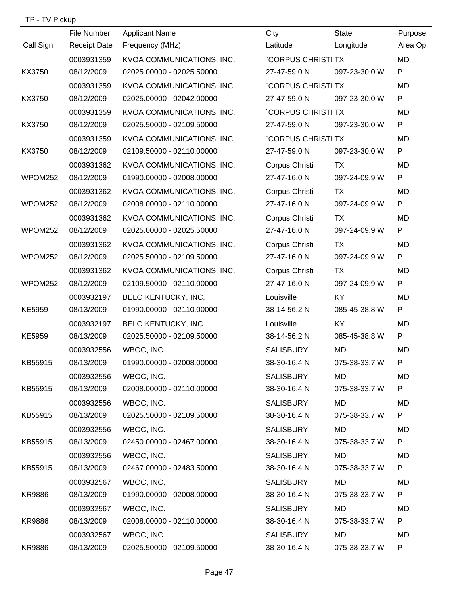# TP - TV Pickup

|               | File Number         | <b>Applicant Name</b>     | City                     | State         | Purpose   |
|---------------|---------------------|---------------------------|--------------------------|---------------|-----------|
| Call Sign     | <b>Receipt Date</b> | Frequency (MHz)           | Latitude                 | Longitude     | Area Op.  |
|               | 0003931359          | KVOA COMMUNICATIONS, INC. | <b>CORPUS CHRISTI TX</b> |               | <b>MD</b> |
| KX3750        | 08/12/2009          | 02025.00000 - 02025.50000 | 27-47-59.0 N             | 097-23-30.0 W | P         |
|               | 0003931359          | KVOA COMMUNICATIONS, INC. | <b>CORPUS CHRISTI TX</b> |               | MD        |
| KX3750        | 08/12/2009          | 02025.00000 - 02042.00000 | 27-47-59.0 N             | 097-23-30.0 W | P         |
|               | 0003931359          | KVOA COMMUNICATIONS, INC. | <b>CORPUS CHRISTI TX</b> |               | MD        |
| KX3750        | 08/12/2009          | 02025.50000 - 02109.50000 | 27-47-59.0 N             | 097-23-30.0 W | P         |
|               | 0003931359          | KVOA COMMUNICATIONS, INC. | <b>CORPUS CHRISTI TX</b> |               | MD        |
| KX3750        | 08/12/2009          | 02109.50000 - 02110.00000 | 27-47-59.0 N             | 097-23-30.0 W | P         |
|               | 0003931362          | KVOA COMMUNICATIONS, INC. | Corpus Christi           | TX            | <b>MD</b> |
| WPOM252       | 08/12/2009          | 01990.00000 - 02008.00000 | 27-47-16.0 N             | 097-24-09.9 W | P         |
|               | 0003931362          | KVOA COMMUNICATIONS, INC. | Corpus Christi           | <b>TX</b>     | MD        |
| WPOM252       | 08/12/2009          | 02008.00000 - 02110.00000 | 27-47-16.0 N             | 097-24-09.9 W | P         |
|               | 0003931362          | KVOA COMMUNICATIONS, INC. | Corpus Christi           | TX            | <b>MD</b> |
| WPOM252       | 08/12/2009          | 02025.00000 - 02025.50000 | 27-47-16.0 N             | 097-24-09.9 W | P         |
|               | 0003931362          | KVOA COMMUNICATIONS, INC. | Corpus Christi           | <b>TX</b>     | MD        |
| WPOM252       | 08/12/2009          | 02025.50000 - 02109.50000 | 27-47-16.0 N             | 097-24-09.9 W | P         |
|               | 0003931362          | KVOA COMMUNICATIONS, INC. | Corpus Christi           | TX            | <b>MD</b> |
| WPOM252       | 08/12/2009          | 02109.50000 - 02110.00000 | 27-47-16.0 N             | 097-24-09.9 W | P         |
|               | 0003932197          | BELO KENTUCKY, INC.       | Louisville               | KY            | MD        |
| KE5959        | 08/13/2009          | 01990.00000 - 02110.00000 | 38-14-56.2 N             | 085-45-38.8 W | P         |
|               | 0003932197          | BELO KENTUCKY, INC.       | Louisville               | KY            | MD        |
| KE5959        | 08/13/2009          | 02025.50000 - 02109.50000 | 38-14-56.2 N             | 085-45-38.8 W | P         |
|               | 0003932556          | WBOC, INC.                | <b>SALISBURY</b>         | MD            | MD        |
| KB55915       | 08/13/2009          | 01990.00000 - 02008.00000 | 38-30-16.4 N             | 075-38-33.7 W | P         |
|               | 0003932556          | WBOC, INC.                | <b>SALISBURY</b>         | MD            | MD        |
| KB55915       | 08/13/2009          | 02008.00000 - 02110.00000 | 38-30-16.4 N             | 075-38-33.7 W | P         |
|               | 0003932556          | WBOC, INC.                | <b>SALISBURY</b>         | MD            | MD        |
| KB55915       | 08/13/2009          | 02025.50000 - 02109.50000 | 38-30-16.4 N             | 075-38-33.7 W | P         |
|               | 0003932556          | WBOC, INC.                | <b>SALISBURY</b>         | MD            | MD        |
| KB55915       | 08/13/2009          | 02450.00000 - 02467.00000 | 38-30-16.4 N             | 075-38-33.7 W | P         |
|               | 0003932556          | WBOC, INC.                | SALISBURY                | MD            | MD        |
| KB55915       | 08/13/2009          | 02467.00000 - 02483.50000 | 38-30-16.4 N             | 075-38-33.7 W | P         |
|               | 0003932567          | WBOC, INC.                | <b>SALISBURY</b>         | MD            | MD        |
| <b>KR9886</b> | 08/13/2009          | 01990.00000 - 02008.00000 | 38-30-16.4 N             | 075-38-33.7 W | P         |
|               | 0003932567          | WBOC, INC.                | <b>SALISBURY</b>         | MD            | MD        |
| KR9886        | 08/13/2009          | 02008.00000 - 02110.00000 | 38-30-16.4 N             | 075-38-33.7 W | P         |
|               | 0003932567          | WBOC, INC.                | <b>SALISBURY</b>         | MD            | MD        |
| KR9886        | 08/13/2009          | 02025.50000 - 02109.50000 | 38-30-16.4 N             | 075-38-33.7 W | P         |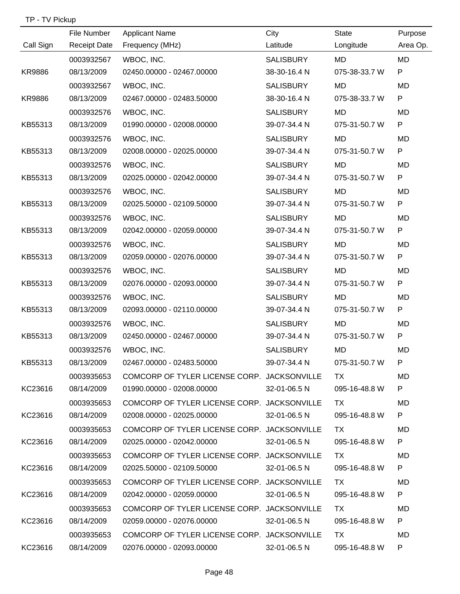## TP - TV Pickup

|               | File Number         | <b>Applicant Name</b>                       | City             | <b>State</b>                                                                                                                                                                                                                   | Purpose   |
|---------------|---------------------|---------------------------------------------|------------------|--------------------------------------------------------------------------------------------------------------------------------------------------------------------------------------------------------------------------------|-----------|
| Call Sign     | <b>Receipt Date</b> | Frequency (MHz)                             | Latitude         | Longitude                                                                                                                                                                                                                      | Area Op.  |
|               | 0003932567          | WBOC, INC.                                  | <b>SALISBURY</b> | <b>MD</b>                                                                                                                                                                                                                      | <b>MD</b> |
| <b>KR9886</b> | 08/13/2009          | 02450.00000 - 02467.00000                   | 38-30-16.4 N     | 075-38-33.7 W                                                                                                                                                                                                                  | P         |
|               | 0003932567          | WBOC, INC.                                  | <b>SALISBURY</b> | MD                                                                                                                                                                                                                             | <b>MD</b> |
| <b>KR9886</b> | 08/13/2009          | 02467.00000 - 02483.50000                   | 38-30-16.4 N     | 075-38-33.7 W                                                                                                                                                                                                                  | P         |
|               | 0003932576          | WBOC, INC.                                  | <b>SALISBURY</b> | MD                                                                                                                                                                                                                             | <b>MD</b> |
| KB55313       | 08/13/2009          | 01990.00000 - 02008.00000                   | 39-07-34.4 N     | 075-31-50.7 W                                                                                                                                                                                                                  | P         |
|               | 0003932576          | WBOC, INC.                                  | <b>SALISBURY</b> | MD                                                                                                                                                                                                                             | <b>MD</b> |
| KB55313       | 08/13/2009          | 02008.00000 - 02025.00000                   | 39-07-34.4 N     | 075-31-50.7 W                                                                                                                                                                                                                  | P         |
|               | 0003932576          | WBOC, INC.                                  | <b>SALISBURY</b> | MD                                                                                                                                                                                                                             | <b>MD</b> |
| KB55313       | 08/13/2009          | 02025.00000 - 02042.00000                   | 39-07-34.4 N     | 075-31-50.7 W                                                                                                                                                                                                                  | P         |
|               | 0003932576          | WBOC, INC.                                  | <b>SALISBURY</b> | MD.                                                                                                                                                                                                                            | <b>MD</b> |
| KB55313       | 08/13/2009          | 02025.50000 - 02109.50000                   | 39-07-34.4 N     | 075-31-50.7 W                                                                                                                                                                                                                  | P         |
|               | 0003932576          | WBOC, INC.                                  | <b>SALISBURY</b> | MD                                                                                                                                                                                                                             | <b>MD</b> |
| KB55313       | 08/13/2009          | 02042.00000 - 02059.00000                   | 39-07-34.4 N     | 075-31-50.7 W                                                                                                                                                                                                                  | P         |
|               | 0003932576          | WBOC, INC.                                  | <b>SALISBURY</b> | MD                                                                                                                                                                                                                             | MD        |
| KB55313       | 08/13/2009          | 02059.00000 - 02076.00000                   | 39-07-34.4 N     | 075-31-50.7 W                                                                                                                                                                                                                  | P         |
|               | 0003932576          | WBOC, INC.                                  | <b>SALISBURY</b> | MD                                                                                                                                                                                                                             | <b>MD</b> |
| KB55313       | 08/13/2009          | 02076.00000 - 02093.00000                   | 39-07-34.4 N     | 075-31-50.7 W                                                                                                                                                                                                                  | P         |
|               | 0003932576          | WBOC, INC.                                  | <b>SALISBURY</b> | MD                                                                                                                                                                                                                             | <b>MD</b> |
| KB55313       | 08/13/2009          | 02093.00000 - 02110.00000                   | 39-07-34.4 N     | 075-31-50.7 W                                                                                                                                                                                                                  | P         |
|               | 0003932576          | WBOC, INC.                                  | <b>SALISBURY</b> | MD                                                                                                                                                                                                                             | MD        |
| KB55313       | 08/13/2009          | 02450.00000 - 02467.00000                   | 39-07-34.4 N     | 075-31-50.7 W                                                                                                                                                                                                                  | P         |
|               | 0003932576          | WBOC, INC.                                  | <b>SALISBURY</b> | MD                                                                                                                                                                                                                             | <b>MD</b> |
| KB55313       | 08/13/2009          | 02467.00000 - 02483.50000                   | 39-07-34.4 N     | 075-31-50.7 W                                                                                                                                                                                                                  | P         |
|               | 0003935653          | COMCORP OF TYLER LICENSE CORP. JACKSONVILLE |                  | TX Providence and the set of the set of the set of the set of the set of the set of the set of the set of the                                                                                                                  | MD        |
| KC23616       | 08/14/2009          | 01990.00000 - 02008.00000 32-01-06.5 N      |                  | 095-16-48.8 W                                                                                                                                                                                                                  | P.        |
|               | 0003935653          | COMCORP OF TYLER LICENSE CORP. JACKSONVILLE |                  | TX TX                                                                                                                                                                                                                          | MD        |
| KC23616       | 08/14/2009          | 02008.00000 - 02025.00000 32-01-06.5 N      |                  | 095-16-48.8 W                                                                                                                                                                                                                  | P         |
|               | 0003935653          | COMCORP OF TYLER LICENSE CORP. JACKSONVILLE |                  | TX TX                                                                                                                                                                                                                          | MD        |
| KC23616       | 08/14/2009          | 02025.00000 - 02042.00000                   | 32-01-06.5 N     | 095-16-48.8 W                                                                                                                                                                                                                  | P         |
|               | 0003935653          | COMCORP OF TYLER LICENSE CORP. JACKSONVILLE |                  | TX TX                                                                                                                                                                                                                          | MD        |
| KC23616       | 08/14/2009          | 02025.50000 - 02109.50000 32-01-06.5 N      |                  | 095-16-48.8 W                                                                                                                                                                                                                  | P.        |
|               | 0003935653          | COMCORP OF TYLER LICENSE CORP. JACKSONVILLE |                  | TX and the state of the state of the state of the state of the state of the state of the state of the state of the state of the state of the state of the state of the state of the state of the state of the state of the sta | MD        |
| KC23616       | 08/14/2009          | 02042.00000 - 02059.00000 32-01-06.5 N      |                  | 095-16-48.8 W                                                                                                                                                                                                                  | P.        |
|               | 0003935653          | COMCORP OF TYLER LICENSE CORP. JACKSONVILLE |                  | TX TX                                                                                                                                                                                                                          | MD        |
| KC23616       | 08/14/2009          | 02059.00000 - 02076.00000 32-01-06.5 N      |                  | 095-16-48.8 W                                                                                                                                                                                                                  | P.        |
|               | 0003935653          | COMCORP OF TYLER LICENSE CORP. JACKSONVILLE |                  | TX and the state of the state of the state of the state of the state of the state of the state of the state of the state of the state of the state of the state of the state of the state of the state of the state of the sta | MD        |
| KC23616       | 08/14/2009          | 02076.00000 - 02093.00000 32-01-06.5 N      |                  | 095-16-48.8 W                                                                                                                                                                                                                  | P         |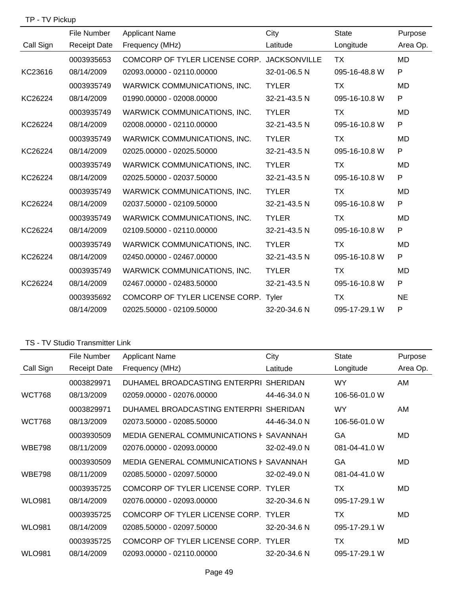TP - TV Pickup

|           | File Number         | <b>Applicant Name</b>                       | City         | <b>State</b>  | Purpose   |
|-----------|---------------------|---------------------------------------------|--------------|---------------|-----------|
| Call Sign | <b>Receipt Date</b> | Frequency (MHz)                             | Latitude     | Longitude     | Area Op.  |
|           | 0003935653          | COMCORP OF TYLER LICENSE CORP. JACKSONVILLE |              | <b>TX</b>     | MD        |
| KC23616   | 08/14/2009          | 02093.00000 - 02110.00000                   | 32-01-06.5 N | 095-16-48.8 W | P         |
|           | 0003935749          | WARWICK COMMUNICATIONS, INC.                | <b>TYLER</b> | <b>TX</b>     | <b>MD</b> |
| KC26224   | 08/14/2009          | 01990.00000 - 02008.00000                   | 32-21-43.5 N | 095-16-10.8 W | P         |
|           | 0003935749          | WARWICK COMMUNICATIONS, INC.                | <b>TYLER</b> | TX            | <b>MD</b> |
| KC26224   | 08/14/2009          | 02008.00000 - 02110.00000                   | 32-21-43.5 N | 095-16-10.8 W | P         |
|           | 0003935749          | WARWICK COMMUNICATIONS, INC.                | <b>TYLER</b> | <b>TX</b>     | <b>MD</b> |
| KC26224   | 08/14/2009          | 02025.00000 - 02025.50000                   | 32-21-43.5 N | 095-16-10.8 W | P         |
|           | 0003935749          | WARWICK COMMUNICATIONS, INC.                | <b>TYLER</b> | <b>TX</b>     | <b>MD</b> |
| KC26224   | 08/14/2009          | 02025.50000 - 02037.50000                   | 32-21-43.5 N | 095-16-10.8 W | P         |
|           | 0003935749          | WARWICK COMMUNICATIONS, INC.                | <b>TYLER</b> | TX.           | <b>MD</b> |
| KC26224   | 08/14/2009          | 02037.50000 - 02109.50000                   | 32-21-43.5 N | 095-16-10.8 W | P         |
|           | 0003935749          | WARWICK COMMUNICATIONS, INC.                | <b>TYLER</b> | TX.           | <b>MD</b> |
| KC26224   | 08/14/2009          | 02109.50000 - 02110.00000                   | 32-21-43.5 N | 095-16-10.8 W | P         |
|           | 0003935749          | WARWICK COMMUNICATIONS, INC.                | <b>TYLER</b> | TX            | <b>MD</b> |
| KC26224   | 08/14/2009          | 02450.00000 - 02467.00000                   | 32-21-43.5 N | 095-16-10.8 W | P         |
|           | 0003935749          | WARWICK COMMUNICATIONS, INC.                | <b>TYLER</b> | <b>TX</b>     | <b>MD</b> |
| KC26224   | 08/14/2009          | 02467.00000 - 02483.50000                   | 32-21-43.5 N | 095-16-10.8 W | P         |
|           | 0003935692          | COMCORP OF TYLER LICENSE CORP. Tyler        |              | TX.           | <b>NE</b> |
|           | 08/14/2009          | 02025.50000 - 02109.50000                   | 32-20-34.6 N | 095-17-29.1 W | P         |

### TS - TV Studio Transmitter Link

|               | File Number         | <b>Applicant Name</b>                   | City         | <b>State</b>  | Purpose  |
|---------------|---------------------|-----------------------------------------|--------------|---------------|----------|
| Call Sign     | <b>Receipt Date</b> | Frequency (MHz)                         | Latitude     | Longitude     | Area Op. |
|               | 0003829971          | DUHAMEL BROADCASTING ENTERPRI SHERIDAN  |              | <b>WY</b>     | AM       |
| <b>WCT768</b> | 08/13/2009          | 02059.00000 - 02076.00000               | 44-46-34.0 N | 106-56-01.0 W |          |
|               | 0003829971          | DUHAMEL BROADCASTING ENTERPRI SHERIDAN  |              | <b>WY</b>     | AM       |
| <b>WCT768</b> | 08/13/2009          | 02073.50000 - 02085.50000               | 44-46-34.0 N | 106-56-01.0 W |          |
|               | 0003930509          | MEDIA GENERAL COMMUNICATIONS F SAVANNAH |              | GA            | MD       |
| <b>WBE798</b> | 08/11/2009          | 02076.00000 - 02093.00000               | 32-02-49.0 N | 081-04-41.0 W |          |
|               | 0003930509          | MEDIA GENERAL COMMUNICATIONS F SAVANNAH |              | GA            | MD       |
| <b>WBE798</b> | 08/11/2009          | 02085.50000 - 02097.50000               | 32-02-49.0 N | 081-04-41.0 W |          |
|               | 0003935725          | COMCORP OF TYLER LICENSE CORP. TYLER    |              | ТX            | MD       |
| <b>WLO981</b> | 08/14/2009          | 02076.00000 - 02093.00000               | 32-20-34.6 N | 095-17-29.1 W |          |
|               | 0003935725          | COMCORP OF TYLER LICENSE CORP.          | <b>TYLER</b> | ТX            | MD       |
| <b>WLO981</b> | 08/14/2009          | 02085.50000 - 02097.50000               | 32-20-34.6 N | 095-17-29.1 W |          |
|               | 0003935725          | COMCORP OF TYLER LICENSE CORP. TYLER    |              | ТX            | MD       |
| <b>WLO981</b> | 08/14/2009          | 02093.00000 - 02110.00000               | 32-20-34.6 N | 095-17-29.1 W |          |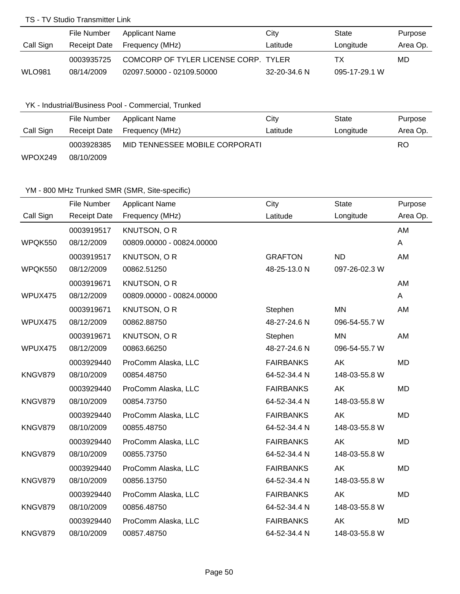#### TS - TV Studio Transmitter Link

|               | File Number  | Applicant Name                       | Citv         | State         | Purpose  |
|---------------|--------------|--------------------------------------|--------------|---------------|----------|
| Call Sign     | Receipt Date | Frequency (MHz)                      | Latitude     | Longitude     | Area Op. |
|               | 0003935725   | COMCORP OF TYLER LICENSE CORP. TYLER |              | тх            | MD       |
| <b>WLO981</b> | 08/14/2009   | 02097.50000 - 02109.50000            | 32-20-34.6 N | 095-17-29.1 W |          |

# YK - Industrial/Business Pool - Commercial, Trunked

|           | File Number | Applicant Name                 | City     | State     | Purpose  |
|-----------|-------------|--------------------------------|----------|-----------|----------|
| Call Sign |             | Receipt Date Frequency (MHz)   | Latitude | Longitude | Area Op. |
|           | 0003928385  | MID TENNESSEE MOBILE CORPORATI |          |           |          |
| WPOX249   | 08/10/2009  |                                |          |           |          |

# YM - 800 MHz Trunked SMR (SMR, Site-specific)

|           | File Number         | <b>Applicant Name</b>     | City             | <b>State</b>  | Purpose   |
|-----------|---------------------|---------------------------|------------------|---------------|-----------|
| Call Sign | <b>Receipt Date</b> | Frequency (MHz)           | Latitude         | Longitude     | Area Op.  |
|           | 0003919517          | KNUTSON, OR               |                  |               | AM        |
| WPQK550   | 08/12/2009          | 00809.00000 - 00824.00000 |                  |               | A         |
|           | 0003919517          | KNUTSON, OR               | <b>GRAFTON</b>   | <b>ND</b>     | AM        |
| WPQK550   | 08/12/2009          | 00862.51250               | 48-25-13.0 N     | 097-26-02.3 W |           |
|           | 0003919671          | KNUTSON, OR               |                  |               | AM        |
| WPUX475   | 08/12/2009          | 00809.00000 - 00824.00000 |                  |               | A         |
|           | 0003919671          | KNUTSON, OR               | Stephen          | <b>MN</b>     | AM        |
| WPUX475   | 08/12/2009          | 00862.88750               | 48-27-24.6 N     | 096-54-55.7 W |           |
|           | 0003919671          | KNUTSON, OR               | Stephen          | <b>MN</b>     | AM        |
| WPUX475   | 08/12/2009          | 00863.66250               | 48-27-24.6 N     | 096-54-55.7 W |           |
|           | 0003929440          | ProComm Alaska, LLC       | <b>FAIRBANKS</b> | AK            | <b>MD</b> |
| KNGV879   | 08/10/2009          | 00854.48750               | 64-52-34.4 N     | 148-03-55.8 W |           |
|           | 0003929440          | ProComm Alaska, LLC       | <b>FAIRBANKS</b> | AK            | <b>MD</b> |
| KNGV879   | 08/10/2009          | 00854.73750               | 64-52-34.4 N     | 148-03-55.8 W |           |
|           | 0003929440          | ProComm Alaska, LLC       | <b>FAIRBANKS</b> | AK            | <b>MD</b> |
| KNGV879   | 08/10/2009          | 00855.48750               | 64-52-34.4 N     | 148-03-55.8 W |           |
|           | 0003929440          | ProComm Alaska, LLC       | <b>FAIRBANKS</b> | AK            | <b>MD</b> |
| KNGV879   | 08/10/2009          | 00855.73750               | 64-52-34.4 N     | 148-03-55.8 W |           |
|           | 0003929440          | ProComm Alaska, LLC       | <b>FAIRBANKS</b> | AK            | <b>MD</b> |
| KNGV879   | 08/10/2009          | 00856.13750               | 64-52-34.4 N     | 148-03-55.8 W |           |
|           | 0003929440          | ProComm Alaska, LLC       | <b>FAIRBANKS</b> | <b>AK</b>     | <b>MD</b> |
| KNGV879   | 08/10/2009          | 00856.48750               | 64-52-34.4 N     | 148-03-55.8 W |           |
|           | 0003929440          | ProComm Alaska, LLC       | <b>FAIRBANKS</b> | AK            | <b>MD</b> |
| KNGV879   | 08/10/2009          | 00857.48750               | 64-52-34.4 N     | 148-03-55.8 W |           |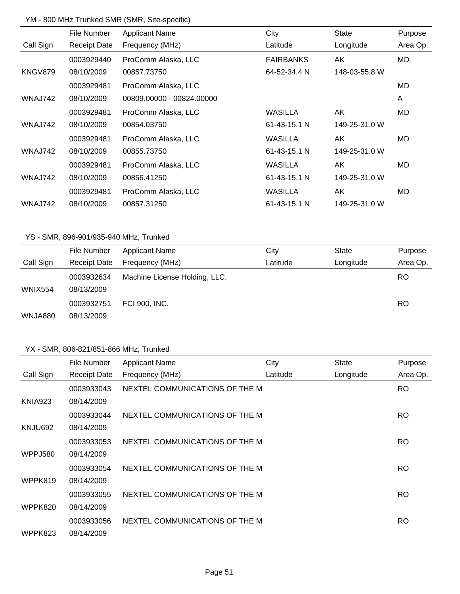### YM - 800 MHz Trunked SMR (SMR, Site-specific)

|           | File Number         | <b>Applicant Name</b>     | City               | <b>State</b>  | Purpose  |
|-----------|---------------------|---------------------------|--------------------|---------------|----------|
| Call Sign | <b>Receipt Date</b> | Frequency (MHz)           | Latitude           | Longitude     | Area Op. |
|           | 0003929440          | ProComm Alaska, LLC       | <b>FAIRBANKS</b>   | AK            | MD.      |
| KNGV879   | 08/10/2009          | 00857.73750               | 64-52-34.4 N       | 148-03-55.8 W |          |
|           | 0003929481          | ProComm Alaska, LLC       |                    |               | MD       |
| WNAJ742   | 08/10/2009          | 00809.00000 - 00824.00000 |                    |               | A        |
|           | 0003929481          | ProComm Alaska, LLC       | <b>WASILLA</b>     | AK            | MD       |
| WNAJ742   | 08/10/2009          | 00854.03750               | 61-43-15.1 N       | 149-25-31.0 W |          |
|           | 0003929481          | ProComm Alaska, LLC       | WASILLA            | AK            | MD       |
| WNAJ742   | 08/10/2009          | 00855.73750               | $61 - 43 - 15.1$ N | 149-25-31.0 W |          |
|           | 0003929481          | ProComm Alaska, LLC       | <b>WASILLA</b>     | AK            | MD       |
| WNAJ742   | 08/10/2009          | 00856.41250               | 61-43-15.1 N       | 149-25-31.0 W |          |
|           | 0003929481          | ProComm Alaska, LLC       | <b>WASILLA</b>     | AK            | MD       |
| WNAJ742   | 08/10/2009          | 00857.31250               | 61-43-15.1 N       | 149-25-31.0 W |          |

# YS - SMR, 896-901/935-940 MHz, Trunked

|                | <b>File Number</b>       | <b>Applicant Name</b>         | City     | State     | Purpose   |
|----------------|--------------------------|-------------------------------|----------|-----------|-----------|
| Call Sign      | <b>Receipt Date</b>      | Frequency (MHz)               | Latitude | Longitude | Area Op.  |
| <b>WNIX554</b> | 0003932634<br>08/13/2009 | Machine License Holding, LLC. |          |           | <b>RO</b> |
|                | 0003932751               | FCI 900, INC.                 |          |           | RO        |
| WNJA880        | 08/13/2009               |                               |          |           |           |

|                | File Number         | <b>Applicant Name</b>          | City     | <b>State</b> | Purpose   |
|----------------|---------------------|--------------------------------|----------|--------------|-----------|
| Call Sign      | <b>Receipt Date</b> | Frequency (MHz)                | Latitude | Longitude    | Area Op.  |
|                | 0003933043          | NEXTEL COMMUNICATIONS OF THE M |          |              | <b>RO</b> |
| <b>KNIA923</b> | 08/14/2009          |                                |          |              |           |
|                | 0003933044          | NEXTEL COMMUNICATIONS OF THE M |          |              | <b>RO</b> |
| KNJU692        | 08/14/2009          |                                |          |              |           |
|                | 0003933053          | NEXTEL COMMUNICATIONS OF THE M |          |              | <b>RO</b> |
| WPPJ580        | 08/14/2009          |                                |          |              |           |
|                | 0003933054          | NEXTEL COMMUNICATIONS OF THE M |          |              | <b>RO</b> |
| WPPK819        | 08/14/2009          |                                |          |              |           |
|                | 0003933055          | NEXTEL COMMUNICATIONS OF THE M |          |              | <b>RO</b> |
| WPPK820        | 08/14/2009          |                                |          |              |           |
|                | 0003933056          | NEXTEL COMMUNICATIONS OF THE M |          |              | <b>RO</b> |
| <b>WPPK823</b> | 08/14/2009          |                                |          |              |           |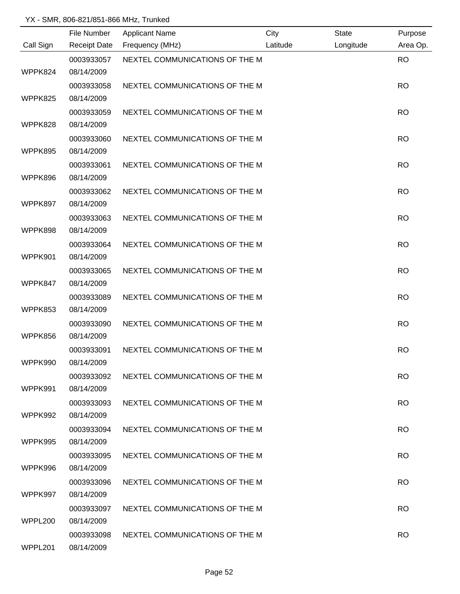|           | File Number         | <b>Applicant Name</b>          | City     | <b>State</b> | Purpose   |
|-----------|---------------------|--------------------------------|----------|--------------|-----------|
| Call Sign | <b>Receipt Date</b> | Frequency (MHz)                | Latitude | Longitude    | Area Op.  |
|           | 0003933057          | NEXTEL COMMUNICATIONS OF THE M |          |              | <b>RO</b> |
| WPPK824   | 08/14/2009          |                                |          |              |           |
|           | 0003933058          | NEXTEL COMMUNICATIONS OF THE M |          |              | <b>RO</b> |
| WPPK825   | 08/14/2009          |                                |          |              |           |
|           | 0003933059          | NEXTEL COMMUNICATIONS OF THE M |          |              | <b>RO</b> |
| WPPK828   | 08/14/2009          |                                |          |              |           |
|           | 0003933060          | NEXTEL COMMUNICATIONS OF THE M |          |              | <b>RO</b> |
| WPPK895   | 08/14/2009          |                                |          |              |           |
|           | 0003933061          | NEXTEL COMMUNICATIONS OF THE M |          |              | <b>RO</b> |
| WPPK896   | 08/14/2009          |                                |          |              |           |
|           | 0003933062          | NEXTEL COMMUNICATIONS OF THE M |          |              | <b>RO</b> |
| WPPK897   | 08/14/2009          |                                |          |              |           |
|           | 0003933063          | NEXTEL COMMUNICATIONS OF THE M |          |              | <b>RO</b> |
| WPPK898   | 08/14/2009          |                                |          |              |           |
|           | 0003933064          | NEXTEL COMMUNICATIONS OF THE M |          |              | <b>RO</b> |
| WPPK901   | 08/14/2009          |                                |          |              |           |
|           | 0003933065          | NEXTEL COMMUNICATIONS OF THE M |          |              | <b>RO</b> |
| WPPK847   | 08/14/2009          |                                |          |              |           |
|           | 0003933089          | NEXTEL COMMUNICATIONS OF THE M |          |              | <b>RO</b> |
| WPPK853   | 08/14/2009          |                                |          |              |           |
|           | 0003933090          | NEXTEL COMMUNICATIONS OF THE M |          |              | <b>RO</b> |
| WPPK856   | 08/14/2009          |                                |          |              |           |
|           | 0003933091          | NEXTEL COMMUNICATIONS OF THE M |          |              | <b>RO</b> |
| WPPK990   | 08/14/2009          |                                |          |              |           |
|           | 0003933092          | NEXTEL COMMUNICATIONS OF THE M |          |              | <b>RO</b> |
| WPPK991   | 08/14/2009          |                                |          |              |           |
|           | 0003933093          | NEXTEL COMMUNICATIONS OF THE M |          |              | <b>RO</b> |
| WPPK992   | 08/14/2009          |                                |          |              |           |
|           | 0003933094          | NEXTEL COMMUNICATIONS OF THE M |          |              | <b>RO</b> |
| WPPK995   | 08/14/2009          |                                |          |              |           |
|           | 0003933095          | NEXTEL COMMUNICATIONS OF THE M |          |              | <b>RO</b> |
| WPPK996   | 08/14/2009          |                                |          |              |           |
|           | 0003933096          | NEXTEL COMMUNICATIONS OF THE M |          |              | <b>RO</b> |
| WPPK997   | 08/14/2009          |                                |          |              |           |
|           | 0003933097          | NEXTEL COMMUNICATIONS OF THE M |          |              | <b>RO</b> |
| WPPL200   | 08/14/2009          |                                |          |              |           |
|           | 0003933098          | NEXTEL COMMUNICATIONS OF THE M |          |              | <b>RO</b> |
| WPPL201   | 08/14/2009          |                                |          |              |           |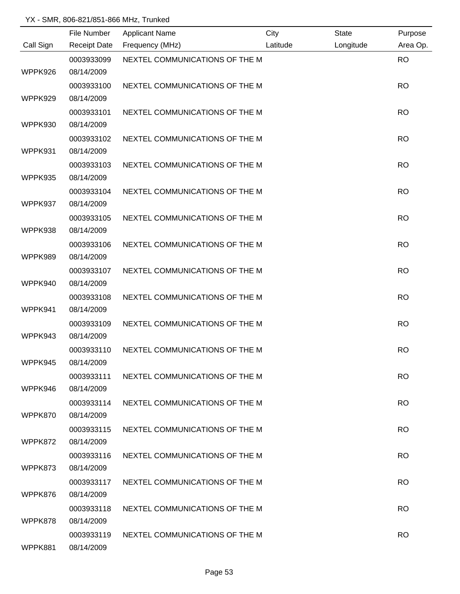|           | File Number         | <b>Applicant Name</b>          | City     | <b>State</b> | Purpose   |
|-----------|---------------------|--------------------------------|----------|--------------|-----------|
| Call Sign | <b>Receipt Date</b> | Frequency (MHz)                | Latitude | Longitude    | Area Op.  |
|           | 0003933099          | NEXTEL COMMUNICATIONS OF THE M |          |              | <b>RO</b> |
| WPPK926   | 08/14/2009          |                                |          |              |           |
|           | 0003933100          | NEXTEL COMMUNICATIONS OF THE M |          |              | <b>RO</b> |
| WPPK929   | 08/14/2009          |                                |          |              |           |
|           | 0003933101          | NEXTEL COMMUNICATIONS OF THE M |          |              | <b>RO</b> |
| WPPK930   | 08/14/2009          |                                |          |              |           |
|           | 0003933102          | NEXTEL COMMUNICATIONS OF THE M |          |              | <b>RO</b> |
| WPPK931   | 08/14/2009          |                                |          |              |           |
|           | 0003933103          | NEXTEL COMMUNICATIONS OF THE M |          |              | <b>RO</b> |
| WPPK935   | 08/14/2009          |                                |          |              |           |
|           | 0003933104          | NEXTEL COMMUNICATIONS OF THE M |          |              | <b>RO</b> |
| WPPK937   | 08/14/2009          |                                |          |              |           |
|           | 0003933105          | NEXTEL COMMUNICATIONS OF THE M |          |              | <b>RO</b> |
| WPPK938   | 08/14/2009          |                                |          |              |           |
|           | 0003933106          | NEXTEL COMMUNICATIONS OF THE M |          |              | <b>RO</b> |
| WPPK989   | 08/14/2009          |                                |          |              |           |
|           | 0003933107          | NEXTEL COMMUNICATIONS OF THE M |          |              | <b>RO</b> |
| WPPK940   | 08/14/2009          |                                |          |              |           |
|           | 0003933108          | NEXTEL COMMUNICATIONS OF THE M |          |              | <b>RO</b> |
| WPPK941   | 08/14/2009          |                                |          |              |           |
|           | 0003933109          | NEXTEL COMMUNICATIONS OF THE M |          |              | <b>RO</b> |
| WPPK943   | 08/14/2009          |                                |          |              |           |
|           | 0003933110          | NEXTEL COMMUNICATIONS OF THE M |          |              | <b>RO</b> |
| WPPK945   | 08/14/2009          |                                |          |              |           |
|           | 0003933111          | NEXTEL COMMUNICATIONS OF THE M |          |              | <b>RO</b> |
| WPPK946   | 08/14/2009          |                                |          |              |           |
|           | 0003933114          | NEXTEL COMMUNICATIONS OF THE M |          |              | <b>RO</b> |
| WPPK870   | 08/14/2009          |                                |          |              |           |
|           | 0003933115          | NEXTEL COMMUNICATIONS OF THE M |          |              | <b>RO</b> |
| WPPK872   | 08/14/2009          |                                |          |              |           |
|           | 0003933116          | NEXTEL COMMUNICATIONS OF THE M |          |              | <b>RO</b> |
| WPPK873   | 08/14/2009          |                                |          |              |           |
|           | 0003933117          | NEXTEL COMMUNICATIONS OF THE M |          |              | <b>RO</b> |
| WPPK876   | 08/14/2009          |                                |          |              |           |
|           | 0003933118          | NEXTEL COMMUNICATIONS OF THE M |          |              | <b>RO</b> |
| WPPK878   | 08/14/2009          |                                |          |              |           |
|           | 0003933119          | NEXTEL COMMUNICATIONS OF THE M |          |              | <b>RO</b> |
| WPPK881   | 08/14/2009          |                                |          |              |           |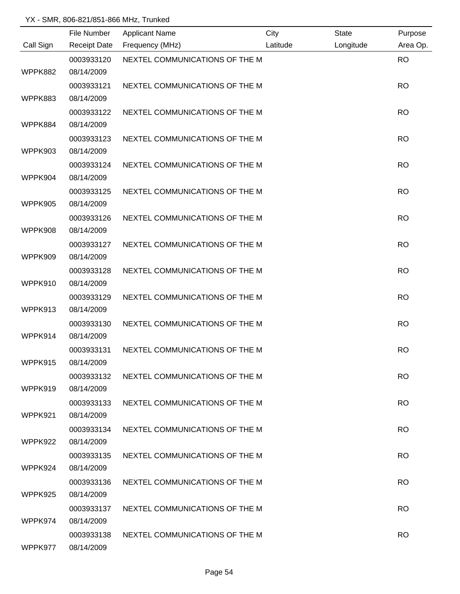|                | File Number         | <b>Applicant Name</b>          | City     | <b>State</b> | Purpose   |
|----------------|---------------------|--------------------------------|----------|--------------|-----------|
| Call Sign      | <b>Receipt Date</b> | Frequency (MHz)                | Latitude | Longitude    | Area Op.  |
|                | 0003933120          | NEXTEL COMMUNICATIONS OF THE M |          |              | <b>RO</b> |
| WPPK882        | 08/14/2009          |                                |          |              |           |
|                | 0003933121          | NEXTEL COMMUNICATIONS OF THE M |          |              | <b>RO</b> |
| WPPK883        | 08/14/2009          |                                |          |              |           |
|                | 0003933122          | NEXTEL COMMUNICATIONS OF THE M |          |              | <b>RO</b> |
| WPPK884        | 08/14/2009          |                                |          |              |           |
|                | 0003933123          | NEXTEL COMMUNICATIONS OF THE M |          |              | <b>RO</b> |
| WPPK903        | 08/14/2009          |                                |          |              |           |
|                | 0003933124          | NEXTEL COMMUNICATIONS OF THE M |          |              | <b>RO</b> |
| WPPK904        | 08/14/2009          |                                |          |              |           |
|                | 0003933125          | NEXTEL COMMUNICATIONS OF THE M |          |              | <b>RO</b> |
| <b>WPPK905</b> | 08/14/2009          |                                |          |              |           |
|                | 0003933126          | NEXTEL COMMUNICATIONS OF THE M |          |              | <b>RO</b> |
| WPPK908        | 08/14/2009          |                                |          |              |           |
|                | 0003933127          | NEXTEL COMMUNICATIONS OF THE M |          |              | <b>RO</b> |
| WPPK909        | 08/14/2009          |                                |          |              |           |
|                | 0003933128          | NEXTEL COMMUNICATIONS OF THE M |          |              | <b>RO</b> |
| WPPK910        | 08/14/2009          |                                |          |              |           |
|                | 0003933129          | NEXTEL COMMUNICATIONS OF THE M |          |              | <b>RO</b> |
| WPPK913        | 08/14/2009          |                                |          |              |           |
|                | 0003933130          | NEXTEL COMMUNICATIONS OF THE M |          |              | <b>RO</b> |
| WPPK914        | 08/14/2009          |                                |          |              |           |
|                | 0003933131          | NEXTEL COMMUNICATIONS OF THE M |          |              | <b>RO</b> |
| WPPK915        | 08/14/2009          |                                |          |              |           |
|                | 0003933132          | NEXTEL COMMUNICATIONS OF THE M |          |              | <b>RO</b> |
| WPPK919        | 08/14/2009          |                                |          |              |           |
|                | 0003933133          | NEXTEL COMMUNICATIONS OF THE M |          |              | <b>RO</b> |
| WPPK921        | 08/14/2009          |                                |          |              |           |
|                | 0003933134          | NEXTEL COMMUNICATIONS OF THE M |          |              | <b>RO</b> |
| WPPK922        | 08/14/2009          |                                |          |              |           |
|                | 0003933135          | NEXTEL COMMUNICATIONS OF THE M |          |              | <b>RO</b> |
| WPPK924        | 08/14/2009          |                                |          |              |           |
|                | 0003933136          | NEXTEL COMMUNICATIONS OF THE M |          |              | <b>RO</b> |
| WPPK925        | 08/14/2009          |                                |          |              |           |
|                | 0003933137          | NEXTEL COMMUNICATIONS OF THE M |          |              | <b>RO</b> |
| WPPK974        | 08/14/2009          |                                |          |              |           |
|                | 0003933138          | NEXTEL COMMUNICATIONS OF THE M |          |              | <b>RO</b> |
| WPPK977        | 08/14/2009          |                                |          |              |           |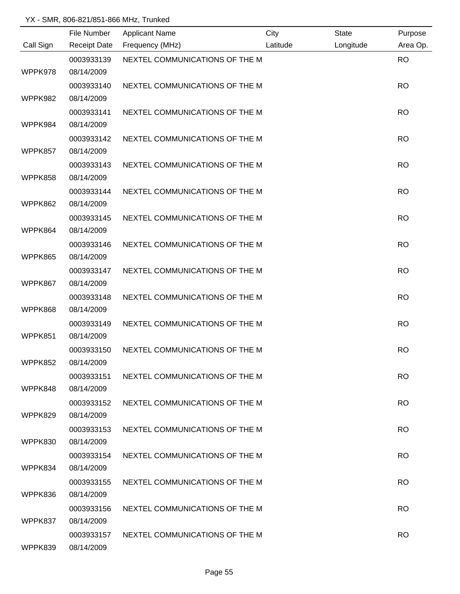|                | File Number         | <b>Applicant Name</b>          | City     | <b>State</b> | Purpose   |
|----------------|---------------------|--------------------------------|----------|--------------|-----------|
| Call Sign      | <b>Receipt Date</b> | Frequency (MHz)                | Latitude | Longitude    | Area Op.  |
|                | 0003933139          | NEXTEL COMMUNICATIONS OF THE M |          |              | <b>RO</b> |
| WPPK978        | 08/14/2009          |                                |          |              |           |
|                | 0003933140          | NEXTEL COMMUNICATIONS OF THE M |          |              | <b>RO</b> |
| WPPK982        | 08/14/2009          |                                |          |              |           |
|                | 0003933141          | NEXTEL COMMUNICATIONS OF THE M |          |              | <b>RO</b> |
| WPPK984        | 08/14/2009          |                                |          |              |           |
|                | 0003933142          | NEXTEL COMMUNICATIONS OF THE M |          |              | <b>RO</b> |
| WPPK857        | 08/14/2009          |                                |          |              |           |
|                | 0003933143          | NEXTEL COMMUNICATIONS OF THE M |          |              | <b>RO</b> |
| WPPK858        | 08/14/2009          |                                |          |              |           |
|                | 0003933144          | NEXTEL COMMUNICATIONS OF THE M |          |              | <b>RO</b> |
| WPPK862        | 08/14/2009          |                                |          |              |           |
|                | 0003933145          | NEXTEL COMMUNICATIONS OF THE M |          |              | <b>RO</b> |
| WPPK864        | 08/14/2009          |                                |          |              |           |
|                | 0003933146          | NEXTEL COMMUNICATIONS OF THE M |          |              | <b>RO</b> |
| WPPK865        | 08/14/2009          |                                |          |              |           |
|                | 0003933147          | NEXTEL COMMUNICATIONS OF THE M |          |              | <b>RO</b> |
| WPPK867        | 08/14/2009          |                                |          |              |           |
|                | 0003933148          | NEXTEL COMMUNICATIONS OF THE M |          |              | <b>RO</b> |
| WPPK868        | 08/14/2009          |                                |          |              |           |
|                | 0003933149          | NEXTEL COMMUNICATIONS OF THE M |          |              | <b>RO</b> |
| WPPK851        | 08/14/2009          |                                |          |              |           |
|                | 0003933150          | NEXTEL COMMUNICATIONS OF THE M |          |              | <b>RO</b> |
| WPPK852        | 08/14/2009          |                                |          |              |           |
|                | 0003933151          | NEXTEL COMMUNICATIONS OF THE M |          |              | <b>RO</b> |
| WPPK848        | 08/14/2009          |                                |          |              |           |
|                | 0003933152          | NEXTEL COMMUNICATIONS OF THE M |          |              | <b>RO</b> |
| WPPK829        | 08/14/2009          |                                |          |              |           |
|                | 0003933153          | NEXTEL COMMUNICATIONS OF THE M |          |              | <b>RO</b> |
| <b>WPPK830</b> | 08/14/2009          |                                |          |              |           |
|                | 0003933154          | NEXTEL COMMUNICATIONS OF THE M |          |              | <b>RO</b> |
| WPPK834        | 08/14/2009          |                                |          |              |           |
|                | 0003933155          | NEXTEL COMMUNICATIONS OF THE M |          |              | <b>RO</b> |
| WPPK836        | 08/14/2009          |                                |          |              |           |
|                | 0003933156          | NEXTEL COMMUNICATIONS OF THE M |          |              | <b>RO</b> |
| WPPK837        | 08/14/2009          |                                |          |              |           |
|                | 0003933157          | NEXTEL COMMUNICATIONS OF THE M |          |              | <b>RO</b> |
| WPPK839        | 08/14/2009          |                                |          |              |           |